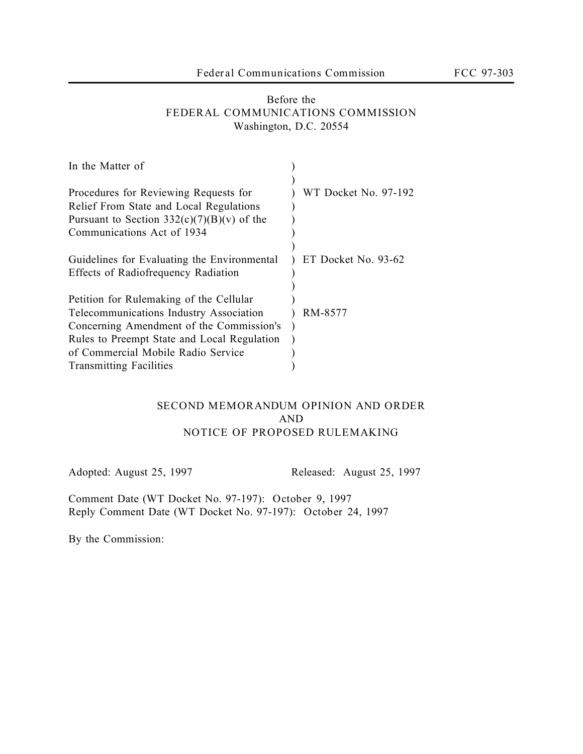## Before the **FEDERAL COMMUNICATIONS COMMISSION** Washington, D.C. 20554

| In the Matter of                                                                                                                 |                      |
|----------------------------------------------------------------------------------------------------------------------------------|----------------------|
| Procedures for Reviewing Requests for<br>Relief From State and Local Regulations<br>Pursuant to Section $332(c)(7)(B)(v)$ of the | WT Docket No. 97-192 |
| Communications Act of 1934                                                                                                       |                      |
| Guidelines for Evaluating the Environmental<br><b>Effects of Radiofrequency Radiation</b>                                        | ET Docket No. 93-62  |
| Petition for Rulemaking of the Cellular                                                                                          |                      |
| Telecommunications Industry Association                                                                                          | RM-8577              |
| Concerning Amendment of the Commission's<br>Rules to Preempt State and Local Regulation                                          |                      |
| of Commercial Mobile Radio Service                                                                                               |                      |
| <b>Transmitting Facilities</b>                                                                                                   |                      |

## **SECOND MEMORANDUM OPINION AND ORDER AND NOTICE OF PROPOSED RULEMAKING**

Adopted: August 25, 1997 Released: August 25, 1997

Comment Date (WT Docket No. 97-197): **October 9, 1997** Reply Comment Date (WT Docket No. 97-197): **October 24, 1997**

By the Commission: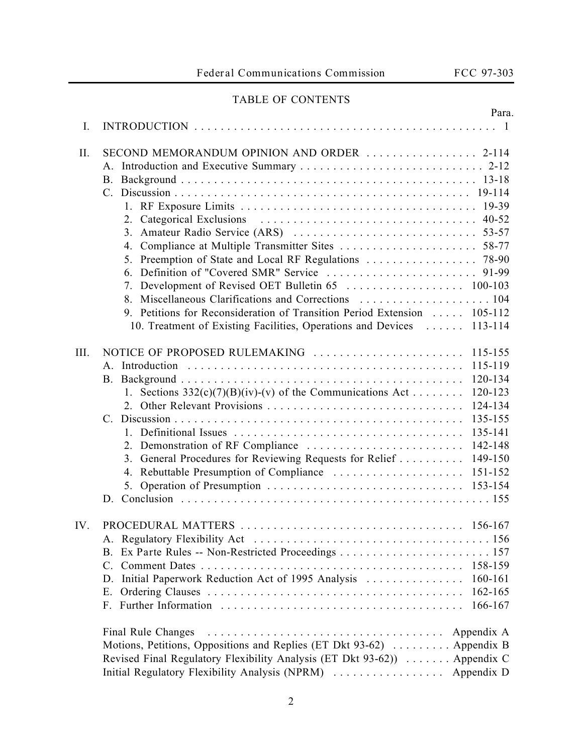# TABLE OF CONTENTS

|               | Para.                                                                                                      |
|---------------|------------------------------------------------------------------------------------------------------------|
| Ι.            |                                                                                                            |
| П.            | SECOND MEMORANDUM OPINION AND ORDER  2-114                                                                 |
|               |                                                                                                            |
|               |                                                                                                            |
|               | 19-114                                                                                                     |
|               | 19-39                                                                                                      |
|               | $40 - 52$                                                                                                  |
|               | 53-57<br>3.                                                                                                |
|               | 58-77<br>4.                                                                                                |
|               | 5. Preemption of State and Local RF Regulations<br>78-90                                                   |
|               | Definition of "Covered SMR" Service<br>91-99                                                               |
|               |                                                                                                            |
|               |                                                                                                            |
|               | 9. Petitions for Reconsideration of Transition Period Extension  105-112                                   |
|               | 10. Treatment of Existing Facilities, Operations and Devices<br>113-114                                    |
| III.          | NOTICE OF PROPOSED RULEMAKING<br>115-155                                                                   |
|               | 115-119                                                                                                    |
|               | 120-134                                                                                                    |
|               | 1. Sections $332(c)(7)(B)(iv)-(v)$ of the Communications Act<br>120-123                                    |
|               | 124-134                                                                                                    |
|               | 135-155<br>$C_{-}$                                                                                         |
|               | 135-141                                                                                                    |
|               | 142-148                                                                                                    |
|               | 3. General Procedures for Reviewing Requests for Relief<br>149-150                                         |
|               | 4. Rebuttable Presumption of Compliance<br>151-152                                                         |
|               |                                                                                                            |
|               | D.                                                                                                         |
| $\mathbf{IV}$ |                                                                                                            |
|               |                                                                                                            |
|               | <b>B</b> .                                                                                                 |
|               | $\mathcal{C}$ .                                                                                            |
|               | Initial Paperwork Reduction Act of 1995 Analysis<br>160-161<br>D.                                          |
|               | 162-165<br>Ε.                                                                                              |
|               | 166-167<br>$F_{\cdot}$                                                                                     |
|               | Final Rule Changes<br>Appendix A<br>Motions, Petitions, Oppositions and Replies (ET Dkt 93-62)  Appendix B |
|               | Revised Final Regulatory Flexibility Analysis (ET Dkt 93-62)) Appendix C                                   |
|               | Initial Regulatory Flexibility Analysis (NPRM)<br>Appendix D                                               |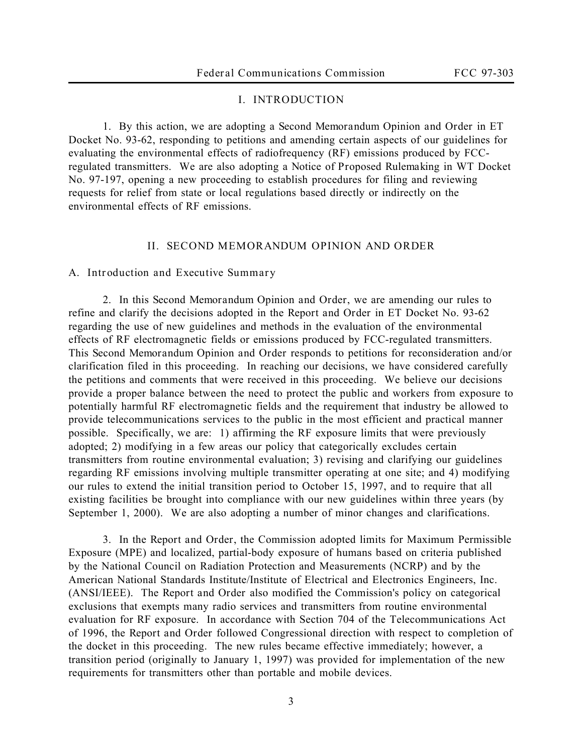## **I. INTRODUCTION**

1. By this action, we are adopting a *Second Memorandum Opinion and Order* in ET Docket No. 93-62, responding to petitions and amending certain aspects of our guidelines for evaluating the environmental effects of radiofrequency (RF) emissions produced by FCCregulated transmitters. We are also adopting a *Notice of Proposed Rulemaking* in WT Docket No. 97-197, opening a new proceeding to establish procedures for filing and reviewing requests for relief from state or local regulations based directly or indirectly on the environmental effects of RF emissions.

#### **II. SECOND MEMORANDUM OPINION AND ORDER**

#### **A. Introduction and Executive Summary**

2. In this *Second Memorandum Opinion and Order*, we are amending our rules to refine and clarify the decisions adopted in the *Report and Order* in ET Docket No. 93-62 regarding the use of new guidelines and methods in the evaluation of the environmental effects of RF electromagnetic fields or emissions produced by FCC-regulated transmitters. This *Second Memorandum Opinion and Order* responds to petitions for reconsideration and/or clarification filed in this proceeding. In reaching our decisions, we have considered carefully the petitions and comments that were received in this proceeding. We believe our decisions provide a proper balance between the need to protect the public and workers from exposure to potentially harmful RF electromagnetic fields and the requirement that industry be allowed to provide telecommunications services to the public in the most efficient and practical manner possible. Specifically, we are: 1) affirming the RF exposure limits that were previously adopted; 2) modifying in a few areas our policy that categorically excludes certain transmitters from routine environmental evaluation; 3) revising and clarifying our guidelines regarding RF emissions involving multiple transmitter operating at one site; and 4) modifying our rules to extend the initial transition period to October 15, 1997, and to require that all existing facilities be brought into compliance with our new guidelines within three years (by September 1, 2000). We are also adopting a number of minor changes and clarifications.

3. In the *Report and Order*, the Commission adopted limits for Maximum Permissible Exposure (MPE) and localized, partial-body exposure of humans based on criteria published by the National Council on Radiation Protection and Measurements (NCRP) and by the American National Standards Institute/Institute of Electrical and Electronics Engineers, Inc. (ANSI/IEEE). The *Report and Order* also modified the Commission's policy on categorical exclusions that exempts many radio services and transmitters from routine environmental evaluation for RF exposure. In accordance with Section 704 of the Telecommunications Act of 1996, the *Report and Order* followed Congressional direction with respect to completion of the docket in this proceeding. The new rules became effective immediately; however, a transition period (originally to January 1, 1997) was provided for implementation of the new requirements for transmitters other than portable and mobile devices.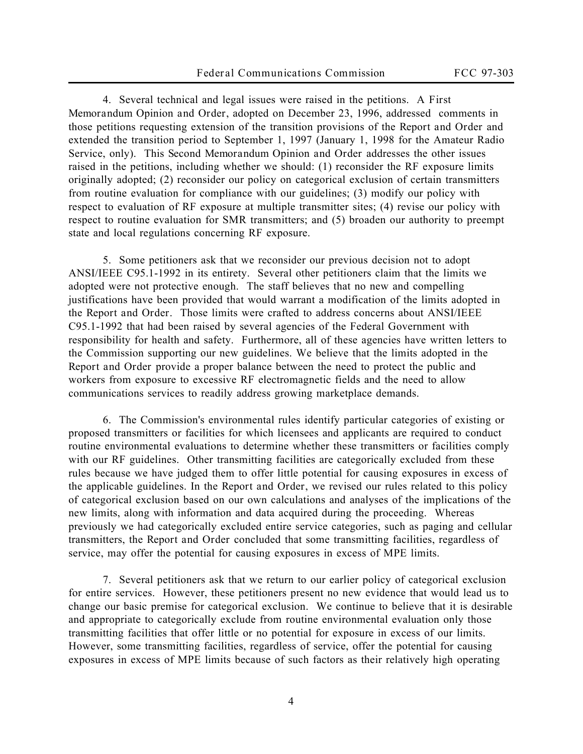4. Several technical and legal issues were raised in the petitions. A *First Memorandum Opinion and Order*, adopted on December 23, 1996, addressed comments in those petitions requesting extension of the transition provisions of the *Report and Order* and extended the transition period to September 1, 1997 (January 1, 1998 for the Amateur Radio Service, only). This *Second Memorandum Opinion and Order* addresses the other issues raised in the petitions, including whether we should: (1) reconsider the RF exposure limits originally adopted; (2) reconsider our policy on categorical exclusion of certain transmitters from routine evaluation for compliance with our guidelines; (3) modify our policy with respect to evaluation of RF exposure at multiple transmitter sites; (4) revise our policy with respect to routine evaluation for SMR transmitters; and (5) broaden our authority to preempt state and local regulations concerning RF exposure.

5. Some petitioners ask that we reconsider our previous decision not to adopt ANSI/IEEE C95.1-1992 in its entirety. Several other petitioners claim that the limits we adopted were not protective enough. The staff believes that no new and compelling justifications have been provided that would warrant a modification of the limits adopted in the *Report and Order.* Those limits were crafted to address concerns about ANSI/IEEE C95.1-1992 that had been raised by several agencies of the Federal Government with responsibility for health and safety. Furthermore, all of these agencies have written letters to the Commission supporting our new guidelines. We believe that the limits adopted in the *Report and Order* provide a proper balance between the need to protect the public and workers from exposure to excessive RF electromagnetic fields and the need to allow communications services to readily address growing marketplace demands.

6. The Commission's environmental rules identify particular categories of existing or proposed transmitters or facilities for which licensees and applicants are required to conduct routine environmental evaluations to determine whether these transmitters or facilities comply with our RF guidelines. Other transmitting facilities are categorically excluded from these rules because we have judged them to offer little potential for causing exposures in excess of the applicable guidelines. In the *Report and Order*, we revised our rules related to this policy of categorical exclusion based on our own calculations and analyses of the implications of the new limits, along with information and data acquired during the proceeding. Whereas previously we had categorically excluded entire service categories, such as paging and cellular transmitters, the *Report and Order* concluded that some transmitting facilities, regardless of service, may offer the potential for causing exposures in excess of MPE limits.

7. Several petitioners ask that we return to our earlier policy of categorical exclusion for entire services. However, these petitioners present no new evidence that would lead us to change our basic premise for categorical exclusion. We continue to believe that it is desirable and appropriate to categorically exclude from routine environmental evaluation only those transmitting facilities that offer little or no potential for exposure in excess of our limits. However, some transmitting facilities, regardless of service, offer the potential for causing exposures in excess of MPE limits because of such factors as their relatively high operating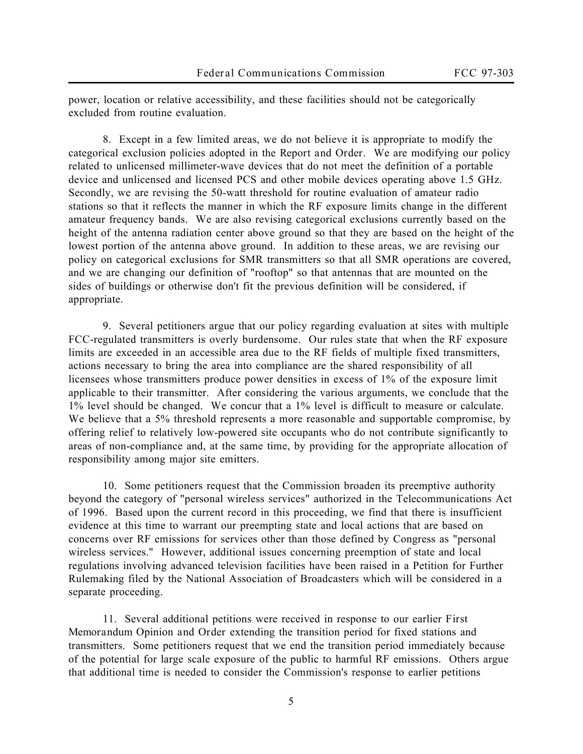power, location or relative accessibility, and these facilities should not be categorically excluded from routine evaluation.

8. Except in a few limited areas, we do not believe it is appropriate to modify the categorical exclusion policies adopted in the *Report and Order*. We are modifying our policy related to unlicensed millimeter-wave devices that do not meet the definition of a portable device and unlicensed and licensed PCS and other mobile devices operating above 1.5 GHz. Secondly, we are revising the 50-watt threshold for routine evaluation of amateur radio stations so that it reflects the manner in which the RF exposure limits change in the different amateur frequency bands. We are also revising categorical exclusions currently based on the height of the antenna radiation center above ground so that they are based on the height of the lowest portion of the antenna above ground. In addition to these areas, we are revising our policy on categorical exclusions for SMR transmitters so that all SMR operations are covered, and we are changing our definition of "rooftop" so that antennas that are mounted on the sides of buildings or otherwise don't fit the previous definition will be considered, if appropriate.

9. Several petitioners argue that our policy regarding evaluation at sites with multiple FCC-regulated transmitters is overly burdensome. Our rules state that when the RF exposure limits are exceeded in an accessible area due to the RF fields of multiple fixed transmitters, actions necessary to bring the area into compliance are the shared responsibility of all licensees whose transmitters produce power densities in excess of 1% of the exposure limit applicable to their transmitter. After considering the various arguments, we conclude that the 1% level should be changed. We concur that a 1% level is difficult to measure or calculate. We believe that a 5% threshold represents a more reasonable and supportable compromise, by offering relief to relatively low-powered site occupants who do not contribute significantly to areas of non-compliance and, at the same time, by providing for the appropriate allocation of responsibility among major site emitters.

10. Some petitioners request that the Commission broaden its preemptive authority beyond the category of "personal wireless services" authorized in the Telecommunications Act of 1996. Based upon the current record in this proceeding, we find that there is insufficient evidence at this time to warrant our preempting state and local actions that are based on concerns over RF emissions for services other than those defined by Congress as "personal wireless services." However, additional issues concerning preemption of state and local regulations involving advanced television facilities have been raised in a Petition for Further Rulemaking filed by the National Association of Broadcasters which will be considered in a separate proceeding.

11. Several additional petitions were received in response to our earlier *First Memorandum Opinion and Order* extending the transition period for fixed stations and transmitters. Some petitioners request that we end the transition period immediately because of the potential for large scale exposure of the public to harmful RF emissions. Others argue that additional time is needed to consider the Commission's response to earlier petitions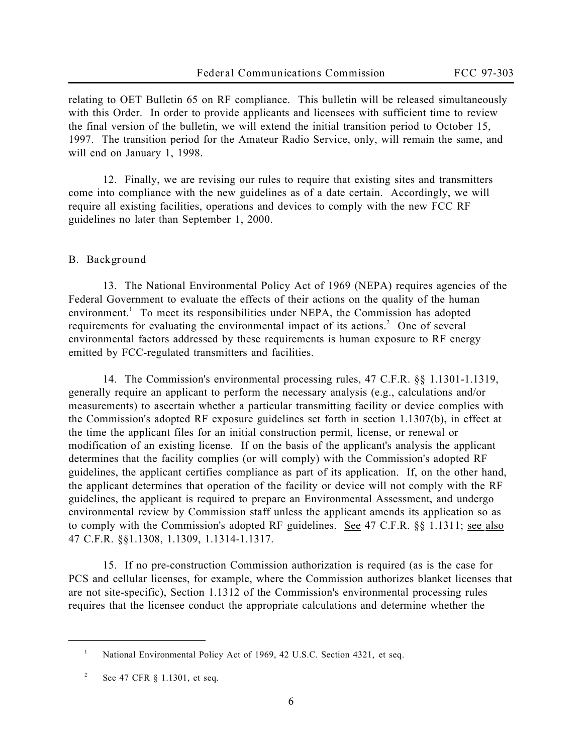relating to OET Bulletin 65 on RF compliance. This bulletin will be released simultaneously with this Order. In order to provide applicants and licensees with sufficient time to review the final version of the bulletin, we will extend the initial transition period to October 15, 1997. The transition period for the Amateur Radio Service, only, will remain the same, and will end on January 1, 1998.

12. Finally, we are revising our rules to require that existing sites and transmitters come into compliance with the new guidelines as of a date certain. Accordingly, we will require all existing facilities, operations and devices to comply with the new FCC RF guidelines no later than September 1, 2000.

#### **B. Background**

13. The National Environmental Policy Act of 1969 (NEPA) requires agencies of the Federal Government to evaluate the effects of their actions on the quality of the human environment.<sup>1</sup> To meet its responsibilities under NEPA, the Commission has adopted requirements for evaluating the environmental impact of its actions.<sup>2</sup> One of several environmental factors addressed by these requirements is human exposure to RF energy emitted by FCC-regulated transmitters and facilities.

14. The Commission's environmental processing rules, 47 C.F.R. §§ 1.1301-1.1319, generally require an applicant to perform the necessary analysis (e.g., calculations and/or measurements) to ascertain whether a particular transmitting facility or device complies with the Commission's adopted RF exposure guidelines set forth in section 1.1307(b), in effect at the time the applicant files for an initial construction permit, license, or renewal or modification of an existing license. If on the basis of the applicant's analysis the applicant determines that the facility complies (or will comply) with the Commission's adopted RF guidelines, the applicant certifies compliance as part of its application. If, on the other hand, the applicant determines that operation of the facility or device will not comply with the RF guidelines, the applicant is required to prepare an Environmental Assessment, and undergo environmental review by Commission staff unless the applicant amends its application so as to comply with the Commission's adopted RF guidelines. See 47 C.F.R. §§ 1.1311; see also 47 C.F.R. §§1.1308, 1.1309, 1.1314-1.1317.

15. If no pre-construction Commission authorization is required (as is the case for PCS and cellular licenses, for example, where the Commission authorizes blanket licenses that are not site-specific), Section 1.1312 of the Commission's environmental processing rules requires that the licensee conduct the appropriate calculations and determine whether the

<sup>1</sup> National Environmental Policy Act of 1969, 42 U.S.C. Section 4321, *et seq.*

<sup>2</sup> *See* 47 CFR § 1.1301, *et seq*.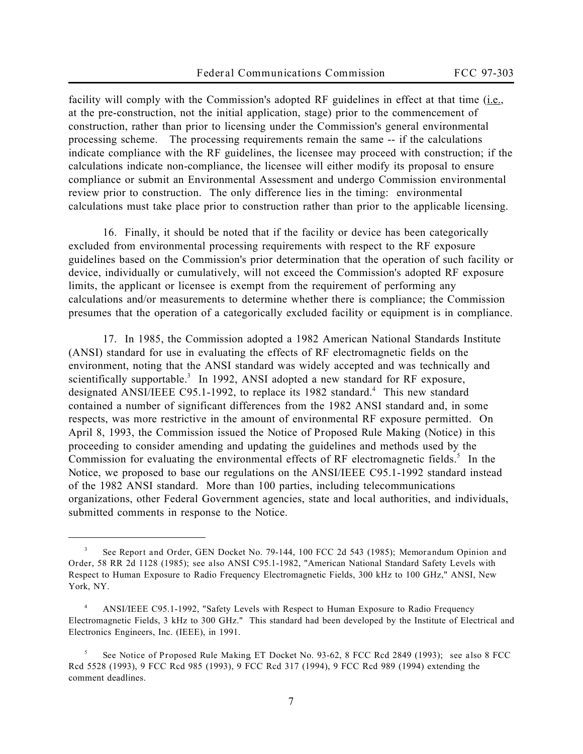facility will comply with the Commission's adopted RF guidelines in effect at that time (i.e., at the pre-construction, not the initial application, stage) prior to the commencement of construction, rather than prior to licensing under the Commission's general environmental processing scheme. The processing requirements remain the same -- if the calculations indicate compliance with the RF guidelines, the licensee may proceed with construction; if the calculations indicate non-compliance, the licensee will either modify its proposal to ensure compliance or submit an Environmental Assessment and undergo Commission environmental review prior to construction. The only difference lies in the timing: environmental calculations must take place prior to construction rather than prior to the applicable licensing.

16. Finally, it should be noted that if the facility or device has been categorically excluded from environmental processing requirements with respect to the RF exposure guidelines based on the Commission's prior determination that the operation of such facility or device, individually or cumulatively, will not exceed the Commission's adopted RF exposure limits, the applicant or licensee is exempt from the requirement of performing any calculations and/or measurements to determine whether there is compliance; the Commission presumes that the operation of a categorically excluded facility or equipment is in compliance.

17. In 1985, the Commission adopted a 1982 American National Standards Institute (ANSI) standard for use in evaluating the effects of RF electromagnetic fields on the environment, noting that the ANSI standard was widely accepted and was technically and scientifically supportable.<sup>3</sup> In 1992, ANSI adopted a new standard for RF exposure, designated ANSI/IEEE C95.1-1992, to replace its 1982 standard.<sup>4</sup> This new standard contained a number of significant differences from the 1982 ANSI standard and, in some respects, was more restrictive in the amount of environmental RF exposure permitted. On April 8, 1993, the Commission issued the *Notice of Proposed Rule Making* (*Notice*) in this proceeding to consider amending and updating the guidelines and methods used by the Commission for evaluating the environmental effects of RF electromagnetic fields. $5$  In the *Notice*, we proposed to base our regulations on the ANSI/IEEE C95.1-1992 standard instead of the 1982 ANSI standard. More than 100 parties, including telecommunications organizations, other Federal Government agencies, state and local authorities, and individuals, submitted comments in response to the *Notice*.

<sup>3</sup> *See Report and Order*, GEN Docket No. 79-144, 100 FCC 2d 543 (1985); *Memorandum Opinion and Order*, 58 RR 2d 1128 (1985); *see also* ANSI C95.1-1982, "American National Standard Safety Levels with Respect to Human Exposure to Radio Frequency Electromagnetic Fields, 300 kHz to 100 GHz," ANSI, New York, NY.

<sup>4</sup> ANSI/IEEE C95.1-1992, "Safety Levels with Respect to Human Exposure to Radio Frequency Electromagnetic Fields, 3 kHz to 300 GHz." This standard had been developed by the Institute of Electrical and Electronics Engineers, Inc. (IEEE), in 1991.

<sup>5</sup> *See Notice of Proposed Rule Making*, ET Docket No. 93-62, 8 FCC Rcd 2849 (1993); *see also* 8 FCC Rcd 5528 (1993), 9 FCC Rcd 985 (1993), 9 FCC Rcd 317 (1994), 9 FCC Rcd 989 (1994) extending the comment deadlines.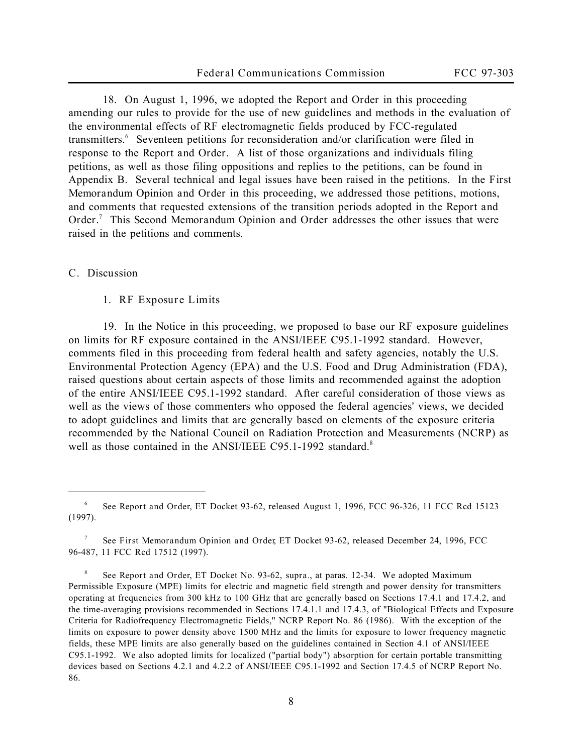18. On August 1, 1996, we adopted the *Report and Order* in this proceeding amending our rules to provide for the use of new guidelines and methods in the evaluation of the environmental effects of RF electromagnetic fields produced by FCC-regulated transmitters.<sup>6</sup> Seventeen petitions for reconsideration and/or clarification were filed in response to the *Report and Order*. A list of those organizations and individuals filing petitions, as well as those filing oppositions and replies to the petitions, can be found in Appendix B. Several technical and legal issues have been raised in the petitions. In the *First Memorandum Opinion and Order* in this proceeding, we addressed those petitions, motions, and comments that requested extensions of the transition periods adopted in the *Report and Order*. 7 This *Second Memorandum Opinion and Order* addresses the other issues that were raised in the petitions and comments.

#### **C. Discussion**

 $\overline{a}$ 

**1. RF Exposure Limits**

19. In the *Notice* in this proceeding, we proposed to base our RF exposure guidelines on limits for RF exposure contained in the ANSI/IEEE C95.1-1992 standard. However, comments filed in this proceeding from federal health and safety agencies, notably the U.S. Environmental Protection Agency (EPA) and the U.S. Food and Drug Administration (FDA), raised questions about certain aspects of those limits and recommended against the adoption of the entire ANSI/IEEE C95.1-1992 standard. After careful consideration of those views as well as the views of those commenters who opposed the federal agencies' views, we decided to adopt guidelines and limits that are generally based on elements of the exposure criteria recommended by the National Council on Radiation Protection and Measurements (NCRP) as well as those contained in the ANSI/IEEE C95.1-1992 standard.<sup>8</sup>

<sup>6</sup> *See Report and Order*, ET Docket 93-62, released August 1, 1996, FCC 96-326, 11 FCC Rcd 15123 (1997).

<sup>7</sup> *See First Memorandum Opinion and Order*, ET Docket 93-62, released December 24, 1996, FCC 96-487, 11 FCC Rcd 17512 (1997).

<sup>8</sup> *See Report and Order*, ET Docket No. 93-62, *supra.*, at paras. 12-34. We adopted Maximum Permissible Exposure (MPE) limits for electric and magnetic field strength and power density for transmitters operating at frequencies from 300 kHz to 100 GHz that are generally based on Sections 17.4.1 and 17.4.2, and the time-averaging provisions recommended in Sections 17.4.1.1 and 17.4.3, of "Biological Effects and Exposure Criteria for Radiofrequency Electromagnetic Fields," NCRP Report No. 86 (1986). With the exception of the limits on exposure to power density above 1500 MHz and the limits for exposure to lower frequency magnetic fields, these MPE limits are also generally based on the guidelines contained in Section 4.1 of ANSI/IEEE C95.1-1992. We also adopted limits for localized ("partial body") absorption for certain portable transmitting devices based on Sections 4.2.1 and 4.2.2 of ANSI/IEEE C95.1-1992 and Section 17.4.5 of NCRP Report No. 86.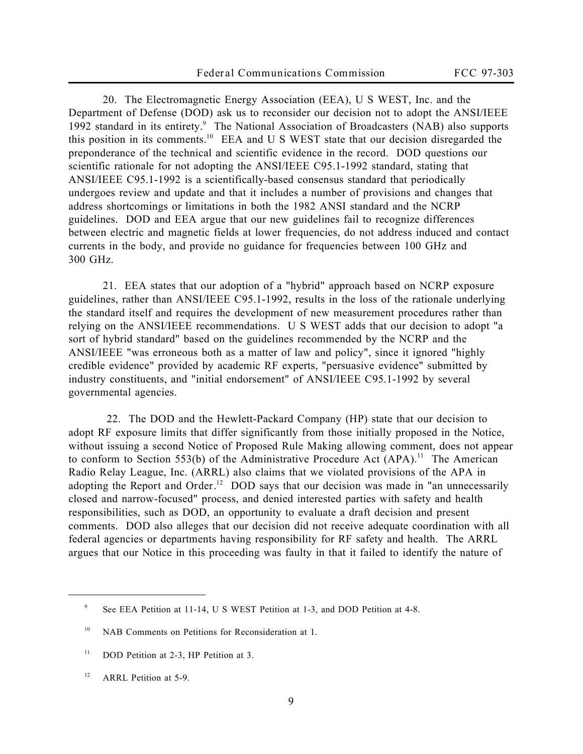20. The Electromagnetic Energy Association (EEA), U S WEST, Inc. and the Department of Defense (DOD) ask us to reconsider our decision not to adopt the ANSI/IEEE 1992 standard in its entirety.<sup>9</sup> The National Association of Broadcasters (NAB) also supports this position in its comments.<sup>10</sup> EEA and U S WEST state that our decision disregarded the preponderance of the technical and scientific evidence in the record. DOD questions our scientific rationale for not adopting the ANSI/IEEE C95.1-1992 standard, stating that ANSI/IEEE C95.1-1992 is a scientifically-based consensus standard that periodically undergoes review and update and that it includes a number of provisions and changes that address shortcomings or limitations in both the 1982 ANSI standard and the NCRP guidelines. DOD and EEA argue that our new guidelines fail to recognize differences between electric and magnetic fields at lower frequencies, do not address induced and contact currents in the body, and provide no guidance for frequencies between 100 GHz and 300 GHz.

21. EEA states that our adoption of a "hybrid" approach based on NCRP exposure guidelines, rather than ANSI/IEEE C95.1-1992, results in the loss of the rationale underlying the standard itself and requires the development of new measurement procedures rather than relying on the ANSI/IEEE recommendations. U S WEST adds that our decision to adopt "a sort of hybrid standard" based on the guidelines recommended by the NCRP and the ANSI/IEEE "was erroneous both as a matter of law and policy", since it ignored "highly credible evidence" provided by academic RF experts, "persuasive evidence" submitted by industry constituents, and "initial endorsement" of ANSI/IEEE C95.1-1992 by several governmental agencies.

 22. The DOD and the Hewlett-Packard Company (HP) state that our decision to adopt RF exposure limits that differ significantly from those initially proposed in the *Notice*, without issuing a second Notice of Proposed Rule Making allowing comment, does not appear to conform to Section 553(b) of the Administrative Procedure Act  $(APA)^{11}$ . The American Radio Relay League, Inc. (ARRL) also claims that we violated provisions of the APA in adopting the *Report and Order*. <sup>12</sup> DOD says that our decision was made in "an unnecessarily closed and narrow-focused" process, and denied interested parties with safety and health responsibilities, such as DOD, an opportunity to evaluate a draft decision and present comments. DOD also alleges that our decision did not receive adequate coordination with all federal agencies or departments having responsibility for RF safety and health. The ARRL argues that our *Notice* in this proceeding was faulty in that it failed to identify the nature of

<sup>9</sup> *See* EEA Petition at 11-14, U S WEST Petition at 1-3, and DOD Petition at 4-8.

<sup>&</sup>lt;sup>10</sup> NAB Comments on Petitions for Reconsideration at 1.

<sup>&</sup>lt;sup>11</sup> DOD Petition at 2-3, HP Petition at 3.

<sup>&</sup>lt;sup>12</sup> ARRL Petition at 5-9.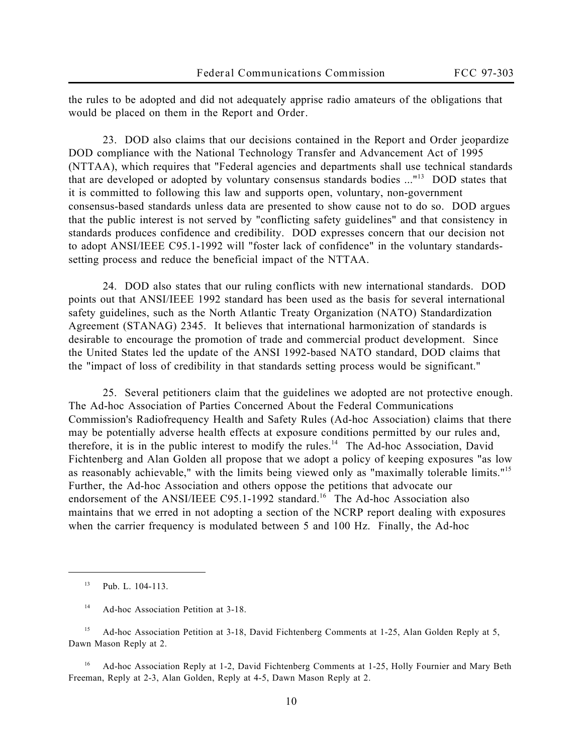the rules to be adopted and did not adequately apprise radio amateurs of the obligations that would be placed on them in the *Report and Order*.

23. DOD also claims that our decisions contained in the *Report and Order* jeopardize DOD compliance with the National Technology Transfer and Advancement Act of 1995 (NTTAA), which requires that "Federal agencies and departments shall use technical standards that are developed or adopted by voluntary consensus standards bodies ..."<sup>13</sup> DOD states that it is committed to following this law and supports open, voluntary, non-government consensus-based standards unless data are presented to show cause not to do so. DOD argues that the public interest is not served by "conflicting safety guidelines" and that consistency in standards produces confidence and credibility. DOD expresses concern that our decision not to adopt ANSI/IEEE C95.1-1992 will "foster lack of confidence" in the voluntary standardssetting process and reduce the beneficial impact of the NTTAA.

24. DOD also states that our ruling conflicts with new international standards. DOD points out that ANSI/IEEE 1992 standard has been used as the basis for several international safety guidelines, such as the North Atlantic Treaty Organization (NATO) Standardization Agreement (STANAG) 2345. It believes that international harmonization of standards is desirable to encourage the promotion of trade and commercial product development. Since the United States led the update of the ANSI 1992-based NATO standard, DOD claims that the "impact of loss of credibility in that standards setting process would be significant."

25. Several petitioners claim that the guidelines we adopted are not protective enough. The Ad-hoc Association of Parties Concerned About the Federal Communications Commission's Radiofrequency Health and Safety Rules (Ad-hoc Association) claims that there may be potentially adverse health effects at exposure conditions permitted by our rules and, therefore, it is in the public interest to modify the rules.<sup>14</sup> The Ad-hoc Association, David Fichtenberg and Alan Golden all propose that we adopt a policy of keeping exposures "as low as reasonably achievable," with the limits being viewed only as "maximally tolerable limits."<sup>15</sup> Further, the Ad-hoc Association and others oppose the petitions that advocate our endorsement of the ANSI/IEEE C95.1-1992 standard.<sup>16</sup> The Ad-hoc Association also maintains that we erred in not adopting a section of the NCRP report dealing with exposures when the carrier frequency is modulated between 5 and 100 Hz. Finally, the Ad-hoc

 $\overline{a}$ 

<sup>15</sup> Ad-hoc Association Petition at 3-18, David Fichtenberg Comments at 1-25, Alan Golden Reply at 5, Dawn Mason Reply at 2.

<sup>16</sup> Ad-hoc Association Reply at 1-2, David Fichtenberg Comments at 1-25, Holly Fournier and Mary Beth Freeman, Reply at 2-3, Alan Golden, Reply at 4-5, Dawn Mason Reply at 2.

<sup>13</sup> Pub. L. 104-113.

<sup>&</sup>lt;sup>14</sup> Ad-hoc Association Petition at 3-18.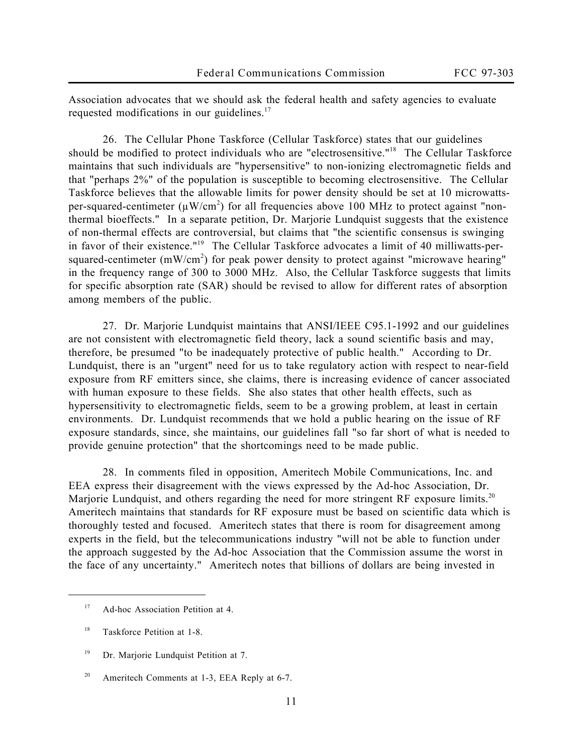Association advocates that we should ask the federal health and safety agencies to evaluate requested modifications in our guidelines.<sup>17</sup>

26. The Cellular Phone Taskforce (Cellular Taskforce) states that our guidelines should be modified to protect individuals who are "electrosensitive."<sup>18</sup> The Cellular Taskforce maintains that such individuals are "hypersensitive" to non-ionizing electromagnetic fields and that "perhaps 2%" of the population is susceptible to becoming electrosensitive. The Cellular Taskforce believes that the allowable limits for power density should be set at 10 microwattsper-squared-centimeter ( $\mu$ W/cm<sup>2</sup>) for all frequencies above 100 MHz to protect against "nonthermal bioeffects." In a separate petition, Dr. Marjorie Lundquist suggests that the existence of non-thermal effects are controversial, but claims that "the scientific consensus is swinging in favor of their existence."19 The Cellular Taskforce advocates a limit of 40 milliwatts-persquared-centimeter (mW/cm<sup>2</sup>) for peak power density to protect against "microwave hearing" in the frequency range of 300 to 3000 MHz. Also, the Cellular Taskforce suggests that limits for specific absorption rate (SAR) should be revised to allow for different rates of absorption among members of the public.

27. Dr. Marjorie Lundquist maintains that ANSI/IEEE C95.1-1992 and our guidelines are not consistent with electromagnetic field theory, lack a sound scientific basis and may, therefore, be presumed "to be inadequately protective of public health." According to Dr. Lundquist, there is an "urgent" need for us to take regulatory action with respect to near-field exposure from RF emitters since, she claims, there is increasing evidence of cancer associated with human exposure to these fields. She also states that other health effects, such as hypersensitivity to electromagnetic fields, seem to be a growing problem, at least in certain environments. Dr. Lundquist recommends that we hold a public hearing on the issue of RF exposure standards, since, she maintains, our guidelines fall "so far short of what is needed to provide genuine protection" that the shortcomings need to be made public.

28. In comments filed in opposition, Ameritech Mobile Communications, Inc. and EEA express their disagreement with the views expressed by the Ad-hoc Association, Dr. Marjorie Lundquist, and others regarding the need for more stringent RF exposure limits.<sup>20</sup> Ameritech maintains that standards for RF exposure must be based on scientific data which is thoroughly tested and focused. Ameritech states that there is room for disagreement among experts in the field, but the telecommunications industry "will not be able to function under the approach suggested by the Ad-hoc Association that the Commission assume the worst in the face of any uncertainty." Ameritech notes that billions of dollars are being invested in

<sup>&</sup>lt;sup>17</sup> Ad-hoc Association Petition at 4.

<sup>18</sup> Taskforce Petition at 1-8.

<sup>&</sup>lt;sup>19</sup> Dr. Marjorie Lundquist Petition at 7.

<sup>&</sup>lt;sup>20</sup> Ameritech Comments at 1-3, EEA Reply at 6-7.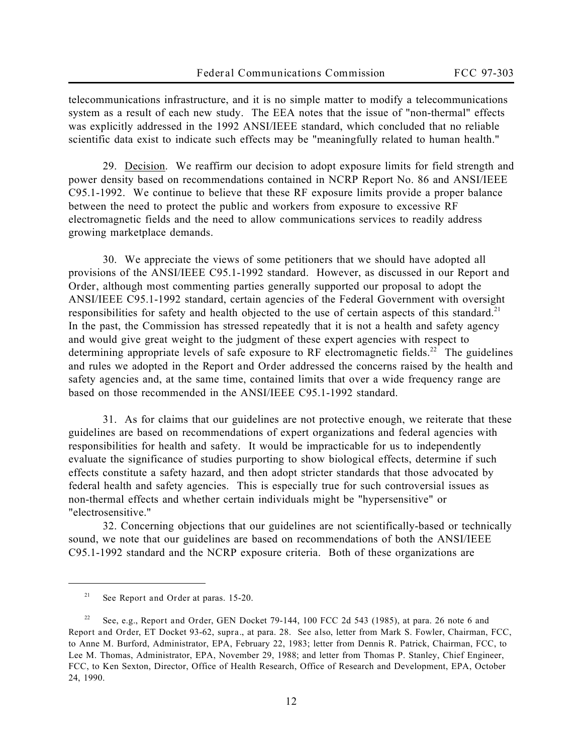telecommunications infrastructure, and it is no simple matter to modify a telecommunications system as a result of each new study. The EEA notes that the issue of "non-thermal" effects was explicitly addressed in the 1992 ANSI/IEEE standard, which concluded that no reliable scientific data exist to indicate such effects may be "meaningfully related to human health."

29. Decision. We reaffirm our decision to adopt exposure limits for field strength and power density based on recommendations contained in NCRP Report No. 86 and ANSI/IEEE C95.1-1992. We continue to believe that these RF exposure limits provide a proper balance between the need to protect the public and workers from exposure to excessive RF electromagnetic fields and the need to allow communications services to readily address growing marketplace demands.

30. We appreciate the views of some petitioners that we should have adopted all provisions of the ANSI/IEEE C95.1-1992 standard. However, as discussed in our *Report and Order*, although most commenting parties generally supported our proposal to adopt the ANSI/IEEE C95.1-1992 standard, certain agencies of the Federal Government with oversight responsibilities for safety and health objected to the use of certain aspects of this standard.<sup>21</sup> In the past, the Commission has stressed repeatedly that it is not a health and safety agency and would give great weight to the judgment of these expert agencies with respect to determining appropriate levels of safe exposure to RF electromagnetic fields.<sup>22</sup> The guidelines and rules we adopted in the *Report and Order* addressed the concerns raised by the health and safety agencies and, at the same time, contained limits that over a wide frequency range are based on those recommended in the ANSI/IEEE C95.1-1992 standard.

31. As for claims that our guidelines are not protective enough, we reiterate that these guidelines are based on recommendations of expert organizations and federal agencies with responsibilities for health and safety. It would be impracticable for us to independently evaluate the significance of studies purporting to show biological effects, determine if such effects constitute a safety hazard, and then adopt stricter standards that those advocated by federal health and safety agencies. This is especially true for such controversial issues as non-thermal effects and whether certain individuals might be "hypersensitive" or "electrosensitive."

32. Concerning objections that our guidelines are not scientifically-based or technically sound, we note that our guidelines are based on recommendations of both the ANSI/IEEE C95.1-1992 standard and the NCRP exposure criteria. Both of these organizations are

<sup>21</sup> *See Report and Order* at paras. 15-20.

<sup>22</sup> *See*, *e.g.*, *Report and Order*, GEN Docket 79-144, 100 FCC 2d 543 (1985), at para. 26 note 6 and *Report and Order*, ET Docket 93-62, *supra.*, at para. 28. *See also*, letter from Mark S. Fowler, Chairman, FCC, to Anne M. Burford, Administrator, EPA, February 22, 1983; letter from Dennis R. Patrick, Chairman, FCC, to Lee M. Thomas, Administrator, EPA, November 29, 1988; and letter from Thomas P. Stanley, Chief Engineer, FCC, to Ken Sexton, Director, Office of Health Research, Office of Research and Development, EPA, October 24, 1990.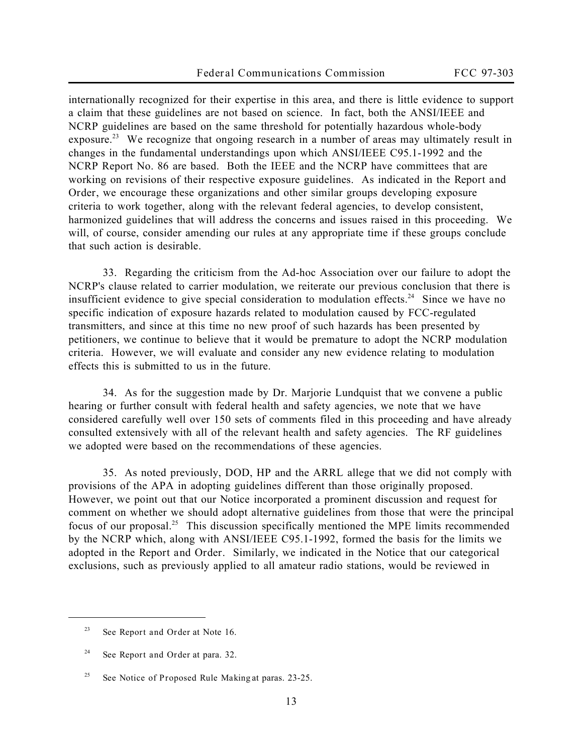internationally recognized for their expertise in this area, and there is little evidence to support a claim that these guidelines are not based on science. In fact, both the ANSI/IEEE and NCRP guidelines are based on the same threshold for potentially hazardous whole-body exposure.<sup>23</sup> We recognize that ongoing research in a number of areas may ultimately result in changes in the fundamental understandings upon which ANSI/IEEE C95.1-1992 and the NCRP Report No. 86 are based. Both the IEEE and the NCRP have committees that are working on revisions of their respective exposure guidelines. As indicated in the *Report and Order*, we encourage these organizations and other similar groups developing exposure criteria to work together, along with the relevant federal agencies, to develop consistent, harmonized guidelines that will address the concerns and issues raised in this proceeding. We will, of course, consider amending our rules at any appropriate time if these groups conclude that such action is desirable.

33. Regarding the criticism from the Ad-hoc Association over our failure to adopt the NCRP's clause related to carrier modulation, we reiterate our previous conclusion that there is insufficient evidence to give special consideration to modulation effects.<sup>24</sup> Since we have no specific indication of exposure hazards related to modulation caused by FCC-regulated transmitters, and since at this time no new proof of such hazards has been presented by petitioners, we continue to believe that it would be premature to adopt the NCRP modulation criteria. However, we will evaluate and consider any new evidence relating to modulation effects this is submitted to us in the future.

34. As for the suggestion made by Dr. Marjorie Lundquist that we convene a public hearing or further consult with federal health and safety agencies, we note that we have considered carefully well over 150 sets of comments filed in this proceeding and have already consulted extensively with all of the relevant health and safety agencies. The RF guidelines we adopted were based on the recommendations of these agencies.

35. As noted previously, DOD, HP and the ARRL allege that we did not comply with provisions of the APA in adopting guidelines different than those originally proposed. However, we point out that our *Notice* incorporated a prominent discussion and request for comment on whether we should adopt alternative guidelines from those that were the principal focus of our proposal.<sup>25</sup> This discussion specifically mentioned the MPE limits recommended by the NCRP which, along with ANSI/IEEE C95.1-1992, formed the basis for the limits we adopted in the *Report and Order*. Similarly, we indicated in the *Notice* that our categorical exclusions, such as previously applied to all amateur radio stations, would be reviewed in

<sup>23</sup> *See Report and Order* at Note 16.

<sup>24</sup> *See Report and Order* at para. 32.

<sup>25</sup> *See Notice of Proposed Rule Making* at paras. 23-25.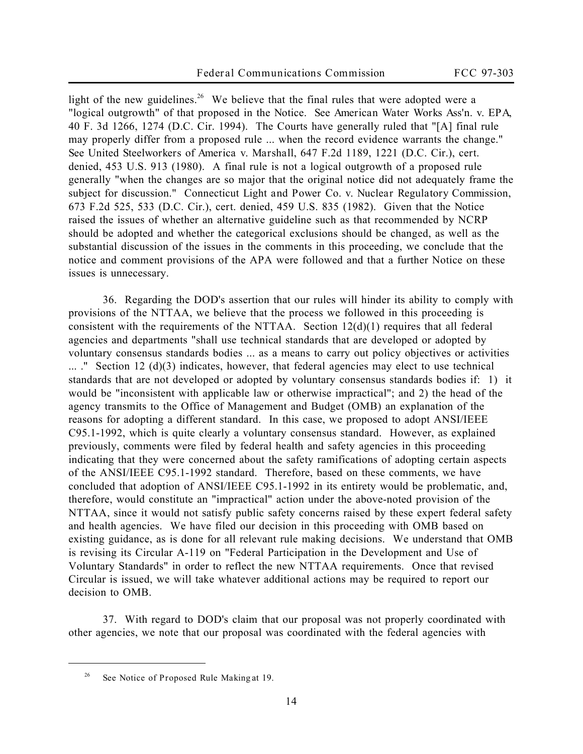light of the new guidelines.<sup>26</sup> We believe that the final rules that were adopted were a "logical outgrowth" of that proposed in the *Notice*. *See American Water Works Ass'n. v. EPA*, 40 F. 3d 1266, 1274 (D.C. Cir. 1994). The Courts have generally ruled that "[A] final rule may properly differ from a proposed rule ... when the record evidence warrants the change." *See United Steelworkers of America v. Marshall*, 647 F.2d 1189, 1221 (D.C. Cir.), *cert. denied*, 453 U.S. 913 (1980). A final rule is not a logical outgrowth of a proposed rule generally "when the changes are so major that the original notice did not adequately frame the subject for discussion." *Connecticut Light and Power Co. v. Nuclear Regulatory Commission*, 673 F.2d 525, 533 (D.C. Cir.), *cert. denied*, 459 U.S. 835 (1982). Given that the *Notice* raised the issues of whether an alternative guideline such as that recommended by NCRP should be adopted and whether the categorical exclusions should be changed, as well as the substantial discussion of the issues in the comments in this proceeding, we conclude that the notice and comment provisions of the APA were followed and that a further Notice on these issues is unnecessary.

36. Regarding the DOD's assertion that our rules will hinder its ability to comply with provisions of the NTTAA, we believe that the process we followed in this proceeding is consistent with the requirements of the NTTAA. Section  $12(d)(1)$  requires that all federal agencies and departments "shall use technical standards that are developed or adopted by voluntary consensus standards bodies ... as a means to carry out policy objectives or activities ... ." Section 12 (d)(3) indicates, however, that federal agencies may elect to use technical standards that are not developed or adopted by voluntary consensus standards bodies if: 1) it would be "inconsistent with applicable law or otherwise impractical"; and 2) the head of the agency transmits to the Office of Management and Budget (OMB) an explanation of the reasons for adopting a different standard. In this case, we proposed to adopt ANSI/IEEE C95.1-1992, which is quite clearly a voluntary consensus standard. However, as explained previously, comments were filed by federal health and safety agencies in this proceeding indicating that they were concerned about the safety ramifications of adopting certain aspects of the ANSI/IEEE C95.1-1992 standard. Therefore, based on these comments, we have concluded that adoption of ANSI/IEEE C95.1-1992 in its entirety would be problematic, and, therefore, would constitute an "impractical" action under the above-noted provision of the NTTAA, since it would not satisfy public safety concerns raised by these expert federal safety and health agencies. We have filed our decision in this proceeding with OMB based on existing guidance, as is done for all relevant rule making decisions. We understand that OMB is revising its Circular A-119 on "Federal Participation in the Development and Use of Voluntary Standards" in order to reflect the new NTTAA requirements. Once that revised Circular is issued, we will take whatever additional actions may be required to report our decision to OMB.

37. With regard to DOD's claim that our proposal was not properly coordinated with other agencies, we note that our proposal was coordinated with the federal agencies with

<sup>26</sup> *See Notice of Proposed Rule Making* at 19.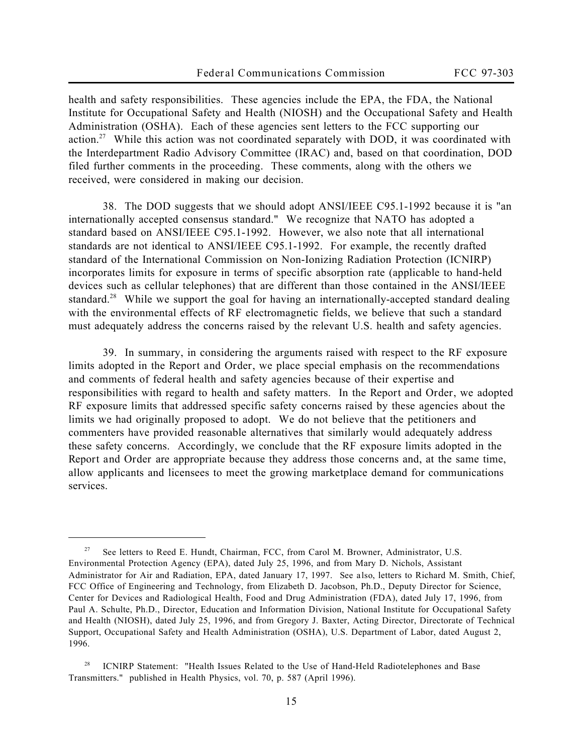health and safety responsibilities. These agencies include the EPA, the FDA, the National Institute for Occupational Safety and Health (NIOSH) and the Occupational Safety and Health Administration (OSHA). Each of these agencies sent letters to the FCC supporting our action.<sup>27</sup> While this action was not coordinated separately with DOD, it was coordinated with the Interdepartment Radio Advisory Committee (IRAC) and, based on that coordination, DOD filed further comments in the proceeding. These comments, along with the others we received, were considered in making our decision.

38. The DOD suggests that we should adopt ANSI/IEEE C95.1-1992 because it is "an internationally accepted consensus standard." We recognize that NATO has adopted a standard based on ANSI/IEEE C95.1-1992. However, we also note that all international standards are not identical to ANSI/IEEE C95.1-1992. For example, the recently drafted standard of the International Commission on Non-Ionizing Radiation Protection (ICNIRP) incorporates limits for exposure in terms of specific absorption rate (applicable to hand-held devices such as cellular telephones) that are different than those contained in the ANSI/IEEE standard.<sup>28</sup> While we support the goal for having an internationally-accepted standard dealing with the environmental effects of RF electromagnetic fields, we believe that such a standard must adequately address the concerns raised by the relevant U.S. health and safety agencies.

39. In summary, in considering the arguments raised with respect to the RF exposure limits adopted in the *Report and Order*, we place special emphasis on the recommendations and comments of federal health and safety agencies because of their expertise and responsibilities with regard to health and safety matters. In the *Report and Order*, we adopted RF exposure limits that addressed specific safety concerns raised by these agencies about the limits we had originally proposed to adopt. We do not believe that the petitioners and commenters have provided reasonable alternatives that similarly would adequately address these safety concerns. Accordingly, we conclude that the RF exposure limits adopted in the *Report and Order* are appropriate because they address those concerns and, at the same time, allow applicants and licensees to meet the growing marketplace demand for communications services.

<sup>27</sup> *See* letters to Reed E. Hundt, Chairman, FCC, from Carol M. Browner, Administrator, U.S. Environmental Protection Agency (EPA), dated July 25, 1996, and from Mary D. Nichols, Assistant Administrator for Air and Radiation, EPA, dated January 17, 1997. *See also*, letters to Richard M. Smith, Chief, FCC Office of Engineering and Technology, from Elizabeth D. Jacobson, Ph.D., Deputy Director for Science, Center for Devices and Radiological Health, Food and Drug Administration (FDA), dated July 17, 1996, from Paul A. Schulte, Ph.D., Director, Education and Information Division, National Institute for Occupational Safety and Health (NIOSH), dated July 25, 1996, and from Gregory J. Baxter, Acting Director, Directorate of Technical Support, Occupational Safety and Health Administration (OSHA), U.S. Department of Labor, dated August 2, 1996.

ICNIRP Statement: "Health Issues Related to the Use of Hand-Held Radiotelephones and Base Transmitters." published in Health Physics, vol. 70, p. 587 (April 1996).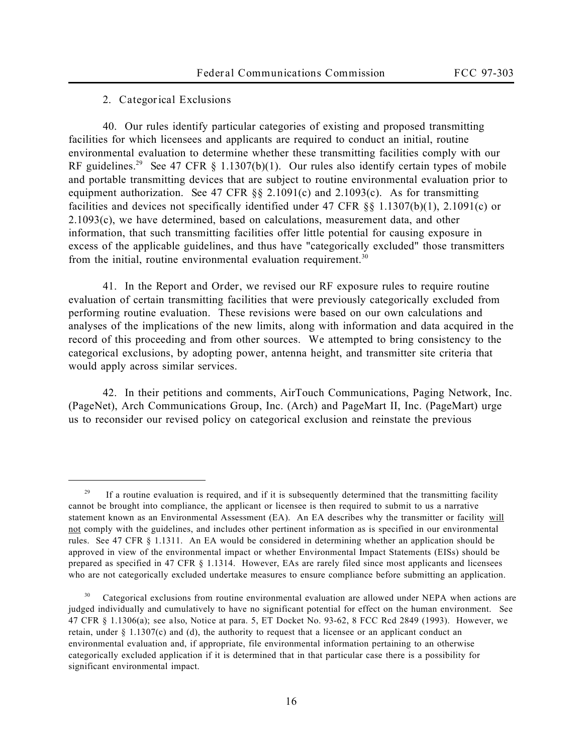### **2. Categorical Exclusions**

 $\overline{a}$ 

40. Our rules identify particular categories of existing and proposed transmitting facilities for which licensees and applicants are required to conduct an initial, routine environmental evaluation to determine whether these transmitting facilities comply with our RF guidelines.<sup>29</sup> *See* 47 CFR § 1.1307(b)(1). Our rules also identify certain types of mobile and portable transmitting devices that are subject to routine environmental evaluation prior to equipment authorization. *See* 47 CFR §§ 2.1091(c) and 2.1093(c). As for transmitting facilities and devices not specifically identified under 47 CFR §§ 1.1307(b)(1), 2.1091(c) or 2.1093(c), we have determined, based on calculations, measurement data, and other information, that such transmitting facilities offer little potential for causing exposure in excess of the applicable guidelines, and thus have "categorically excluded" those transmitters from the initial, routine environmental evaluation requirement.<sup>30</sup>

41. In the *Report and Order*, we revised our RF exposure rules to require routine evaluation of certain transmitting facilities that were previously categorically excluded from performing routine evaluation. These revisions were based on our own calculations and analyses of the implications of the new limits, along with information and data acquired in the record of this proceeding and from other sources. We attempted to bring consistency to the categorical exclusions, by adopting power, antenna height, and transmitter site criteria that would apply across similar services.

42. In their petitions and comments, AirTouch Communications, Paging Network, Inc. (PageNet), Arch Communications Group, Inc. (Arch) and PageMart II, Inc. (PageMart) urge us to reconsider our revised policy on categorical exclusion and reinstate the previous

 $29$  If a routine evaluation is required, and if it is subsequently determined that the transmitting facility cannot be brought into compliance, the applicant or licensee is then required to submit to us a narrative statement known as an Environmental Assessment (EA). An EA describes why the transmitter or facility will not comply with the guidelines, and includes other pertinent information as is specified in our environmental rules. *See* 47 CFR § 1.1311. An EA would be considered in determining whether an application should be approved in view of the environmental impact or whether Environmental Impact Statements (EISs) should be prepared as specified in 47 CFR § 1.1314. However, EAs are rarely filed since most applicants and licensees who are not categorically excluded undertake measures to ensure compliance before submitting an application.

<sup>30</sup> Categorical exclusions from routine environmental evaluation are allowed under NEPA when actions are judged individually and cumulatively to have no significant potential for effect on the human environment. *See* 47 CFR § 1.1306(a); *see also*, *Notice* at para. 5, ET Docket No. 93-62, 8 FCC Rcd 2849 (1993). However, we retain, under § 1.1307(c) and (d), the authority to request that a licensee or an applicant conduct an environmental evaluation and, if appropriate, file environmental information pertaining to an otherwise categorically excluded application if it is determined that in that particular case there is a possibility for significant environmental impact.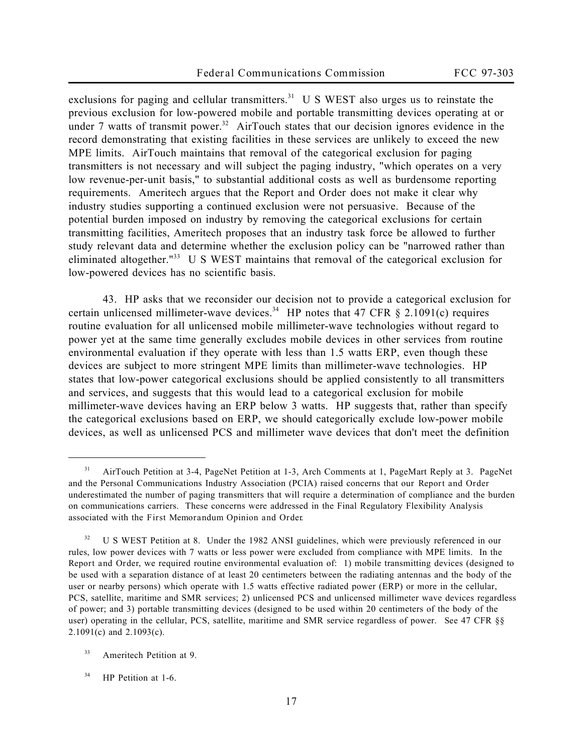exclusions for paging and cellular transmitters.<sup>31</sup> U S WEST also urges us to reinstate the previous exclusion for low-powered mobile and portable transmitting devices operating at or under 7 watts of transmit power.<sup>32</sup> AirTouch states that our decision ignores evidence in the record demonstrating that existing facilities in these services are unlikely to exceed the new MPE limits. AirTouch maintains that removal of the categorical exclusion for paging transmitters is not necessary and will subject the paging industry, "which operates on a very low revenue-per-unit basis," to substantial additional costs as well as burdensome reporting requirements. Ameritech argues that the *Report and Order* does not make it clear why industry studies supporting a continued exclusion were not persuasive. Because of the potential burden imposed on industry by removing the categorical exclusions for certain transmitting facilities, Ameritech proposes that an industry task force be allowed to further study relevant data and determine whether the exclusion policy can be "narrowed rather than eliminated altogether."<sup>33</sup> U S WEST maintains that removal of the categorical exclusion for low-powered devices has no scientific basis.

43. HP asks that we reconsider our decision not to provide a categorical exclusion for certain unlicensed millimeter-wave devices.<sup>34</sup> HP notes that 47 CFR § 2.1091(c) requires routine evaluation for all unlicensed mobile millimeter-wave technologies without regard to power yet at the same time generally excludes mobile devices in other services from routine environmental evaluation if they operate with less than 1.5 watts ERP, even though these devices are subject to more stringent MPE limits than millimeter-wave technologies. HP states that low-power categorical exclusions should be applied consistently to all transmitters and services, and suggests that this would lead to a categorical exclusion for mobile millimeter-wave devices having an ERP below 3 watts. HP suggests that, rather than specify the categorical exclusions based on ERP, we should categorically exclude low-power mobile devices, as well as unlicensed PCS and millimeter wave devices that don't meet the definition

<sup>&</sup>lt;sup>31</sup> AirTouch Petition at 3-4, PageNet Petition at 1-3, Arch Comments at 1, PageMart Reply at 3. PageNet and the Personal Communications Industry Association (PCIA) raised concerns that our *Report and Order* underestimated the number of paging transmitters that will require a determination of compliance and the burden on communications carriers. These concerns were addressed in the Final Regulatory Flexibility Analysis associated with the *First Memorandum Opinion and Order*.

<sup>32</sup> U S WEST Petition at 8. Under the 1982 ANSI guidelines, which were previously referenced in our rules, low power devices with 7 watts or less power were excluded from compliance with MPE limits. In the *Report and Order*, we required routine environmental evaluation of: 1) mobile transmitting devices (designed to be used with a separation distance of at least 20 centimeters between the radiating antennas and the body of the user or nearby persons) which operate with 1.5 watts effective radiated power (ERP) or more in the cellular, PCS, satellite, maritime and SMR services; 2) unlicensed PCS and unlicensed millimeter wave devices regardless of power; and 3) portable transmitting devices (designed to be used within 20 centimeters of the body of the user) operating in the cellular, PCS, satellite, maritime and SMR service regardless of power. *See* 47 CFR §§ 2.1091(c) and 2.1093(c).

<sup>&</sup>lt;sup>33</sup> Ameritech Petition at 9.

<sup>&</sup>lt;sup>34</sup> HP Petition at 1-6.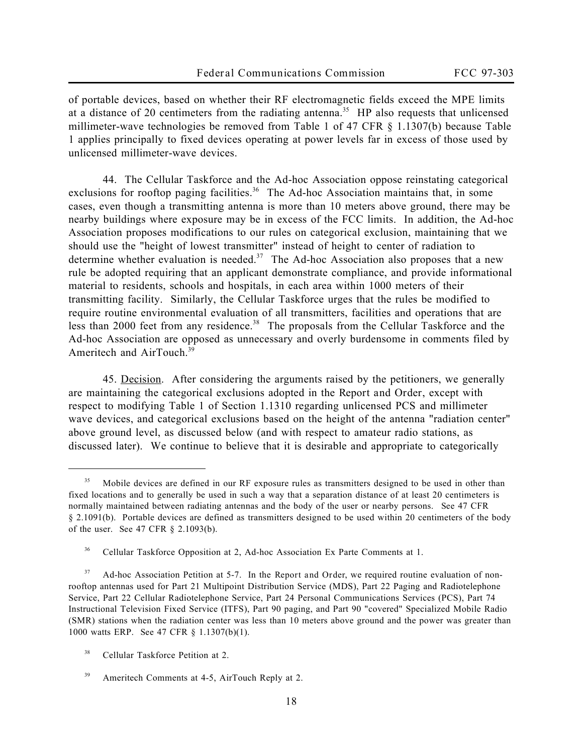of portable devices, based on whether their RF electromagnetic fields exceed the MPE limits at a distance of 20 centimeters from the radiating antenna.<sup>35</sup> HP also requests that unlicensed millimeter-wave technologies be removed from Table 1 of 47 CFR § 1.1307(b) because Table 1 applies principally to fixed devices operating at power levels far in excess of those used by unlicensed millimeter-wave devices.

44. The Cellular Taskforce and the Ad-hoc Association oppose reinstating categorical exclusions for rooftop paging facilities.<sup>36</sup> The Ad-hoc Association maintains that, in some cases, even though a transmitting antenna is more than 10 meters above ground, there may be nearby buildings where exposure may be in excess of the FCC limits. In addition, the Ad-hoc Association proposes modifications to our rules on categorical exclusion, maintaining that we should use the "height of lowest transmitter" instead of height to center of radiation to determine whether evaluation is needed.<sup>37</sup> The Ad-hoc Association also proposes that a new rule be adopted requiring that an applicant demonstrate compliance, and provide informational material to residents, schools and hospitals, in each area within 1000 meters of their transmitting facility. Similarly, the Cellular Taskforce urges that the rules be modified to require routine environmental evaluation of all transmitters, facilities and operations that are less than 2000 feet from any residence.<sup>38</sup> The proposals from the Cellular Taskforce and the Ad-hoc Association are opposed as unnecessary and overly burdensome in comments filed by Ameritech and AirTouch.<sup>39</sup>

45. Decision. After considering the arguments raised by the petitioners, we generally are maintaining the categorical exclusions adopted in the *Report and Order*, except with respect to modifying Table 1 of Section 1.1310 regarding unlicensed PCS and millimeter wave devices, and categorical exclusions based on the height of the antenna "radiation center" above ground level, as discussed below (and with respect to amateur radio stations, as discussed later). We continue to believe that it is desirable and appropriate to categorically

<sup>&</sup>lt;sup>35</sup> Mobile devices are defined in our RF exposure rules as transmitters designed to be used in other than fixed locations and to generally be used in such a way that a separation distance of at least 20 centimeters is normally maintained between radiating antennas and the body of the user or nearby persons. *See* 47 CFR § 2.1091(b). Portable devices are defined as transmitters designed to be used within 20 centimeters of the body of the user. *See* 47 CFR § 2.1093(b).

<sup>&</sup>lt;sup>36</sup> Cellular Taskforce Opposition at 2, Ad-hoc Association Ex Parte Comments at 1.

<sup>37</sup> Ad-hoc Association Petition at 5-7. In the *Report and Order*, we required routine evaluation of nonrooftop antennas used for Part 21 Multipoint Distribution Service (MDS), Part 22 Paging and Radiotelephone Service, Part 22 Cellular Radiotelephone Service, Part 24 Personal Communications Services (PCS), Part 74 Instructional Television Fixed Service (ITFS), Part 90 paging, and Part 90 "covered" Specialized Mobile Radio (SMR) stations when the radiation center was less than 10 meters above ground and the power was greater than 1000 watts ERP. *See* 47 CFR § 1.1307(b)(1).

<sup>&</sup>lt;sup>38</sup> Cellular Taskforce Petition at 2.

<sup>&</sup>lt;sup>39</sup> Ameritech Comments at 4-5, AirTouch Reply at 2.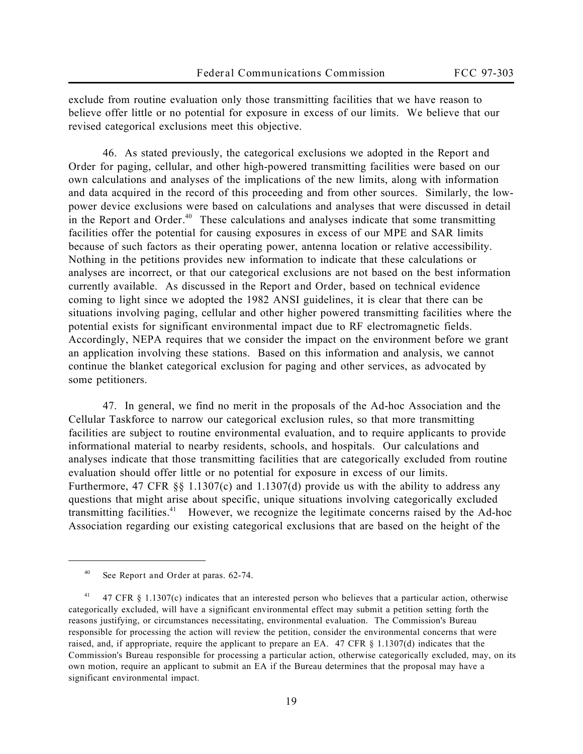exclude from routine evaluation only those transmitting facilities that we have reason to believe offer little or no potential for exposure in excess of our limits. We believe that our revised categorical exclusions meet this objective.

46. As stated previously, the categorical exclusions we adopted in the *Report and Order* for paging, cellular, and other high-powered transmitting facilities were based on our own calculations and analyses of the implications of the new limits, along with information and data acquired in the record of this proceeding and from other sources. Similarly, the lowpower device exclusions were based on calculations and analyses that were discussed in detail in the *Report and Order*. <sup>40</sup> These calculations and analyses indicate that some transmitting facilities offer the potential for causing exposures in excess of our MPE and SAR limits because of such factors as their operating power, antenna location or relative accessibility. Nothing in the petitions provides new information to indicate that these calculations or analyses are incorrect, or that our categorical exclusions are not based on the best information currently available. As discussed in the *Report and Order*, based on technical evidence coming to light since we adopted the 1982 ANSI guidelines, it is clear that there can be situations involving paging, cellular and other higher powered transmitting facilities where the potential exists for significant environmental impact due to RF electromagnetic fields. Accordingly, NEPA requires that we consider the impact on the environment before we grant an application involving these stations. Based on this information and analysis, we cannot continue the blanket categorical exclusion for paging and other services, as advocated by some petitioners.

47. In general, we find no merit in the proposals of the Ad-hoc Association and the Cellular Taskforce to narrow our categorical exclusion rules, so that more transmitting facilities are subject to routine environmental evaluation, and to require applicants to provide informational material to nearby residents, schools, and hospitals. Our calculations and analyses indicate that those transmitting facilities that are categorically excluded from routine evaluation should offer little or no potential for exposure in excess of our limits. Furthermore, 47 CFR §§ 1.1307(c) and 1.1307(d) provide us with the ability to address any questions that might arise about specific, unique situations involving categorically excluded transmitting facilities.<sup>41</sup> However, we recognize the legitimate concerns raised by the Ad-hoc Association regarding our existing categorical exclusions that are based on the height of the

<sup>40</sup> *See Report and Order* at paras. 62-74.

<sup>41</sup> 47 CFR § 1.1307(c) indicates that an interested person who believes that a particular action, otherwise categorically excluded, will have a significant environmental effect may submit a petition setting forth the reasons justifying, or circumstances necessitating, environmental evaluation. The Commission's Bureau responsible for processing the action will review the petition, consider the environmental concerns that were raised, and, if appropriate, require the applicant to prepare an EA. 47 CFR § 1.1307(d) indicates that the Commission's Bureau responsible for processing a particular action, otherwise categorically excluded, may, on its own motion, require an applicant to submit an EA if the Bureau determines that the proposal may have a significant environmental impact.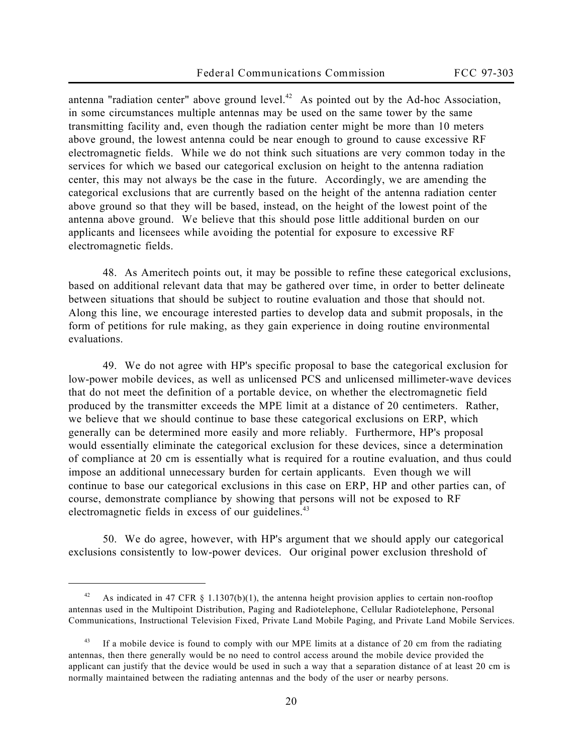antenna "radiation center" above ground level.<sup>42</sup> As pointed out by the Ad-hoc Association, in some circumstances multiple antennas may be used on the same tower by the same transmitting facility and, even though the radiation center might be more than 10 meters above ground, the lowest antenna could be near enough to ground to cause excessive RF electromagnetic fields. While we do not think such situations are very common today in the services for which we based our categorical exclusion on height to the antenna radiation center, this may not always be the case in the future. Accordingly, we are amending the categorical exclusions that are currently based on the height of the antenna radiation center above ground so that they will be based, instead, on the height of the lowest point of the antenna above ground. We believe that this should pose little additional burden on our applicants and licensees while avoiding the potential for exposure to excessive RF electromagnetic fields.

48. As Ameritech points out, it may be possible to refine these categorical exclusions, based on additional relevant data that may be gathered over time, in order to better delineate between situations that should be subject to routine evaluation and those that should not. Along this line, we encourage interested parties to develop data and submit proposals, in the form of petitions for rule making, as they gain experience in doing routine environmental evaluations.

49. We do not agree with HP's specific proposal to base the categorical exclusion for low-power mobile devices, as well as unlicensed PCS and unlicensed millimeter-wave devices that do not meet the definition of a portable device, on whether the electromagnetic field produced by the transmitter exceeds the MPE limit at a distance of 20 centimeters. Rather, we believe that we should continue to base these categorical exclusions on ERP, which generally can be determined more easily and more reliably. Furthermore, HP's proposal would essentially eliminate the categorical exclusion for these devices, since a determination of compliance at 20 cm is essentially what is required for a routine evaluation, and thus could impose an additional unnecessary burden for certain applicants. Even though we will continue to base our categorical exclusions in this case on ERP, HP and other parties can, of course, demonstrate compliance by showing that persons will not be exposed to RF electromagnetic fields in excess of our guidelines.<sup>43</sup>

50. We do agree, however, with HP's argument that we should apply our categorical exclusions consistently to low-power devices. Our original power exclusion threshold of

<sup>&</sup>lt;sup>42</sup> As indicated in 47 CFR § 1.1307(b)(1), the antenna height provision applies to certain non-rooftop antennas used in the Multipoint Distribution, Paging and Radiotelephone, Cellular Radiotelephone, Personal Communications, Instructional Television Fixed, Private Land Mobile Paging, and Private Land Mobile Services.

If a mobile device is found to comply with our MPE limits at a distance of 20 cm from the radiating antennas, then there generally would be no need to control access around the mobile device provided the applicant can justify that the device would be used in such a way that a separation distance of at least 20 cm is normally maintained between the radiating antennas and the body of the user or nearby persons.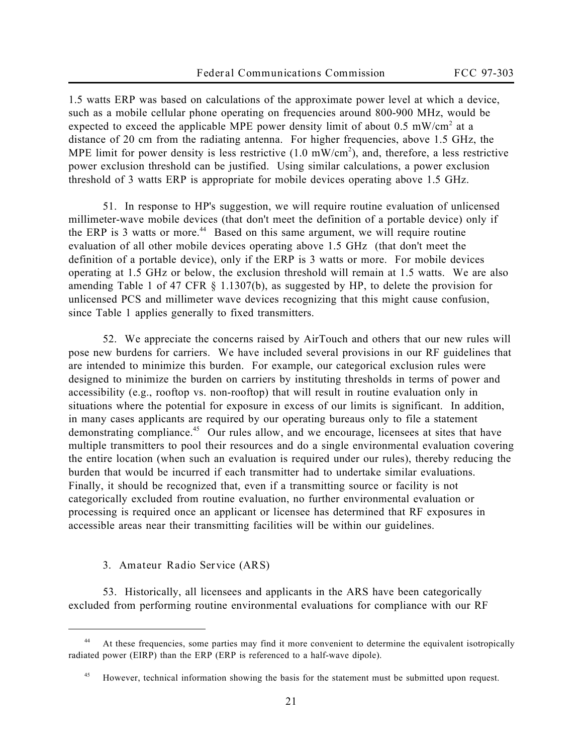1.5 watts ERP was based on calculations of the approximate power level at which a device, such as a mobile cellular phone operating on frequencies around 800-900 MHz, would be expected to exceed the applicable MPE power density limit of about  $0.5 \text{ mW/cm}^2$  at a distance of 20 cm from the radiating antenna. For higher frequencies, above 1.5 GHz, the MPE limit for power density is less restrictive  $(1.0 \text{ mW/cm}^2)$ , and, therefore, a less restrictive power exclusion threshold can be justified. Using similar calculations, a power exclusion threshold of 3 watts ERP is appropriate for mobile devices operating above 1.5 GHz.

51. In response to HP's suggestion, we will require routine evaluation of unlicensed millimeter-wave mobile devices (that don't meet the definition of a portable device) only if the ERP is 3 watts or more.<sup>44</sup> Based on this same argument, we will require routine evaluation of all other mobile devices operating above 1.5 GHz (that don't meet the definition of a portable device), only if the ERP is 3 watts or more. For mobile devices operating at 1.5 GHz or below, the exclusion threshold will remain at 1.5 watts. We are also amending Table 1 of 47 CFR § 1.1307(b), as suggested by HP, to delete the provision for unlicensed PCS and millimeter wave devices recognizing that this might cause confusion, since Table 1 applies generally to fixed transmitters.

52. We appreciate the concerns raised by AirTouch and others that our new rules will pose new burdens for carriers. We have included several provisions in our RF guidelines that are intended to minimize this burden. For example, our categorical exclusion rules were designed to minimize the burden on carriers by instituting thresholds in terms of power and accessibility (e.g., rooftop vs. non-rooftop) that will result in routine evaluation only in situations where the potential for exposure in excess of our limits is significant. In addition, in many cases applicants are required by our operating bureaus only to file a statement demonstrating compliance.<sup>45</sup> Our rules allow, and we encourage, licensees at sites that have multiple transmitters to pool their resources and do a single environmental evaluation covering the entire location (when such an evaluation is required under our rules), thereby reducing the burden that would be incurred if each transmitter had to undertake similar evaluations. Finally, it should be recognized that, even if a transmitting source or facility is not categorically excluded from routine evaluation, no further environmental evaluation or processing is required once an applicant or licensee has determined that RF exposures in accessible areas near their transmitting facilities will be within our guidelines.

**3. Amateur Radio Service (ARS)**

 $\overline{a}$ 

53. Historically, all licensees and applicants in the ARS have been categorically excluded from performing routine environmental evaluations for compliance with our RF

<sup>44</sup> At these frequencies, some parties may find it more convenient to determine the equivalent isotropically radiated power (EIRP) than the ERP (ERP is referenced to a half-wave dipole).

<sup>&</sup>lt;sup>45</sup> However, technical information showing the basis for the statement must be submitted upon request.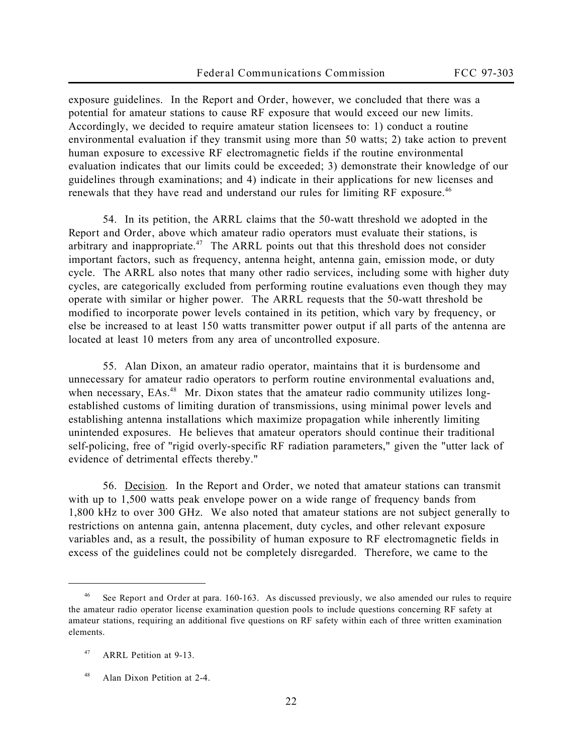exposure guidelines. In the *Report and Order*, however, we concluded that there was a potential for amateur stations to cause RF exposure that would exceed our new limits. Accordingly, we decided to require amateur station licensees to: 1) conduct a routine environmental evaluation if they transmit using more than 50 watts; 2) take action to prevent human exposure to excessive RF electromagnetic fields if the routine environmental evaluation indicates that our limits could be exceeded; 3) demonstrate their knowledge of our guidelines through examinations; and 4) indicate in their applications for new licenses and renewals that they have read and understand our rules for limiting RF exposure.<sup>46</sup>

54. In its petition, the ARRL claims that the 50-watt threshold we adopted in the *Report and Order*, above which amateur radio operators must evaluate their stations, is arbitrary and inappropriate.<sup>47</sup> The ARRL points out that this threshold does not consider important factors, such as frequency, antenna height, antenna gain, emission mode, or duty cycle. The ARRL also notes that many other radio services, including some with higher duty cycles, are categorically excluded from performing routine evaluations even though they may operate with similar or higher power. The ARRL requests that the 50-watt threshold be modified to incorporate power levels contained in its petition, which vary by frequency, or else be increased to at least 150 watts transmitter power output if all parts of the antenna are located at least 10 meters from any area of uncontrolled exposure.

55. Alan Dixon, an amateur radio operator, maintains that it is burdensome and unnecessary for amateur radio operators to perform routine environmental evaluations and, when necessary, EAs.<sup>48</sup> Mr. Dixon states that the amateur radio community utilizes longestablished customs of limiting duration of transmissions, using minimal power levels and establishing antenna installations which maximize propagation while inherently limiting unintended exposures. He believes that amateur operators should continue their traditional self-policing, free of "rigid overly-specific RF radiation parameters," given the "utter lack of evidence of detrimental effects thereby."

56. Decision. In the *Report and Order*, we noted that amateur stations can transmit with up to 1,500 watts peak envelope power on a wide range of frequency bands from 1,800 kHz to over 300 GHz. We also noted that amateur stations are not subject generally to restrictions on antenna gain, antenna placement, duty cycles, and other relevant exposure variables and, as a result, the possibility of human exposure to RF electromagnetic fields in excess of the guidelines could not be completely disregarded. Therefore, we came to the

See Report and Order at para. 160-163. As discussed previously, we also amended our rules to require the amateur radio operator license examination question pools to include questions concerning RF safety at amateur stations, requiring an additional five questions on RF safety within each of three written examination elements.

<sup>47</sup> ARRL Petition at 9-13.

<sup>48</sup> Alan Dixon Petition at 2-4.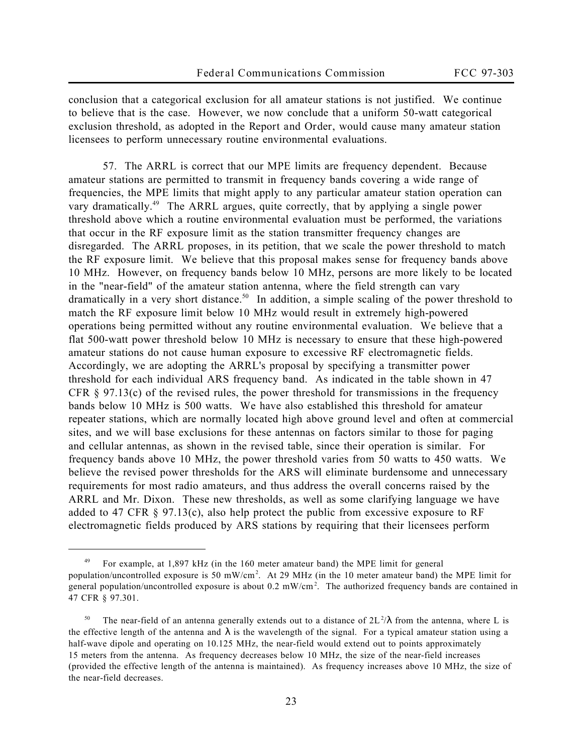conclusion that a categorical exclusion for all amateur stations is not justified. We continue to believe that is the case. However, we now conclude that a uniform 50-watt categorical exclusion threshold, as adopted in the *Report and Order*, would cause many amateur station licensees to perform unnecessary routine environmental evaluations.

57. The ARRL is correct that our MPE limits are frequency dependent. Because amateur stations are permitted to transmit in frequency bands covering a wide range of frequencies, the MPE limits that might apply to any particular amateur station operation can vary dramatically.<sup>49</sup> The ARRL argues, quite correctly, that by applying a single power threshold above which a routine environmental evaluation must be performed, the variations that occur in the RF exposure limit as the station transmitter frequency changes are disregarded. The ARRL proposes, in its petition, that we scale the power threshold to match the RF exposure limit. We believe that this proposal makes sense for frequency bands above 10 MHz. However, on frequency bands below 10 MHz, persons are more likely to be located in the "near-field" of the amateur station antenna, where the field strength can vary dramatically in a very short distance.<sup>50</sup> In addition, a simple scaling of the power threshold to match the RF exposure limit below 10 MHz would result in extremely high-powered operations being permitted without any routine environmental evaluation. We believe that a flat 500-watt power threshold below 10 MHz is necessary to ensure that these high-powered amateur stations do not cause human exposure to excessive RF electromagnetic fields. Accordingly, we are adopting the ARRL's proposal by specifying a transmitter power threshold for each individual ARS frequency band. As indicated in the table shown in 47 CFR  $\S$  97.13(c) of the revised rules, the power threshold for transmissions in the frequency bands below 10 MHz is 500 watts. We have also established this threshold for amateur repeater stations, which are normally located high above ground level and often at commercial sites, and we will base exclusions for these antennas on factors similar to those for paging and cellular antennas, as shown in the revised table, since their operation is similar. For frequency bands above 10 MHz, the power threshold varies from 50 watts to 450 watts. We believe the revised power thresholds for the ARS will eliminate burdensome and unnecessary requirements for most radio amateurs, and thus address the overall concerns raised by the ARRL and Mr. Dixon. These new thresholds, as well as some clarifying language we have added to 47 CFR § 97.13(c), also help protect the public from excessive exposure to RF electromagnetic fields produced by ARS stations by requiring that their licensees perform

<sup>49</sup> For example, at 1,897 kHz (in the 160 meter amateur band) the MPE limit for general population/uncontrolled exposure is 50 mW/cm<sup>2</sup> . At 29 MHz (in the 10 meter amateur band) the MPE limit for general population/uncontrolled exposure is about 0.2 mW/cm<sup>2</sup>. The authorized frequency bands are contained in 47 CFR § 97.301.

<sup>&</sup>lt;sup>50</sup> The near-field of an antenna generally extends out to a distance of  $2L^2/\lambda$  from the antenna, where L is the effective length of the antenna and  $\lambda$  is the wavelength of the signal. For a typical amateur station using a half-wave dipole and operating on 10.125 MHz, the near-field would extend out to points approximately 15 meters from the antenna. As frequency decreases below 10 MHz, the size of the near-field increases (provided the effective length of the antenna is maintained). As frequency increases above 10 MHz, the size of the near-field decreases.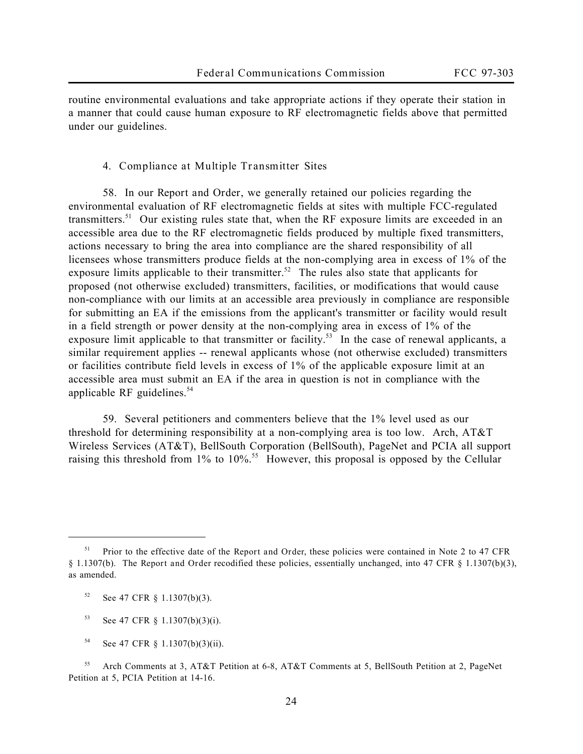routine environmental evaluations and take appropriate actions if they operate their station in a manner that could cause human exposure to RF electromagnetic fields above that permitted under our guidelines.

**4. Compliance at Multiple Transmitter Sites**

58. In our *Report and Order*, we generally retained our policies regarding the environmental evaluation of RF electromagnetic fields at sites with multiple FCC-regulated transmitters.<sup>51</sup> Our existing rules state that, when the RF exposure limits are exceeded in an accessible area due to the RF electromagnetic fields produced by multiple fixed transmitters, actions necessary to bring the area into compliance are the shared responsibility of all licensees whose transmitters produce fields at the non-complying area in excess of 1% of the exposure limits applicable to their transmitter.<sup>52</sup> The rules also state that applicants for proposed (not otherwise excluded) transmitters, facilities, or modifications that would cause non-compliance with our limits at an accessible area previously in compliance are responsible for submitting an EA if the emissions from the applicant's transmitter or facility would result in a field strength or power density at the non-complying area in excess of 1% of the exposure limit applicable to that transmitter or facility.<sup>53</sup> In the case of renewal applicants, a similar requirement applies -- renewal applicants whose (not otherwise excluded) transmitters or facilities contribute field levels in excess of 1% of the applicable exposure limit at an accessible area must submit an EA if the area in question is not in compliance with the applicable RF guidelines. $54$ 

59. Several petitioners and commenters believe that the 1% level used as our threshold for determining responsibility at a non-complying area is too low. Arch, AT&T Wireless Services (AT&T), BellSouth Corporation (BellSouth), PageNet and PCIA all support raising this threshold from  $1\%$  to  $10\%$ .<sup>55</sup> However, this proposal is opposed by the Cellular

<sup>52</sup> *See* 47 CFR § 1.1307(b)(3).

- <sup>53</sup> *See* 47 CFR § 1.1307(b)(3)(i).
- <sup>54</sup> *See* 47 CFR § 1.1307(b)(3)(ii).

<sup>51</sup> Prior to the effective date of the *Report and Order*, these policies were contained in Note 2 to 47 CFR § 1.1307(b). The *Report and Order* recodified these policies, essentially unchanged, into 47 CFR § 1.1307(b)(3), as amended.

<sup>55</sup> Arch Comments at 3, AT&T Petition at 6-8, AT&T Comments at 5, BellSouth Petition at 2, PageNet Petition at 5, PCIA Petition at 14-16.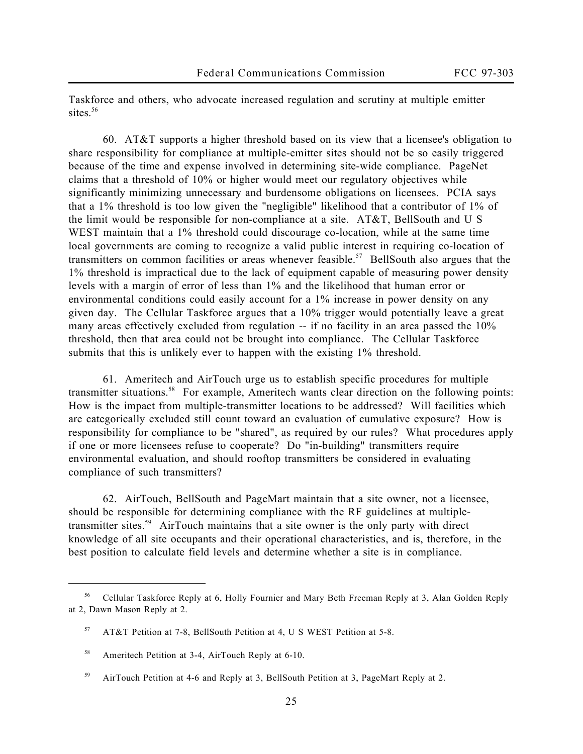Taskforce and others, who advocate increased regulation and scrutiny at multiple emitter sites.<sup>56</sup>

60. AT&T supports a higher threshold based on its view that a licensee's obligation to share responsibility for compliance at multiple-emitter sites should not be so easily triggered because of the time and expense involved in determining site-wide compliance. PageNet claims that a threshold of 10% or higher would meet our regulatory objectives while significantly minimizing unnecessary and burdensome obligations on licensees. PCIA says that a 1% threshold is too low given the "negligible" likelihood that a contributor of 1% of the limit would be responsible for non-compliance at a site. AT&T, BellSouth and U S WEST maintain that a 1% threshold could discourage co-location, while at the same time local governments are coming to recognize a valid public interest in requiring co-location of transmitters on common facilities or areas whenever feasible.<sup>57</sup> BellSouth also argues that the 1% threshold is impractical due to the lack of equipment capable of measuring power density levels with a margin of error of less than 1% and the likelihood that human error or environmental conditions could easily account for a 1% increase in power density on any given day. The Cellular Taskforce argues that a 10% trigger would potentially leave a great many areas effectively excluded from regulation -- if no facility in an area passed the 10% threshold, then that area could not be brought into compliance. The Cellular Taskforce submits that this is unlikely ever to happen with the existing 1% threshold.

61. Ameritech and AirTouch urge us to establish specific procedures for multiple transmitter situations.<sup>58</sup> For example, Ameritech wants clear direction on the following points: How is the impact from multiple-transmitter locations to be addressed? Will facilities which are categorically excluded still count toward an evaluation of cumulative exposure? How is responsibility for compliance to be "shared", as required by our rules? What procedures apply if one or more licensees refuse to cooperate? Do "in-building" transmitters require environmental evaluation, and should rooftop transmitters be considered in evaluating compliance of such transmitters?

62. AirTouch, BellSouth and PageMart maintain that a site owner, not a licensee, should be responsible for determining compliance with the RF guidelines at multipletransmitter sites.<sup>59</sup> AirTouch maintains that a site owner is the only party with direct knowledge of all site occupants and their operational characteristics, and is, therefore, in the best position to calculate field levels and determine whether a site is in compliance.

<sup>56</sup> Cellular Taskforce Reply at 6, Holly Fournier and Mary Beth Freeman Reply at 3, Alan Golden Reply at 2, Dawn Mason Reply at 2.

<sup>57</sup> AT&T Petition at 7-8, BellSouth Petition at 4, U S WEST Petition at 5-8.

<sup>58</sup> Ameritech Petition at 3-4, AirTouch Reply at 6-10.

<sup>59</sup> AirTouch Petition at 4-6 and Reply at 3, BellSouth Petition at 3, PageMart Reply at 2.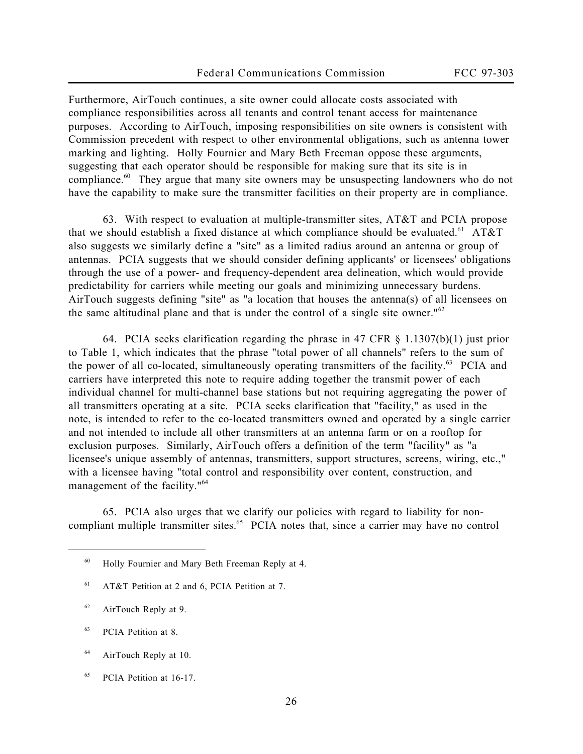Furthermore, AirTouch continues, a site owner could allocate costs associated with compliance responsibilities across all tenants and control tenant access for maintenance purposes. According to AirTouch, imposing responsibilities on site owners is consistent with Commission precedent with respect to other environmental obligations, such as antenna tower marking and lighting. Holly Fournier and Mary Beth Freeman oppose these arguments, suggesting that each operator should be responsible for making sure that its site is in compliance.<sup>60</sup> They argue that many site owners may be unsuspecting landowners who do not have the capability to make sure the transmitter facilities on their property are in compliance.

63. With respect to evaluation at multiple-transmitter sites, AT&T and PCIA propose that we should establish a fixed distance at which compliance should be evaluated.<sup>61</sup> AT&T also suggests we similarly define a "site" as a limited radius around an antenna or group of antennas. PCIA suggests that we should consider defining applicants' or licensees' obligations through the use of a power- and frequency-dependent area delineation, which would provide predictability for carriers while meeting our goals and minimizing unnecessary burdens. AirTouch suggests defining "site" as "a location that houses the antenna(s) of all licensees on the same altitudinal plane and that is under the control of a single site owner." $62$ 

64. PCIA seeks clarification regarding the phrase in 47 CFR § 1.1307(b)(1) just prior to Table 1, which indicates that the phrase "total power of all channels" refers to the sum of the power of all co-located, simultaneously operating transmitters of the facility.<sup>63</sup> PCIA and carriers have interpreted this note to require adding together the transmit power of each individual channel for multi-channel base stations but not requiring aggregating the power of all transmitters operating at a site. PCIA seeks clarification that "facility," as used in the note, is intended to refer to the co-located transmitters owned and operated by a single carrier and not intended to include all other transmitters at an antenna farm or on a rooftop for exclusion purposes. Similarly, AirTouch offers a definition of the term "facility" as "a licensee's unique assembly of antennas, transmitters, support structures, screens, wiring, etc.," with a licensee having "total control and responsibility over content, construction, and management of the facility."<sup>64</sup>

65. PCIA also urges that we clarify our policies with regard to liability for noncompliant multiple transmitter sites.<sup>65</sup> PCIA notes that, since a carrier may have no control

- <sup>64</sup> AirTouch Reply at 10.
- <sup>65</sup> PCIA Petition at 16-17.

<sup>60</sup> Holly Fournier and Mary Beth Freeman Reply at 4.

<sup>61</sup> AT&T Petition at 2 and 6, PCIA Petition at 7.

<sup>62</sup> AirTouch Reply at 9.

<sup>63</sup> PCIA Petition at 8.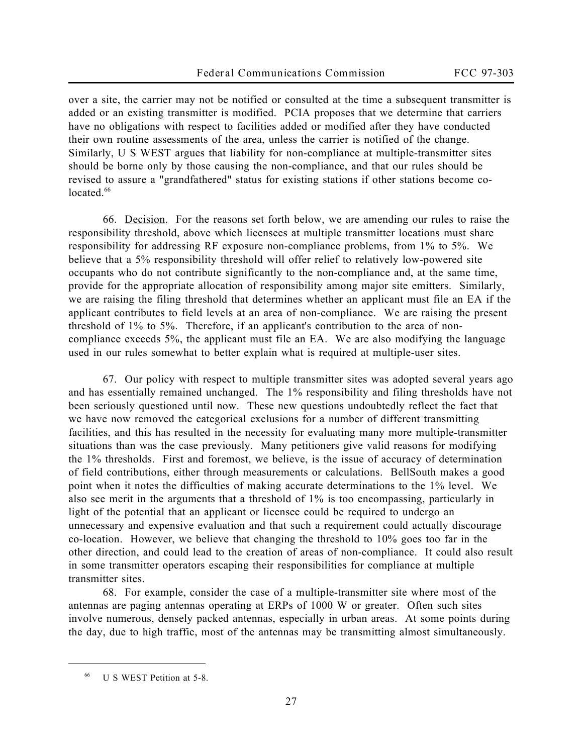over a site, the carrier may not be notified or consulted at the time a subsequent transmitter is added or an existing transmitter is modified. PCIA proposes that we determine that carriers have no obligations with respect to facilities added or modified after they have conducted their own routine assessments of the area, unless the carrier is notified of the change. Similarly, U S WEST argues that liability for non-compliance at multiple-transmitter sites should be borne only by those causing the non-compliance, and that our rules should be revised to assure a "grandfathered" status for existing stations if other stations become colocated.<sup>66</sup>

66. Decision. For the reasons set forth below, we are amending our rules to raise the responsibility threshold, above which licensees at multiple transmitter locations must share responsibility for addressing RF exposure non-compliance problems, from 1% to 5%. We believe that a 5% responsibility threshold will offer relief to relatively low-powered site occupants who do not contribute significantly to the non-compliance and, at the same time, provide for the appropriate allocation of responsibility among major site emitters. Similarly, we are raising the filing threshold that determines whether an applicant must file an EA if the applicant contributes to field levels at an area of non-compliance. We are raising the present threshold of 1% to 5%. Therefore, if an applicant's contribution to the area of noncompliance exceeds 5%, the applicant must file an EA. We are also modifying the language used in our rules somewhat to better explain what is required at multiple-user sites.

67. Our policy with respect to multiple transmitter sites was adopted several years ago and has essentially remained unchanged. The 1% responsibility and filing thresholds have not been seriously questioned until now. These new questions undoubtedly reflect the fact that we have now removed the categorical exclusions for a number of different transmitting facilities, and this has resulted in the necessity for evaluating many more multiple-transmitter situations than was the case previously. Many petitioners give valid reasons for modifying the 1% thresholds. First and foremost, we believe, is the issue of accuracy of determination of field contributions, either through measurements or calculations. BellSouth makes a good point when it notes the difficulties of making accurate determinations to the 1% level. We also see merit in the arguments that a threshold of 1% is too encompassing, particularly in light of the potential that an applicant or licensee could be required to undergo an unnecessary and expensive evaluation and that such a requirement could actually discourage co-location. However, we believe that changing the threshold to 10% goes too far in the other direction, and could lead to the creation of areas of non-compliance. It could also result in some transmitter operators escaping their responsibilities for compliance at multiple transmitter sites.

68. For example, consider the case of a multiple-transmitter site where most of the antennas are paging antennas operating at ERPs of 1000 W or greater. Often such sites involve numerous, densely packed antennas, especially in urban areas. At some points during the day, due to high traffic, most of the antennas may be transmitting almost simultaneously.

U S WEST Petition at 5-8.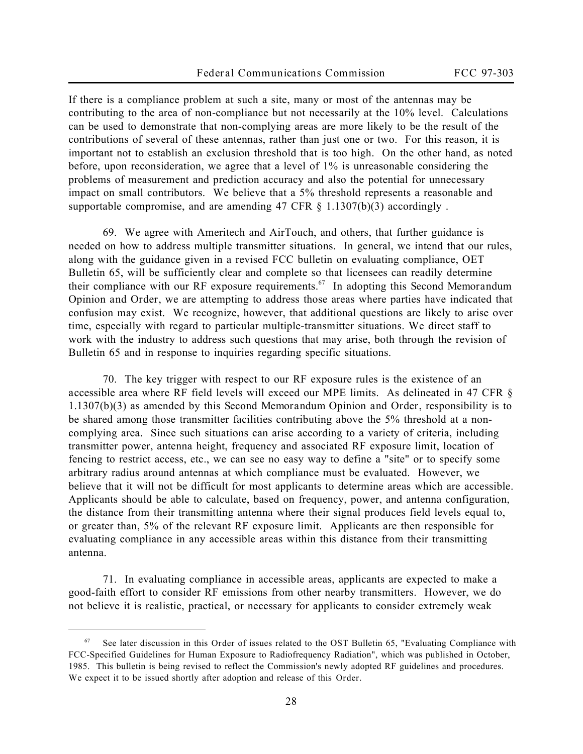If there is a compliance problem at such a site, many or most of the antennas may be contributing to the area of non-compliance but not necessarily at the 10% level. Calculations can be used to demonstrate that non-complying areas are more likely to be the result of the contributions of several of these antennas, rather than just one or two. For this reason, it is important not to establish an exclusion threshold that is too high. On the other hand, as noted before, upon reconsideration, we agree that a level of 1% is unreasonable considering the problems of measurement and prediction accuracy and also the potential for unnecessary impact on small contributors. We believe that a 5% threshold represents a reasonable and supportable compromise, and are amending 47 CFR  $\S$  1.1307(b)(3) accordingly.

69. We agree with Ameritech and AirTouch, and others, that further guidance is needed on how to address multiple transmitter situations. In general, we intend that our rules, along with the guidance given in a revised FCC bulletin on evaluating compliance, OET Bulletin 65, will be sufficiently clear and complete so that licensees can readily determine their compliance with our RF exposure requirements.<sup>67</sup> In adopting this *Second Memorandum Opinion and Order*, we are attempting to address those areas where parties have indicated that confusion may exist. We recognize, however, that additional questions are likely to arise over time, especially with regard to particular multiple-transmitter situations. We direct staff to work with the industry to address such questions that may arise, both through the revision of Bulletin 65 and in response to inquiries regarding specific situations.

70. The key trigger with respect to our RF exposure rules is the existence of an *accessible* area where RF field levels will exceed our MPE limits. As delineated in 47 CFR § 1.1307(b)(3) as amended by this *Second Memorandum Opinion and Order*, responsibility is to be shared among those transmitter facilities contributing above the 5% threshold at a noncomplying area. Since such situations can arise according to a variety of criteria, including transmitter power, antenna height, frequency and associated RF exposure limit, location of fencing to restrict access, etc., we can see no easy way to define a "site" or to specify some arbitrary radius around antennas at which compliance must be evaluated. However, we believe that it will not be difficult for most applicants to determine areas which are accessible. Applicants should be able to calculate, based on frequency, power, and antenna configuration, the distance from their transmitting antenna where their signal produces field levels equal to, or greater than, 5% of the relevant RF exposure limit. Applicants are then responsible for evaluating compliance in any accessible areas within this distance from their transmitting antenna.

71. In evaluating compliance in accessible areas, applicants are expected to make a good-faith effort to consider RF emissions from other nearby transmitters. However, we do not believe it is realistic, practical, or necessary for applicants to consider extremely weak

<sup>67</sup> See later discussion in this *Order* of issues related to the OST Bulletin 65, "Evaluating Compliance with FCC-Specified Guidelines for Human Exposure to Radiofrequency Radiation", which was published in October, 1985. This bulletin is being revised to reflect the Commission's newly adopted RF guidelines and procedures. We expect it to be issued shortly after adoption and release of this *Order*.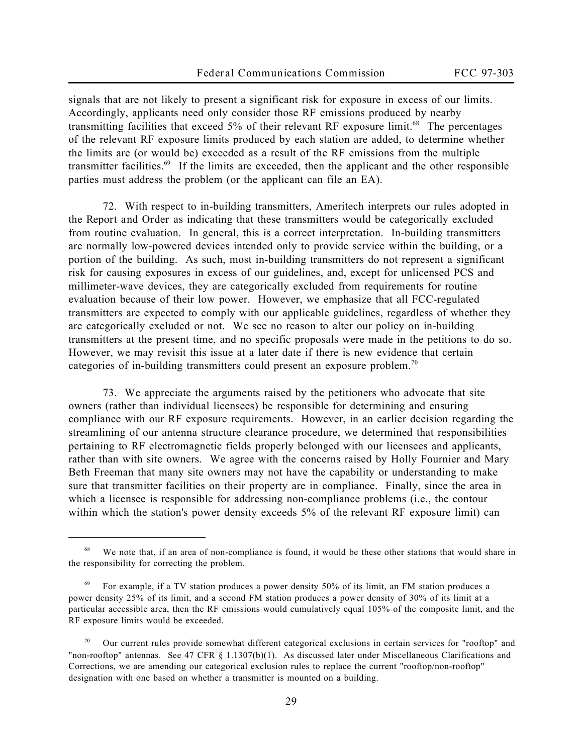signals that are not likely to present a significant risk for exposure in excess of our limits. Accordingly, applicants need only consider those RF emissions produced by nearby transmitting facilities that exceed  $5\%$  of their relevant RF exposure limit.<sup>68</sup> The percentages of the relevant RF exposure limits produced by each station are added, to determine whether the limits are (or would be) exceeded as a result of the RF emissions from the multiple transmitter facilities.<sup>69</sup> If the limits are exceeded, then the applicant and the other responsible parties must address the problem (or the applicant can file an EA).

72. With respect to in-building transmitters, Ameritech interprets our rules adopted in the *Report and Order* as indicating that these transmitters would be categorically excluded from routine evaluation. In general, this is a correct interpretation. In-building transmitters are normally low-powered devices intended only to provide service within the building, or a portion of the building. As such, most in-building transmitters do not represent a significant risk for causing exposures in excess of our guidelines, and, except for unlicensed PCS and millimeter-wave devices, they are categorically excluded from requirements for routine evaluation because of their low power. However, we emphasize that all FCC-regulated transmitters are expected to comply with our applicable guidelines, regardless of whether they are categorically excluded or not. We see no reason to alter our policy on in-building transmitters at the present time, and no specific proposals were made in the petitions to do so. However, we may revisit this issue at a later date if there is new evidence that certain categories of in-building transmitters could present an exposure problem.<sup>70</sup>

73. We appreciate the arguments raised by the petitioners who advocate that site owners (rather than individual licensees) be responsible for determining and ensuring compliance with our RF exposure requirements. However, in an earlier decision regarding the streamlining of our antenna structure clearance procedure, we determined that responsibilities pertaining to RF electromagnetic fields properly belonged with our licensees and applicants, rather than with site owners. We agree with the concerns raised by Holly Fournier and Mary Beth Freeman that many site owners may not have the capability or understanding to make sure that transmitter facilities on their property are in compliance. Finally, since the area in which a licensee is responsible for addressing non-compliance problems (i.e., the contour within which the station's power density exceeds 5% of the relevant RF exposure limit) can

<sup>&</sup>lt;sup>68</sup> We note that, if an area of non-compliance is found, it would be these other stations that would share in the responsibility for correcting the problem.

 $69$  For example, if a TV station produces a power density 50% of its limit, an FM station produces a power density 25% of its limit, and a second FM station produces a power density of 30% of its limit at a particular accessible area, then the RF emissions would cumulatively equal 105% of the composite limit, and the RF exposure limits would be exceeded.

<sup>70</sup> Our current rules provide somewhat different categorical exclusions in certain services for "rooftop" and "non-rooftop" antennas. *See* 47 CFR § 1.1307(b)(1). As discussed later under Miscellaneous Clarifications and Corrections, we are amending our categorical exclusion rules to replace the current "rooftop/non-rooftop" designation with one based on whether a transmitter is mounted on a building.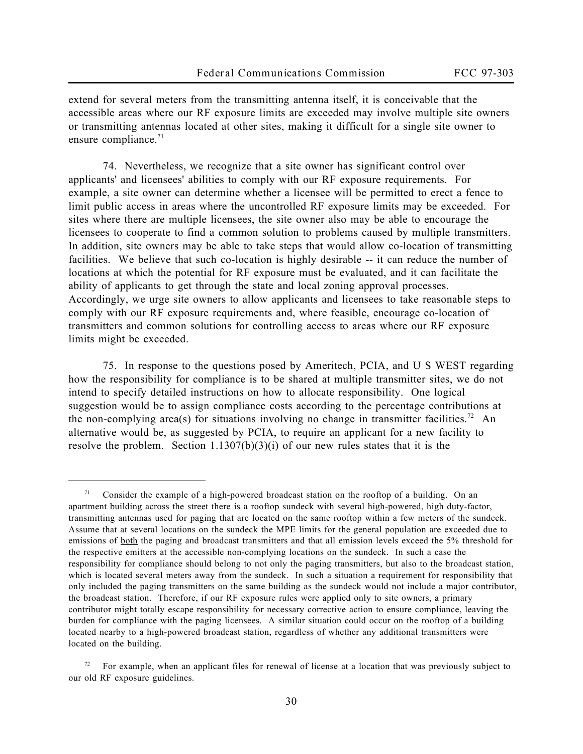extend for several meters from the transmitting antenna itself, it is conceivable that the accessible areas where our RF exposure limits are exceeded may involve multiple site owners or transmitting antennas located at other sites, making it difficult for a single site owner to ensure compliance. $71$ 

74. Nevertheless, we recognize that a site owner has significant control over applicants' and licensees' abilities to comply with our RF exposure requirements. For example, a site owner can determine whether a licensee will be permitted to erect a fence to limit public access in areas where the uncontrolled RF exposure limits may be exceeded. For sites where there are multiple licensees, the site owner also may be able to encourage the licensees to cooperate to find a common solution to problems caused by multiple transmitters. In addition, site owners may be able to take steps that would allow co-location of transmitting facilities. We believe that such co-location is highly desirable -- it can reduce the number of locations at which the potential for RF exposure must be evaluated, and it can facilitate the ability of applicants to get through the state and local zoning approval processes. Accordingly, we urge site owners to allow applicants and licensees to take reasonable steps to comply with our RF exposure requirements and, where feasible, encourage co-location of transmitters and common solutions for controlling access to areas where our RF exposure limits might be exceeded.

75. In response to the questions posed by Ameritech, PCIA, and U S WEST regarding how the responsibility for compliance is to be shared at multiple transmitter sites, we do not intend to specify detailed instructions on how to allocate responsibility. One logical suggestion would be to assign compliance costs according to the percentage contributions at the non-complying area(s) for situations involving no change in transmitter facilities.<sup>72</sup> An alternative would be, as suggested by PCIA, to require an applicant for a new facility to resolve the problem. Section  $1.1307(b)(3)(i)$  of our new rules states that it is the

<sup>71</sup> Consider the example of a high-powered broadcast station on the rooftop of a building. On an apartment building across the street there is a rooftop sundeck with several high-powered, high duty-factor, transmitting antennas used for paging that are located on the same rooftop within a few meters of the sundeck. Assume that at several locations on the sundeck the MPE limits for the general population are exceeded due to emissions of both the paging and broadcast transmitters and that all emission levels exceed the 5% threshold for the respective emitters at the accessible non-complying locations on the sundeck. In such a case the responsibility for compliance should belong to not only the paging transmitters, but also to the broadcast station, which is located several meters away from the sundeck. In such a situation a requirement for responsibility that only included the paging transmitters on the same building as the sundeck would not include a major contributor, the broadcast station. Therefore, if our RF exposure rules were applied only to site owners, a primary contributor might totally escape responsibility for necessary corrective action to ensure compliance, leaving the burden for compliance with the paging licensees. A similar situation could occur on the rooftop of a building located nearby to a high-powered broadcast station, regardless of whether any additional transmitters were located on the building.

For example, when an applicant files for renewal of license at a location that was previously subject to our old RF exposure guidelines.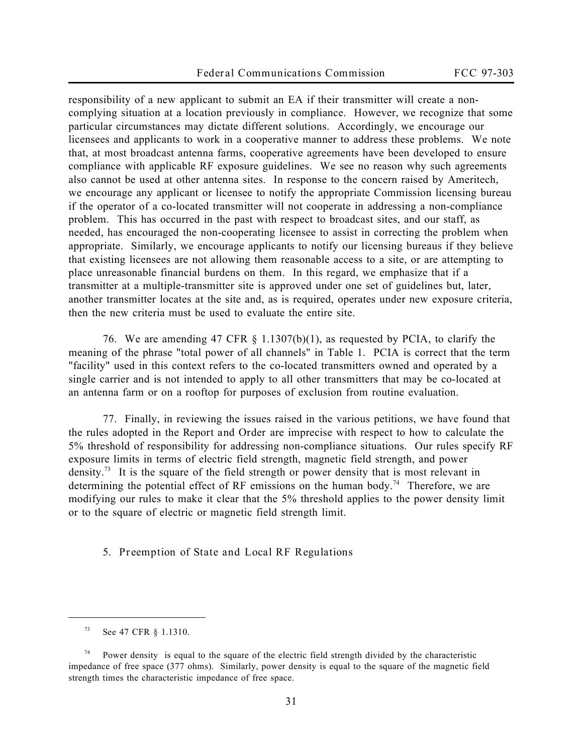responsibility of a new applicant to submit an EA if their transmitter will create a noncomplying situation at a location previously in compliance. However, we recognize that some particular circumstances may dictate different solutions. Accordingly, we encourage our licensees and applicants to work in a cooperative manner to address these problems. We note that, at most broadcast antenna farms, cooperative agreements have been developed to ensure compliance with applicable RF exposure guidelines. We see no reason why such agreements also cannot be used at other antenna sites. In response to the concern raised by Ameritech, we encourage any applicant or licensee to notify the appropriate Commission licensing bureau if the operator of a co-located transmitter will not cooperate in addressing a non-compliance problem. This has occurred in the past with respect to broadcast sites, and our staff, as needed, has encouraged the non-cooperating licensee to assist in correcting the problem when appropriate. Similarly, we encourage applicants to notify our licensing bureaus if they believe that existing licensees are not allowing them reasonable access to a site, or are attempting to place unreasonable financial burdens on them. In this regard, we emphasize that if a transmitter at a multiple-transmitter site is approved under one set of guidelines but, later, another transmitter locates at the site and, as is required, operates under new exposure criteria, then the new criteria must be used to evaluate the entire site.

76. We are amending 47 CFR § 1.1307(b)(1), as requested by PCIA, to clarify the meaning of the phrase "total power of all channels" in Table 1. PCIA is correct that the term "facility" used in this context refers to the co-located transmitters owned and operated by a single carrier and is not intended to apply to all other transmitters that may be co-located at an antenna farm or on a rooftop for purposes of exclusion from routine evaluation.

77. Finally, in reviewing the issues raised in the various petitions, we have found that the rules adopted in the *Report and Order* are imprecise with respect to how to calculate the 5% threshold of responsibility for addressing non-compliance situations. Our rules specify RF exposure limits in terms of electric field strength, magnetic field strength, and power density.<sup>73</sup> It is the square of the field strength or power density that is most relevant in determining the potential effect of RF emissions on the human body.<sup>74</sup> Therefore, we are modifying our rules to make it clear that the 5% threshold applies to the power density limit or to the square of electric or magnetic field strength limit.

**5. Preemption of State and Local RF Regulations**

<sup>73</sup> *See* 47 CFR § 1.1310.

Power density is equal to the square of the electric field strength divided by the characteristic impedance of free space (377 ohms). Similarly, power density is equal to the square of the magnetic field strength times the characteristic impedance of free space.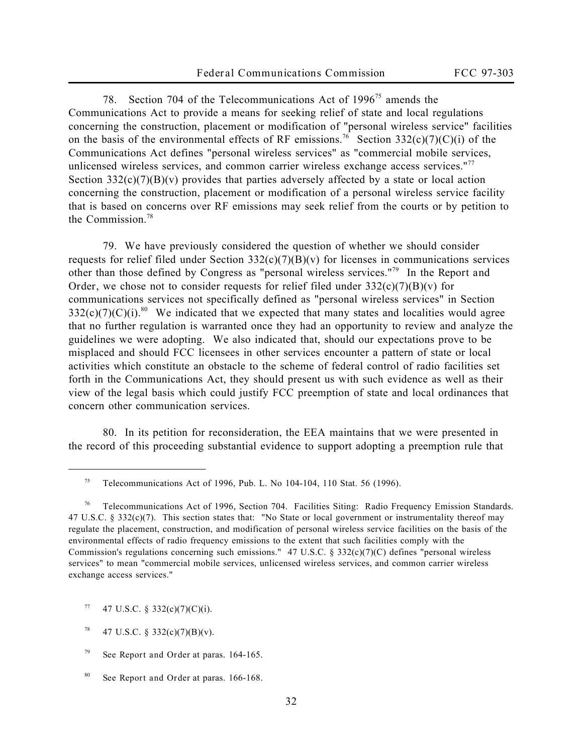78. Section 704 of the Telecommunications Act of 1996<sup>75</sup> amends the Communications Act to provide a means for seeking relief of state and local regulations concerning the construction, placement or modification of "personal wireless service" facilities on the basis of the environmental effects of RF emissions.<sup>76</sup> Section 332(c)(7)(C)(i) of the Communications Act defines "personal wireless services" as "commercial mobile services, unlicensed wireless services, and common carrier wireless exchange access services."<sup>77</sup> Section  $332(c)(7)(B)(v)$  provides that parties adversely affected by a state or local action concerning the construction, placement or modification of a personal wireless service facility that is based on concerns over RF emissions may seek relief from the courts or by petition to the Commission<sup>78</sup>

79. We have previously considered the question of whether we should consider requests for relief filed under Section  $332(c)(7)(B)(v)$  for licenses in communications services other than those defined by Congress as "personal wireless services."<sup>79</sup> In the *Report and Order*, we chose not to consider requests for relief filed under  $332(c)(7)(B)(v)$  for communications services not specifically defined as "personal wireless services" in Section  $332(c)(7)(C)(i).$ <sup>80</sup> We indicated that we expected that many states and localities would agree that no further regulation is warranted once they had an opportunity to review and analyze the guidelines we were adopting. We also indicated that, should our expectations prove to be misplaced and should FCC licensees in other services encounter a pattern of state or local activities which constitute an obstacle to the scheme of federal control of radio facilities set forth in the Communications Act, they should present us with such evidence as well as their view of the legal basis which could justify FCC preemption of state and local ordinances that concern other communication services.

80. In its petition for reconsideration, the EEA maintains that we were presented in the record of this proceeding substantial evidence to support adopting a preemption rule that

<sup>&</sup>lt;sup>75</sup> Telecommunications Act of 1996, Pub. L. No 104-104, 110 Stat. 56 (1996).

<sup>76</sup> Telecommunications Act of 1996, Section 704. Facilities Siting: Radio Frequency Emission Standards. 47 U.S.C. § 332(c)(7). This section states that: "No State or local government or instrumentality thereof may regulate the placement, construction, and modification of personal wireless service facilities on the basis of the environmental effects of radio frequency emissions to the extent that such facilities comply with the Commission's regulations concerning such emissions." 47 U.S.C.  $\S 332(c)(7)(C)$  defines "personal wireless" services" to mean "commercial mobile services, unlicensed wireless services, and common carrier wireless exchange access services."

 $77$  47 U.S.C. § 332(c)(7)(C)(i).

<sup>&</sup>lt;sup>78</sup> 47 U.S.C. § 332(c)(7)(B)(v).

<sup>79</sup> *See Report and Order* at paras. 164-165.

<sup>80</sup> *See Report and Order* at paras. 166-168.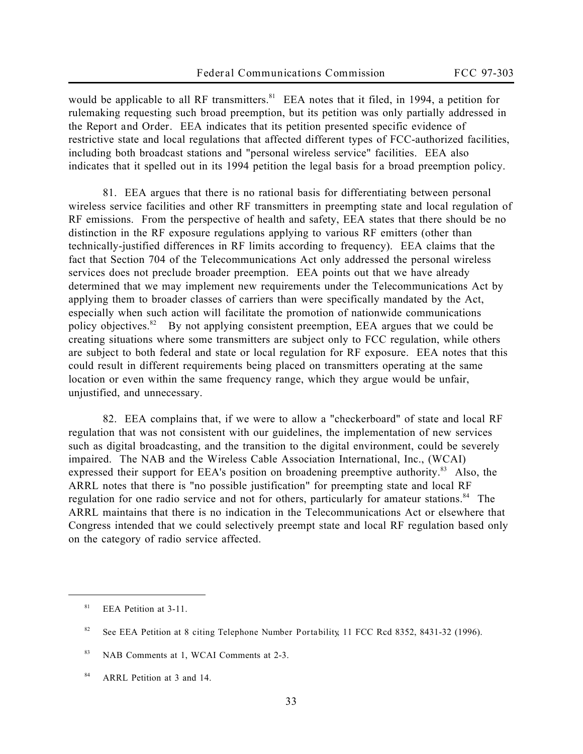would be applicable to all RF transmitters.<sup>81</sup> EEA notes that it filed, in 1994, a petition for rulemaking requesting such broad preemption, but its petition was only partially addressed in the *Report and Order*. EEA indicates that its petition presented specific evidence of restrictive state and local regulations that affected different types of FCC-authorized facilities, including both broadcast stations and "personal wireless service" facilities. EEA also indicates that it spelled out in its 1994 petition the legal basis for a broad preemption policy.

81. EEA argues that there is no rational basis for differentiating between personal wireless service facilities and other RF transmitters in preempting state and local regulation of RF emissions. From the perspective of health and safety, EEA states that there should be no distinction in the RF exposure regulations applying to various RF emitters (other than technically-justified differences in RF limits according to frequency). EEA claims that the fact that Section 704 of the Telecommunications Act only addressed the personal wireless services does not preclude broader preemption. EEA points out that we have already determined that we may implement new requirements under the Telecommunications Act by applying them to broader classes of carriers than were specifically mandated by the Act, especially when such action will facilitate the promotion of nationwide communications policy objectives.<sup>82</sup> By not applying consistent preemption, EEA argues that we could be creating situations where some transmitters are subject only to FCC regulation, while others are subject to both federal and state or local regulation for RF exposure. EEA notes that this could result in different requirements being placed on transmitters operating at the same location or even within the same frequency range, which they argue would be unfair, unjustified, and unnecessary.

82. EEA complains that, if we were to allow a "checkerboard" of state and local RF regulation that was not consistent with our guidelines, the implementation of new services such as digital broadcasting, and the transition to the digital environment, could be severely impaired. The NAB and the Wireless Cable Association International, Inc., (WCAI) expressed their support for EEA's position on broadening preemptive authority.<sup>83</sup> Also, the ARRL notes that there is "no possible justification" for preempting state and local RF regulation for one radio service and not for others, particularly for amateur stations.<sup>84</sup> The ARRL maintains that there is no indication in the Telecommunications Act or elsewhere that Congress intended that we could selectively preempt state and local RF regulation based only on the category of radio service affected.

 $81$  EEA Petition at 3-11.

<sup>82</sup> *See* EEA Petition at 8 *citing Telephone Number Portability*, 11 FCC Rcd 8352, 8431-32 (1996).

<sup>83</sup> NAB Comments at 1, WCAI Comments at 2-3.

<sup>84</sup> ARRL Petition at 3 and 14.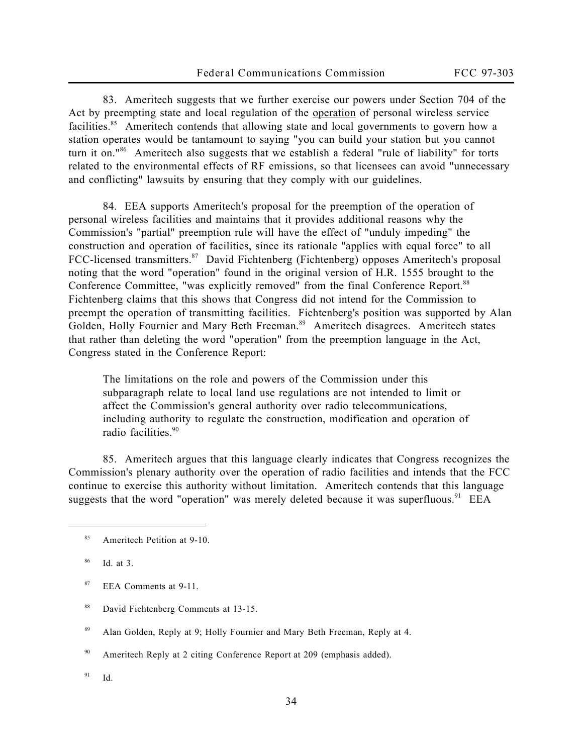83. Ameritech suggests that we further exercise our powers under Section 704 of the Act by preempting state and local regulation of the operation of personal wireless service facilities.<sup>85</sup> Ameritech contends that allowing state and local governments to govern how a station operates would be tantamount to saying "you can build your station but you cannot turn it on."<sup>86</sup> Ameritech also suggests that we establish a federal "rule of liability" for torts related to the environmental effects of RF emissions, so that licensees can avoid "unnecessary and conflicting" lawsuits by ensuring that they comply with our guidelines.

84. EEA supports Ameritech's proposal for the preemption of the operation of personal wireless facilities and maintains that it provides additional reasons why the Commission's "partial" preemption rule will have the effect of "unduly impeding" the construction and operation of facilities, since its rationale "applies with equal force" to all FCC-licensed transmitters.<sup>87</sup> David Fichtenberg (Fichtenberg) opposes Ameritech's proposal noting that the word "operation" found in the original version of H.R. 1555 brought to the Conference Committee, "was explicitly removed" from the final Conference Report.<sup>88</sup> Fichtenberg claims that this shows that Congress did not intend for the Commission to preempt the *operation* of transmitting facilities. Fichtenberg's position was supported by Alan Golden, Holly Fournier and Mary Beth Freeman.<sup>89</sup> Ameritech disagrees. Ameritech states that rather than deleting the word "operation" from the preemption language in the Act, Congress stated in the Conference Report:

The limitations on the role and powers of the Commission under this subparagraph relate to local land use regulations are not intended to limit or affect the Commission's general authority over radio telecommunications, including authority to regulate the construction, modification and operation of radio facilities.<sup>90</sup>

85. Ameritech argues that this language clearly indicates that Congress recognizes the Commission's plenary authority over the operation of radio facilities and intends that the FCC continue to exercise this authority without limitation. Ameritech contends that this language suggests that the word "operation" was merely deleted because it was superfluous.<sup>91</sup> EEA

 $\overline{a}$ 

<sup>89</sup> Alan Golden, Reply at 9; Holly Fournier and Mary Beth Freeman, Reply at 4.

<sup>90</sup> Ameritech Reply at 2 citing *Conference Report* at 209 (emphasis added).

<sup>91</sup> *Id.*

<sup>85</sup> Ameritech Petition at 9-10.

<sup>86</sup> *Id.* at 3.

<sup>87</sup> EEA Comments at 9-11.

<sup>88</sup> David Fichtenberg Comments at 13-15.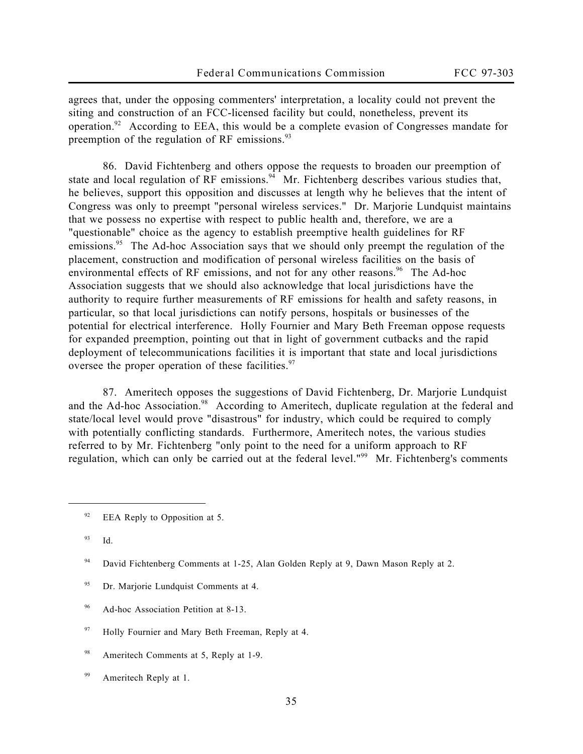agrees that, under the opposing commenters' interpretation, a locality could not prevent the siting and construction of an FCC-licensed facility but could, nonetheless, prevent its operation.<sup>92</sup> According to EEA, this would be a complete evasion of Congresses mandate for preemption of the regulation of RF emissions. $93$ 

86. David Fichtenberg and others oppose the requests to broaden our preemption of state and local regulation of RF emissions.<sup>94</sup> Mr. Fichtenberg describes various studies that, he believes, support this opposition and discusses at length why he believes that the intent of Congress was only to preempt "personal wireless services." Dr. Marjorie Lundquist maintains that we possess no expertise with respect to public health and, therefore, we are a "questionable" choice as the agency to establish preemptive health guidelines for RF emissions.<sup>95</sup> The Ad-hoc Association says that we should only preempt the regulation of the placement, construction and modification of personal wireless facilities on the basis of environmental effects of RF emissions, and not for any other reasons.<sup>96</sup> The Ad-hoc Association suggests that we should also acknowledge that local jurisdictions have the authority to require further measurements of RF emissions for health and safety reasons, in particular, so that local jurisdictions can notify persons, hospitals or businesses of the potential for electrical interference. Holly Fournier and Mary Beth Freeman oppose requests for expanded preemption, pointing out that in light of government cutbacks and the rapid deployment of telecommunications facilities it is important that state and local jurisdictions oversee the proper operation of these facilities.<sup>97</sup>

87. Ameritech opposes the suggestions of David Fichtenberg, Dr. Marjorie Lundquist and the Ad-hoc Association.<sup>98</sup> According to Ameritech, duplicate regulation at the federal and state/local level would prove "disastrous" for industry, which could be required to comply with potentially conflicting standards. Furthermore, Ameritech notes, the various studies referred to by Mr. Fichtenberg "only point to the need for a uniform approach to RF regulation, which can only be carried out at the federal level."<sup>99</sup> Mr. Fichtenberg's comments

- <sup>95</sup> Dr. Marjorie Lundquist Comments at 4.
- <sup>96</sup> Ad-hoc Association Petition at 8-13.
- $97$  Holly Fournier and Mary Beth Freeman, Reply at 4.
- 98 Ameritech Comments at 5, Reply at 1-9.
- <sup>99</sup> Ameritech Reply at 1.

 $92$  EEA Reply to Opposition at 5.

<sup>93</sup> *Id.*

<sup>94</sup> David Fichtenberg Comments at 1-25, Alan Golden Reply at 9, Dawn Mason Reply at 2.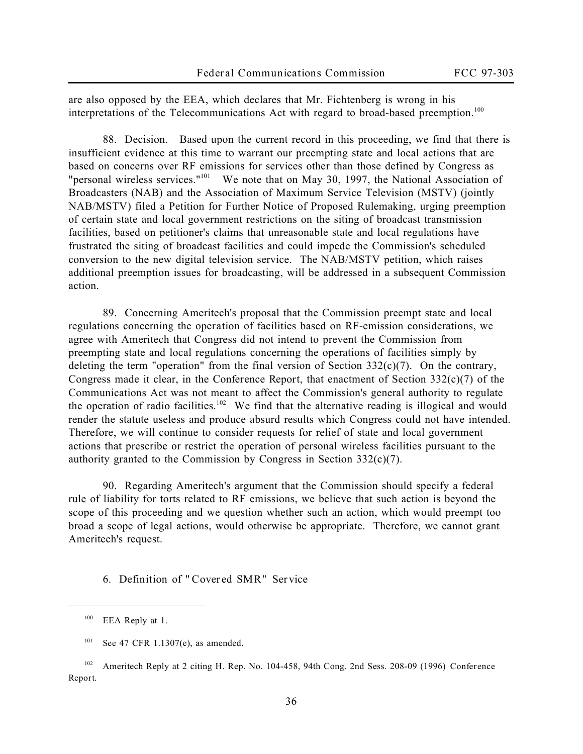are also opposed by the EEA, which declares that Mr. Fichtenberg is wrong in his interpretations of the Telecommunications Act with regard to broad-based preemption.<sup>100</sup>

88. Decision. Based upon the current record in this proceeding, we find that there is insufficient evidence at this time to warrant our preempting state and local actions that are based on concerns over RF emissions for services other than those defined by Congress as "personal wireless services."<sup>101</sup> We note that on May 30, 1997, the National Association of Broadcasters (NAB) and the Association of Maximum Service Television (MSTV) (jointly NAB/MSTV) filed a Petition for Further Notice of Proposed Rulemaking, urging preemption of certain state and local government restrictions on the siting of broadcast transmission facilities, based on petitioner's claims that unreasonable state and local regulations have frustrated the siting of broadcast facilities and could impede the Commission's scheduled conversion to the new digital television service. The NAB/MSTV petition, which raises additional preemption issues for broadcasting, will be addressed in a subsequent Commission action.

89. Concerning Ameritech's proposal that the Commission preempt state and local regulations concerning the *operation* of facilities based on RF-emission considerations, we agree with Ameritech that Congress did not intend to prevent the Commission from preempting state and local regulations concerning the operations of facilities simply by deleting the term "operation" from the final version of Section  $332(c)(7)$ . On the contrary, Congress made it clear, in the *Conference Report*, that enactment of Section 332(c)(7) of the Communications Act was not meant to affect the Commission's general authority to regulate the operation of radio facilities.<sup>102</sup> We find that the alternative reading is illogical and would render the statute useless and produce absurd results which Congress could not have intended. Therefore, we will continue to consider requests for relief of state and local government actions that prescribe or restrict the operation of personal wireless facilities pursuant to the authority granted to the Commission by Congress in Section 332(c)(7).

90. Regarding Ameritech's argument that the Commission should specify a federal rule of liability for torts related to RF emissions, we believe that such action is beyond the scope of this proceeding and we question whether such an action, which would preempt too broad a scope of legal actions, would otherwise be appropriate. Therefore, we cannot grant Ameritech's request.

**6. Definition of "Covered SMR" Service** 

 $100$  EEA Reply at 1.

<sup>101</sup> *See* 47 CFR 1.1307(e), as amended.

<sup>102</sup> Ameritech Reply at 2 citing H. Rep. No. 104-458, 94th Cong. 2nd Sess. 208-09 (1996) *Conference Report*.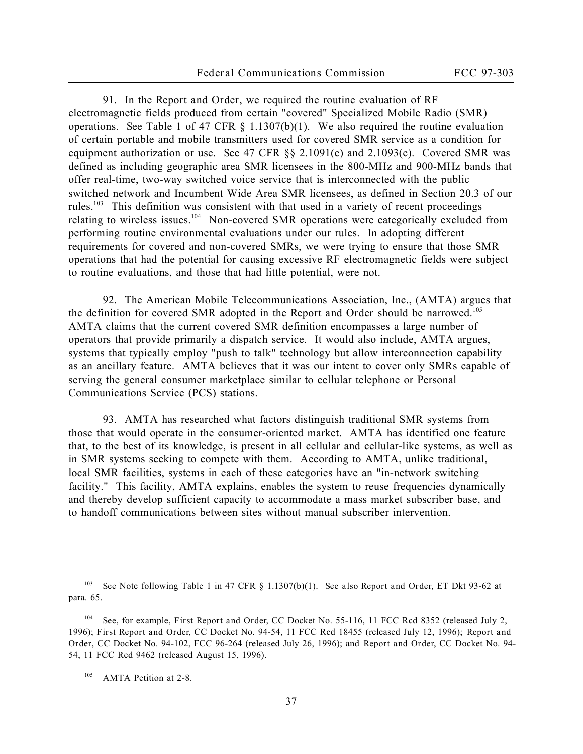91. In the *Report and Order*, we required the routine evaluation of RF electromagnetic fields produced from certain "covered" Specialized Mobile Radio (SMR) operations. *See* Table 1 of 47 CFR § 1.1307(b)(1). We also required the routine evaluation of certain portable and mobile transmitters used for covered SMR service as a condition for equipment authorization or use. *See* 47 CFR §§ 2.1091(c) and 2.1093(c). Covered SMR was defined as including geographic area SMR licensees in the 800-MHz and 900-MHz bands that offer real-time, two-way switched voice service that is interconnected with the public switched network and Incumbent Wide Area SMR licensees, as defined in Section 20.3 of our rules.<sup>103</sup> This definition was consistent with that used in a variety of recent proceedings relating to wireless issues.<sup>104</sup> Non-covered SMR operations were categorically excluded from performing routine environmental evaluations under our rules. In adopting different requirements for covered and non-covered SMRs, we were trying to ensure that those SMR operations that had the potential for causing excessive RF electromagnetic fields were subject to routine evaluations, and those that had little potential, were not.

92. The American Mobile Telecommunications Association, Inc., (AMTA) argues that the definition for covered SMR adopted in the *Report and Order* should be narrowed.<sup>105</sup> AMTA claims that the current covered SMR definition encompasses a large number of operators that provide primarily a dispatch service. It would also include, AMTA argues, systems that typically employ "push to talk" technology but allow interconnection capability as an ancillary feature. AMTA believes that it was our intent to cover only SMRs capable of serving the general consumer marketplace similar to cellular telephone or Personal Communications Service (PCS) stations.

93. AMTA has researched what factors distinguish traditional SMR systems from those that would operate in the consumer-oriented market. AMTA has identified one feature that, to the best of its knowledge, is present in all cellular and cellular-like systems, as well as in SMR systems seeking to compete with them. According to AMTA, unlike traditional, local SMR facilities, systems in each of these categories have an "in-network switching facility." This facility, AMTA explains, enables the system to reuse frequencies dynamically and thereby develop sufficient capacity to accommodate a mass market subscriber base, and to handoff communications between sites without manual subscriber intervention.

<sup>103</sup> *See* Note following Table 1 in 47 CFR § 1.1307(b)(1). *See also Report and Order*, ET Dkt 93-62 at para. 65.

<sup>104</sup> *See*, for example, *First Report and Order*, CC Docket No. 55-116, 11 FCC Rcd 8352 (released July 2, 1996); *First Report and Order*, CC Docket No. 94-54, 11 FCC Rcd 18455 (released July 12, 1996); *Report and Order*, CC Docket No. 94-102, FCC 96-264 (released July 26, 1996); and *Report and Order*, CC Docket No. 94- 54, 11 FCC Rcd 9462 (released August 15, 1996).

<sup>&</sup>lt;sup>105</sup> AMTA Petition at 2-8.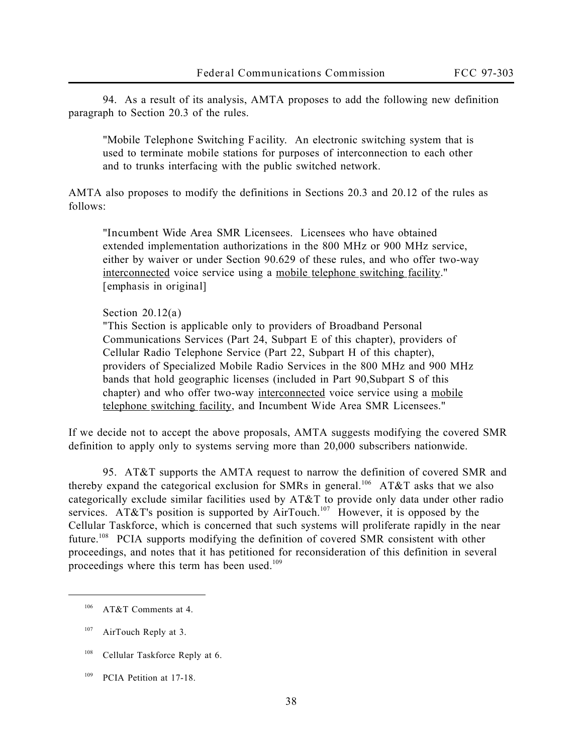94. As a result of its analysis, AMTA proposes to add the following new definition paragraph to Section 20.3 of the rules.

"*Mobile Telephone Switching Facility.* An electronic switching system that is used to terminate mobile stations for purposes of interconnection to each other and to trunks interfacing with the public switched network.

AMTA also proposes to modify the definitions in Sections 20.3 and 20.12 of the rules as follows:

"*Incumbent Wide Area SMR Licensees.* Licensees who have obtained extended implementation authorizations in the 800 MHz or 900 MHz service, either by waiver or under Section 90.629 of these rules, and who offer two-way interconnected voice service using a mobile telephone switching facility." *[emphasis in original]*

## **Section 20.12(a)**

"This Section is applicable only to providers of Broadband Personal Communications Services (Part 24, Subpart E of this chapter), providers of Cellular Radio Telephone Service (Part 22, Subpart H of this chapter), providers of Specialized Mobile Radio Services in the 800 MHz and 900 MHz bands that hold geographic licenses (included in Part 90,Subpart S of this chapter) and who offer two-way interconnected voice service using a mobile telephone switching facility, and Incumbent Wide Area SMR Licensees."

If we decide not to accept the above proposals, AMTA suggests modifying the covered SMR definition to apply only to systems serving more than 20,000 subscribers nationwide.

95. AT&T supports the AMTA request to narrow the definition of covered SMR and thereby expand the categorical exclusion for SMRs in general.<sup>106</sup> AT&T asks that we also categorically exclude similar facilities used by AT&T to provide only data under other radio services. AT&T's position is supported by AirTouch.<sup>107</sup> However, it is opposed by the Cellular Taskforce, which is concerned that such systems will proliferate rapidly in the near future.<sup>108</sup> PCIA supports modifying the definition of covered SMR consistent with other proceedings, and notes that it has petitioned for reconsideration of this definition in several proceedings where this term has been used.<sup>109</sup>

<sup>106</sup> AT&T Comments at 4.

<sup>&</sup>lt;sup>107</sup> AirTouch Reply at 3.

<sup>&</sup>lt;sup>108</sup> Cellular Taskforce Reply at 6.

<sup>&</sup>lt;sup>109</sup> PCIA Petition at 17-18.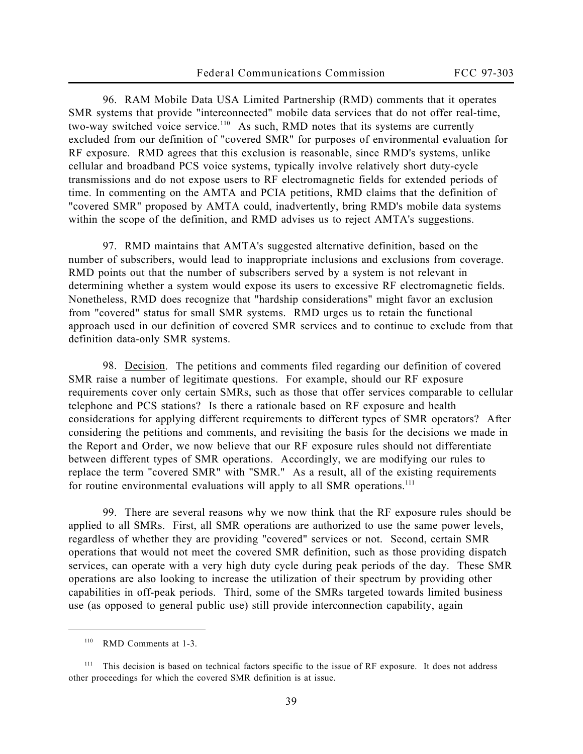96. RAM Mobile Data USA Limited Partnership (RMD) comments that it operates SMR systems that provide "interconnected" mobile data services that do not offer real-time, two-way switched voice service.<sup>110</sup> As such, RMD notes that its systems are currently excluded from our definition of "covered SMR" for purposes of environmental evaluation for RF exposure. RMD agrees that this exclusion is reasonable, since RMD's systems, unlike cellular and broadband PCS voice systems, typically involve relatively short duty-cycle transmissions and do not expose users to RF electromagnetic fields for extended periods of time. In commenting on the AMTA and PCIA petitions, RMD claims that the definition of "covered SMR" proposed by AMTA could, inadvertently, bring RMD's mobile data systems within the scope of the definition, and RMD advises us to reject AMTA's suggestions.

97. RMD maintains that AMTA's suggested alternative definition, based on the number of subscribers, would lead to inappropriate inclusions and exclusions from coverage. RMD points out that the number of subscribers served by a system is not relevant in determining whether a system would expose its users to excessive RF electromagnetic fields. Nonetheless, RMD does recognize that "hardship considerations" might favor an exclusion from "covered" status for small SMR systems. RMD urges us to retain the functional approach used in our definition of covered SMR services and to continue to exclude from that definition data-only SMR systems.

98. Decision. The petitions and comments filed regarding our definition of covered SMR raise a number of legitimate questions. For example, should our RF exposure requirements cover only certain SMRs, such as those that offer services comparable to cellular telephone and PCS stations? Is there a rationale based on RF exposure and health considerations for applying different requirements to different types of SMR operators? After considering the petitions and comments, and revisiting the basis for the decisions we made in the *Report and Order*, we now believe that our RF exposure rules should not differentiate between different types of SMR operations. Accordingly, we are modifying our rules to replace the term "covered SMR" with "SMR." As a result, all of the existing requirements for routine environmental evaluations will apply to all SMR operations.<sup>111</sup>

99. There are several reasons why we now think that the RF exposure rules should be applied to all SMRs. First, all SMR operations are authorized to use the same power levels, regardless of whether they are providing "covered" services or not. Second, certain SMR operations that would not meet the covered SMR definition, such as those providing dispatch services, can operate with a very high duty cycle during peak periods of the day. These SMR operations are also looking to increase the utilization of their spectrum by providing other capabilities in off-peak periods. Third, some of the SMRs targeted towards limited business use (as opposed to general public use) still provide interconnection capability, again

<sup>110</sup> RMD Comments at 1-3.

<sup>&</sup>lt;sup>111</sup> This decision is based on technical factors specific to the issue of RF exposure. It does not address other proceedings for which the covered SMR definition is at issue.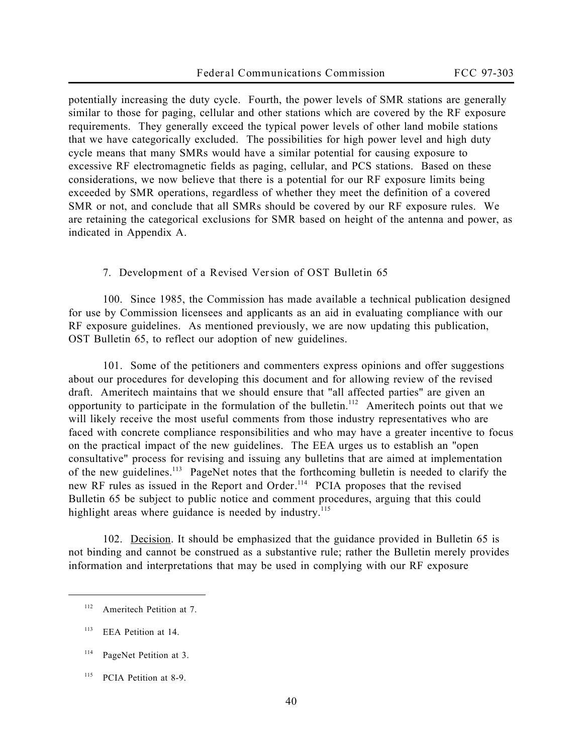potentially increasing the duty cycle. Fourth, the power levels of SMR stations are generally similar to those for paging, cellular and other stations which are covered by the RF exposure requirements. They generally exceed the typical power levels of other land mobile stations that we have categorically excluded. The possibilities for high power level and high duty cycle means that many SMRs would have a similar potential for causing exposure to excessive RF electromagnetic fields as paging, cellular, and PCS stations. Based on these considerations, we now believe that there is a potential for our RF exposure limits being exceeded by SMR operations, regardless of whether they meet the definition of a covered SMR or not, and conclude that all SMRs should be covered by our RF exposure rules. We are retaining the categorical exclusions for SMR based on height of the antenna and power, as indicated in Appendix A.

## **7. Development of a Revised Version of OST Bulletin 65**

100. Since 1985, the Commission has made available a technical publication designed for use by Commission licensees and applicants as an aid in evaluating compliance with our RF exposure guidelines. As mentioned previously, we are now updating this publication, OST Bulletin 65, to reflect our adoption of new guidelines.

101. Some of the petitioners and commenters express opinions and offer suggestions about our procedures for developing this document and for allowing review of the revised draft. Ameritech maintains that we should ensure that "all affected parties" are given an opportunity to participate in the formulation of the bulletin.<sup>112</sup> Ameritech points out that we will likely receive the most useful comments from those industry representatives who are faced with concrete compliance responsibilities and who may have a greater incentive to focus on the practical impact of the new guidelines. The EEA urges us to establish an "open consultative" process for revising and issuing any bulletins that are aimed at implementation of the new guidelines.<sup>113</sup> PageNet notes that the forthcoming bulletin is needed to clarify the new RF rules as issued in the *Report and Order*. <sup>114</sup> PCIA proposes that the revised Bulletin 65 be subject to public notice and comment procedures, arguing that this could highlight areas where guidance is needed by industry.<sup>115</sup>

102. Decision. It should be emphasized that the guidance provided in Bulletin 65 is not binding and cannot be construed as a substantive rule; rather the Bulletin merely provides information and interpretations that may be used in complying with our RF exposure

<sup>&</sup>lt;sup>112</sup> Ameritech Petition at 7.

<sup>&</sup>lt;sup>113</sup> EEA Petition at 14.

<sup>&</sup>lt;sup>114</sup> PageNet Petition at 3.

<sup>&</sup>lt;sup>115</sup> PCIA Petition at 8-9.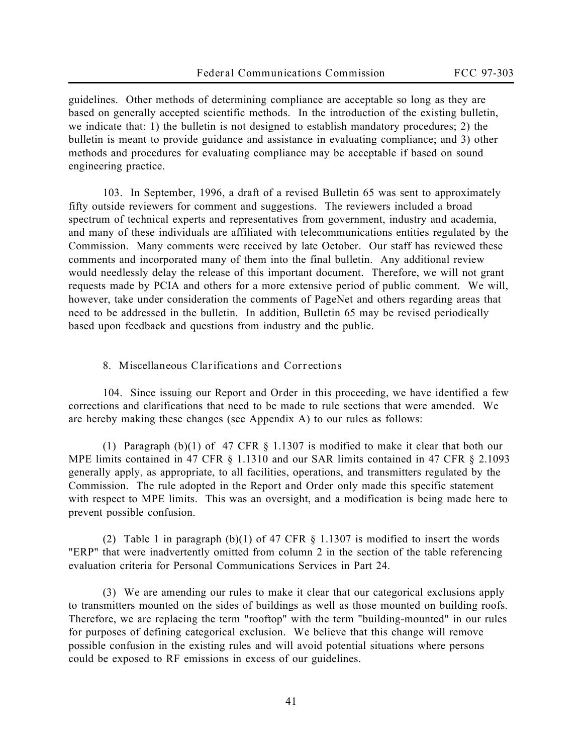guidelines. Other methods of determining compliance are acceptable so long as they are based on generally accepted scientific methods. In the introduction of the existing bulletin, we indicate that: 1) the bulletin is not designed to establish mandatory procedures; 2) the bulletin is meant to provide guidance and assistance in evaluating compliance; and 3) other methods and procedures for evaluating compliance may be acceptable if based on sound engineering practice.

103. In September, 1996, a draft of a revised Bulletin 65 was sent to approximately fifty outside reviewers for comment and suggestions. The reviewers included a broad spectrum of technical experts and representatives from government, industry and academia, and many of these individuals are affiliated with telecommunications entities regulated by the Commission. Many comments were received by late October. Our staff has reviewed these comments and incorporated many of them into the final bulletin. Any additional review would needlessly delay the release of this important document. Therefore, we will not grant requests made by PCIA and others for a more extensive period of public comment. We will, however, take under consideration the comments of PageNet and others regarding areas that need to be addressed in the bulletin. In addition, Bulletin 65 may be revised periodically based upon feedback and questions from industry and the public.

## **8. Miscellaneous Clarifications and Corrections**

104. Since issuing our *Report and Order* in this proceeding, we have identified a few corrections and clarifications that need to be made to rule sections that were amended. We are hereby making these changes (see Appendix A) to our rules as follows:

(1) Paragraph (b)(1) of 47 CFR § 1.1307 is modified to make it clear that both our MPE limits contained in 47 CFR § 1.1310 and our SAR limits contained in 47 CFR § 2.1093 generally apply, as appropriate, to all facilities, operations, and transmitters regulated by the Commission. The rule adopted in the *Report and Order* only made this specific statement with respect to MPE limits. This was an oversight, and a modification is being made here to prevent possible confusion.

(2) Table 1 in paragraph (b)(1) of 47 CFR § 1.1307 is modified to insert the words "ERP" that were inadvertently omitted from column 2 in the section of the table referencing evaluation criteria for Personal Communications Services in Part 24.

(3) We are amending our rules to make it clear that our categorical exclusions apply to transmitters mounted on the sides of buildings as well as those mounted on building roofs. Therefore, we are replacing the term "rooftop" with the term "building-mounted" in our rules for purposes of defining categorical exclusion. We believe that this change will remove possible confusion in the existing rules and will avoid potential situations where persons could be exposed to RF emissions in excess of our guidelines.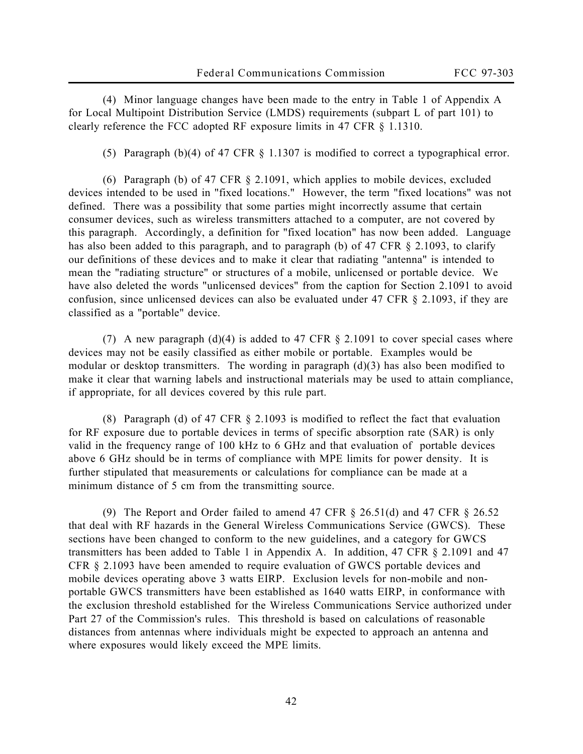(4) Minor language changes have been made to the entry in Table 1 of Appendix A for Local Multipoint Distribution Service (LMDS) requirements (subpart L of part 101) to clearly reference the FCC adopted RF exposure limits in 47 CFR § 1.1310.

(5) Paragraph (b)(4) of 47 CFR § 1.1307 is modified to correct a typographical error.

(6) Paragraph (b) of 47 CFR § 2.1091, which applies to mobile devices, excluded devices intended to be used in "fixed locations." However, the term "fixed locations" was not defined. There was a possibility that some parties might incorrectly assume that certain consumer devices, such as wireless transmitters attached to a computer, are not covered by this paragraph. Accordingly, a definition for "fixed location" has now been added. Language has also been added to this paragraph, and to paragraph (b) of 47 CFR § 2.1093, to clarify our definitions of these devices and to make it clear that radiating "antenna" is intended to mean the "radiating structure" or structures of a mobile, unlicensed or portable device. We have also deleted the words "unlicensed devices" from the caption for Section 2.1091 to avoid confusion, since unlicensed devices can also be evaluated under 47 CFR § 2.1093, if they are classified as a "portable" device.

(7) A new paragraph (d)(4) is added to 47 CFR  $\S$  2.1091 to cover special cases where devices may not be easily classified as either mobile or portable. Examples would be modular or desktop transmitters. The wording in paragraph (d)(3) has also been modified to make it clear that warning labels and instructional materials may be used to attain compliance, if appropriate, for all devices covered by this rule part.

(8) Paragraph (d) of 47 CFR § 2.1093 is modified to reflect the fact that evaluation for RF exposure due to portable devices in terms of specific absorption rate (SAR) is only valid in the frequency range of 100 kHz to 6 GHz and that evaluation of portable devices above 6 GHz should be in terms of compliance with MPE limits for power density. It is further stipulated that measurements or calculations for compliance can be made at a minimum distance of 5 cm from the transmitting source.

(9) The *Report and Order* failed to amend 47 CFR § 26.51(d) and 47 CFR § 26.52 that deal with RF hazards in the General Wireless Communications Service (GWCS). These sections have been changed to conform to the new guidelines, and a category for GWCS transmitters has been added to Table 1 in Appendix A. In addition, 47 CFR § 2.1091 and 47 CFR § 2.1093 have been amended to require evaluation of GWCS portable devices and mobile devices operating above 3 watts EIRP. Exclusion levels for non-mobile and nonportable GWCS transmitters have been established as 1640 watts EIRP, in conformance with the exclusion threshold established for the Wireless Communications Service authorized under Part 27 of the Commission's rules. This threshold is based on calculations of reasonable distances from antennas where individuals might be expected to approach an antenna and where exposures would likely exceed the MPE limits.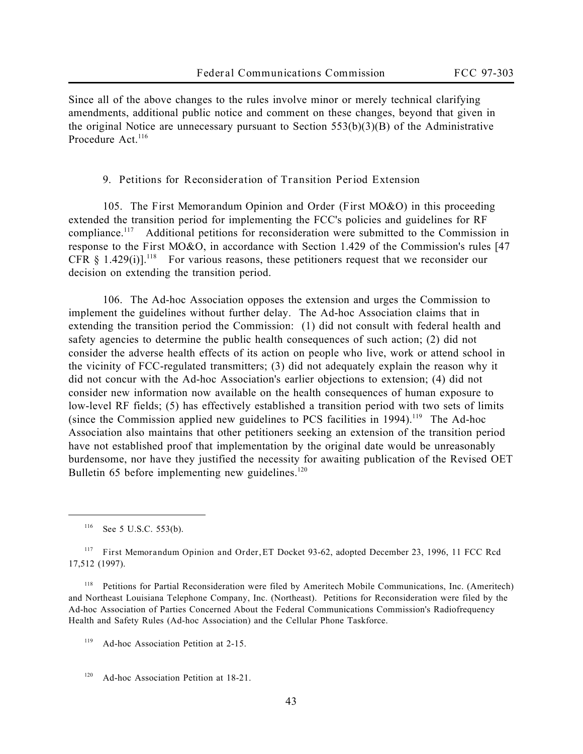Since all of the above changes to the rules involve minor or merely technical clarifying amendments, additional public notice and comment on these changes, beyond that given in the original *Notice* are unnecessary pursuant to Section 553(b)(3)(B) of the Administrative Procedure Act.<sup>116</sup>

**9. Petitions for Reconsideration of Transition Period Extension** 

105. The *First Memorandum Opinion and Order* (*First MO&O*) in this proceeding extended the transition period for implementing the FCC's policies and guidelines for RF compliance.<sup>117</sup> Additional petitions for reconsideration were submitted to the Commission in response to the *First MO&O*, in accordance with Section 1.429 of the Commission's rules [47 CFR  $§$  1.429(i)].<sup>118</sup> For various reasons, these petitioners request that we reconsider our decision on extending the transition period.

106. The Ad-hoc Association opposes the extension and urges the Commission to implement the guidelines without further delay. The Ad-hoc Association claims that in extending the transition period the Commission: (1) did not consult with federal health and safety agencies to determine the public health consequences of such action; (2) did not consider the adverse health effects of its action on people who live, work or attend school in the vicinity of FCC-regulated transmitters; (3) did not adequately explain the reason why it did not concur with the Ad-hoc Association's earlier objections to extension; (4) did not consider new information now available on the health consequences of human exposure to low-level RF fields; (5) has effectively established a transition period with two sets of limits (since the Commission applied new guidelines to PCS facilities in  $1994$ ).<sup>119</sup> The Ad-hoc Association also maintains that other petitioners seeking an extension of the transition period have not established proof that implementation by the original date would be unreasonably burdensome, nor have they justified the necessity for awaiting publication of the Revised OET Bulletin  $65$  before implementing new guidelines.<sup>120</sup>

<sup>116</sup> *See* 5 U.S.C. 553(b).

 $\overline{a}$ 

<sup>117</sup> *First Memorandum Opinion and Order,* ET Docket 93-62, adopted December 23, 1996, 11 FCC Rcd 17,512 (1997).

<sup>118</sup> Petitions for Partial Reconsideration were filed by Ameritech Mobile Communications, Inc. (Ameritech) and Northeast Louisiana Telephone Company, Inc. (Northeast). Petitions for Reconsideration were filed by the Ad-hoc Association of Parties Concerned About the Federal Communications Commission's Radiofrequency Health and Safety Rules (Ad-hoc Association) and the Cellular Phone Taskforce.

<sup>119</sup> Ad-hoc Association Petition at 2-15.

<sup>120</sup> Ad-hoc Association Petition at 18-21.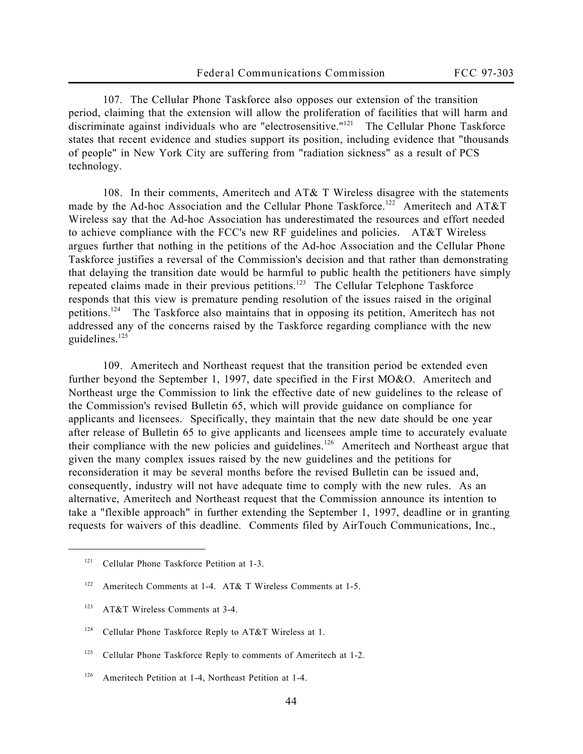107. The Cellular Phone Taskforce also opposes our extension of the transition period, claiming that the extension will allow the proliferation of facilities that will harm and discriminate against individuals who are "electrosensitive."<sup>121</sup> The Cellular Phone Taskforce states that recent evidence and studies support its position, including evidence that "thousands of people" in New York City are suffering from "radiation sickness" as a result of PCS technology.

108. In their comments, Ameritech and AT& T Wireless disagree with the statements made by the Ad-hoc Association and the Cellular Phone Taskforce.<sup>122</sup> Ameritech and AT&T Wireless say that the Ad-hoc Association has underestimated the resources and effort needed to achieve compliance with the FCC's new RF guidelines and policies. AT&T Wireless argues further that nothing in the petitions of the Ad-hoc Association and the Cellular Phone Taskforce justifies a reversal of the Commission's decision and that rather than demonstrating that delaying the transition date would be harmful to public health the petitioners have simply repeated claims made in their previous petitions.<sup>123</sup> The Cellular Telephone Taskforce responds that this view is premature pending resolution of the issues raised in the original petitions.<sup>124</sup> The Taskforce also maintains that in opposing its petition, Ameritech has not addressed any of the concerns raised by the Taskforce regarding compliance with the new guidelines. $125$ 

109. Ameritech and Northeast request that the transition period be extended even further beyond the September 1, 1997, date specified in the *First MO&O.* Ameritech and Northeast urge the Commission to link the effective date of new guidelines to the release of the Commission's revised Bulletin 65, which will provide guidance on compliance for applicants and licensees. Specifically, they maintain that the new date should be one year after release of Bulletin 65 to give applicants and licensees ample time to accurately evaluate their compliance with the new policies and guidelines.<sup>126</sup> Ameritech and Northeast argue that given the many complex issues raised by the new guidelines and the petitions for reconsideration it may be several months before the revised Bulletin can be issued and, consequently, industry will not have adequate time to comply with the new rules. As an alternative, Ameritech and Northeast request that the Commission announce its intention to take a "flexible approach" in further extending the September 1, 1997, deadline or in granting requests for waivers of this deadline. Comments filed by AirTouch Communications, Inc.,

<sup>&</sup>lt;sup>121</sup> Cellular Phone Taskforce Petition at 1-3.

<sup>&</sup>lt;sup>122</sup> Ameritech Comments at 1-4. AT& T Wireless Comments at 1-5.

<sup>123</sup> AT&T Wireless Comments at 3-4.

<sup>&</sup>lt;sup>124</sup> Cellular Phone Taskforce Reply to AT&T Wireless at 1.

<sup>&</sup>lt;sup>125</sup> Cellular Phone Taskforce Reply to comments of Ameritech at 1-2.

<sup>126</sup> Ameritech Petition at 1-4, Northeast Petition at 1-4.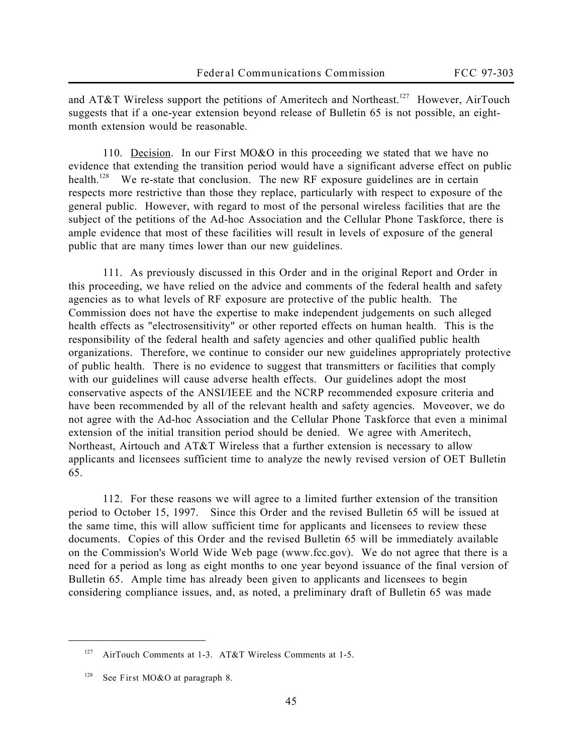and AT&T Wireless support the petitions of Ameritech and Northeast.<sup>127</sup> However, AirTouch suggests that if a one-year extension beyond release of Bulletin 65 is not possible, an eightmonth extension would be reasonable.

110. Decision. In our *First MO&O* in this proceeding we stated that we have no evidence that extending the transition period would have a significant adverse effect on public health.<sup>128</sup> We re-state that conclusion. The new RF exposure guidelines are in certain respects more restrictive than those they replace, particularly with respect to exposure of the general public. However, with regard to most of the personal wireless facilities that are the subject of the petitions of the Ad-hoc Association and the Cellular Phone Taskforce, there is ample evidence that most of these facilities will result in levels of exposure of the general public that are many times lower than our new guidelines.

111. As previously discussed in this *Order* and in the original *Report and Order* in this proceeding, we have relied on the advice and comments of the federal health and safety agencies as to what levels of RF exposure are protective of the public health. The Commission does not have the expertise to make independent judgements on such alleged health effects as "electrosensitivity" or other reported effects on human health. This is the responsibility of the federal health and safety agencies and other qualified public health organizations. Therefore, we continue to consider our new guidelines appropriately protective of public health. There is no evidence to suggest that transmitters or facilities that comply with our guidelines will cause adverse health effects. Our guidelines adopt the most conservative aspects of the ANSI/IEEE and the NCRP recommended exposure criteria and have been recommended by all of the relevant health and safety agencies. Moveover, we do not agree with the Ad-hoc Association and the Cellular Phone Taskforce that even a minimal extension of the initial transition period should be denied. We agree with Ameritech, Northeast, Airtouch and AT&T Wireless that a further extension is necessary to allow applicants and licensees sufficient time to analyze the newly revised version of OET Bulletin 65.

112. For these reasons we will agree to a limited further extension of the transition period to October 15, 1997. Since this *Order* and the revised Bulletin 65 will be issued at the same time, this will allow sufficient time for applicants and licensees to review these documents. Copies of this *Order* and the revised Bulletin 65 will be immediately available on the Commission's World Wide Web page (www.fcc.gov). We do not agree that there is a need for a period as long as eight months to one year beyond issuance of the final version of Bulletin 65. Ample time has already been given to applicants and licensees to begin considering compliance issues, and, as noted, a preliminary draft of Bulletin 65 was made

<sup>&</sup>lt;sup>127</sup> AirTouch Comments at 1-3. AT&T Wireless Comments at 1-5.

<sup>128</sup> See *First MO&O* at paragraph 8.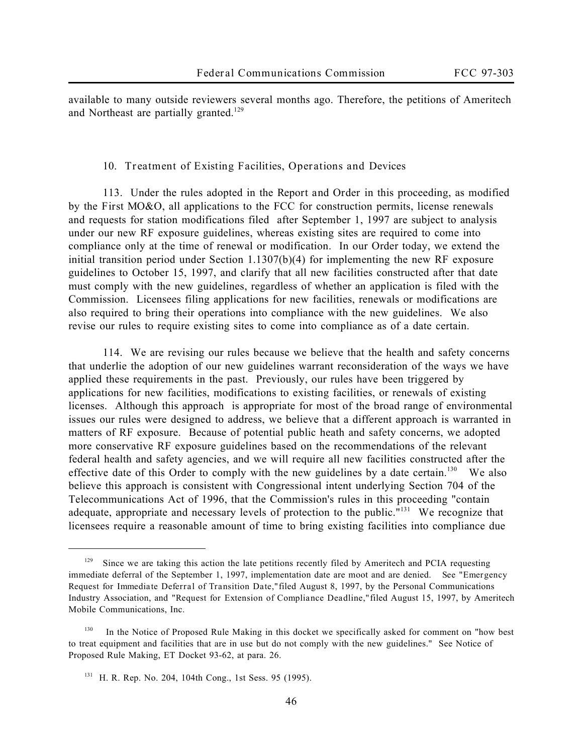available to many outside reviewers several months ago. Therefore, the petitions of Ameritech and Northeast are partially granted.<sup>129</sup>

#### **10. Treatment of Existing Facilities, Operations and Devices**

113. Under the rules adopted in the *Report and Order* in this proceeding, as modified by the *First MO&O,* all applications to the FCC for construction permits, license renewals and requests for station modifications filed after September 1, 1997 are subject to analysis under our new RF exposure guidelines, whereas existing sites are required to come into compliance only at the time of renewal or modification. In our Order today, we extend the initial transition period under Section  $1.1307(b)(4)$  for implementing the new RF exposure guidelines to October 15, 1997, and clarify that all new facilities constructed after that date must comply with the new guidelines, regardless of whether an application is filed with the Commission. Licensees filing applications for new facilities, renewals or modifications are also required to bring their operations into compliance with the new guidelines. We also revise our rules to require existing sites to come into compliance as of a date certain.

114. We are revising our rules because we believe that the health and safety concerns that underlie the adoption of our new guidelines warrant reconsideration of the ways we have applied these requirements in the past. Previously, our rules have been triggered by applications for new facilities, modifications to existing facilities, or renewals of existing licenses. Although this approach is appropriate for most of the broad range of environmental issues our rules were designed to address, we believe that a different approach is warranted in matters of RF exposure. Because of potential public heath and safety concerns, we adopted more conservative RF exposure guidelines based on the recommendations of the relevant federal health and safety agencies, and we will require all new facilities constructed after the effective date of this Order to comply with the new guidelines by a date certain.<sup>130</sup> We also believe this approach is consistent with Congressional intent underlying Section 704 of the Telecommunications Act of 1996, that the Commission's rules in this proceeding "contain adequate, appropriate and necessary levels of protection to the public."<sup>131</sup> We recognize that licensees require a reasonable amount of time to bring existing facilities into compliance due

 $129$  Since we are taking this action the late petitions recently filed by Ameritech and PCIA requesting immediate deferral of the September 1, 1997, implementation date are moot and are denied. *See "Emergency Request for Immediate Deferral of Transition Date,"* filed August 8, 1997, by the Personal Communications Industry Association, and *"Request for Extension of Compliance Deadline,"* filed August 15, 1997, by Ameritech Mobile Communications, Inc.

<sup>&</sup>lt;sup>130</sup> In the Notice of Proposed Rule Making in this docket we specifically asked for comment on "how best to treat equipment and facilities that are in use but do not comply with the new guidelines." See Notice of Proposed Rule Making, ET Docket 93-62, at para. 26.

<sup>131</sup> H. R. Rep. No. 204, 104th Cong., 1st Sess. 95 (1995).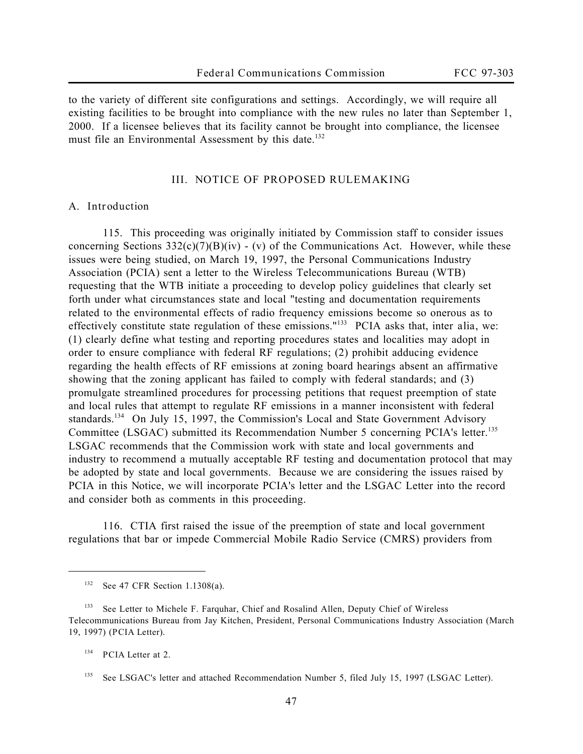to the variety of different site configurations and settings. Accordingly, we will require all existing facilities to be brought into compliance with the new rules no later than September 1, 2000. If a licensee believes that its facility cannot be brought into compliance, the licensee must file an Environmental Assessment by this date.<sup>132</sup>

## **III. NOTICE OF PROPOSED RULEMAKING**

## **A. Introduction**

115. This proceeding was originally initiated by Commission staff to consider issues concerning Sections  $332(c)(7)(B)(iv) - (v)$  of the Communications Act. However, while these issues were being studied, on March 19, 1997, the Personal Communications Industry Association (PCIA) sent a letter to the Wireless Telecommunications Bureau (WTB) requesting that the WTB initiate a proceeding to develop policy guidelines that clearly set forth under what circumstances state and local "testing and documentation requirements related to the environmental effects of radio frequency emissions become so onerous as to effectively constitute state regulation of these emissions."<sup>133</sup> PCIA asks that, *inter alia*, we: (1) clearly define what testing and reporting procedures states and localities may adopt in order to ensure compliance with federal RF regulations; (2) prohibit adducing evidence regarding the health effects of RF emissions at zoning board hearings absent an affirmative showing that the zoning applicant has failed to comply with federal standards; and (3) promulgate streamlined procedures for processing petitions that request preemption of state and local rules that attempt to regulate RF emissions in a manner inconsistent with federal standards.<sup>134</sup> On July 15, 1997, the Commission's Local and State Government Advisory Committee (LSGAC) submitted its Recommendation Number 5 concerning PCIA's letter.<sup>135</sup> LSGAC recommends that the Commission work with state and local governments and industry to recommend a mutually acceptable RF testing and documentation protocol that may be adopted by state and local governments. Because we are considering the issues raised by PCIA in this *Notice*, we will incorporate PCIA's letter and the LSGAC Letter into the record and consider both as comments in this proceeding.

116. CTIA first raised the issue of the preemption of state and local government regulations that bar or impede Commercial Mobile Radio Service (CMRS) providers from

<sup>132</sup> *See* 47 CFR Section 1.1308(a).

<sup>133</sup> *See* Letter to Michele F. Farquhar, Chief and Rosalind Allen, Deputy Chief of Wireless Telecommunications Bureau from Jay Kitchen, President, Personal Communications Industry Association (March 19, 1997) (*PCIA Letter*).

<sup>134</sup> *PCIA Letter* at 2.

<sup>&</sup>lt;sup>135</sup> See LSGAC's letter and attached Recommendation Number 5, filed July 15, 1997 (LSGAC Letter).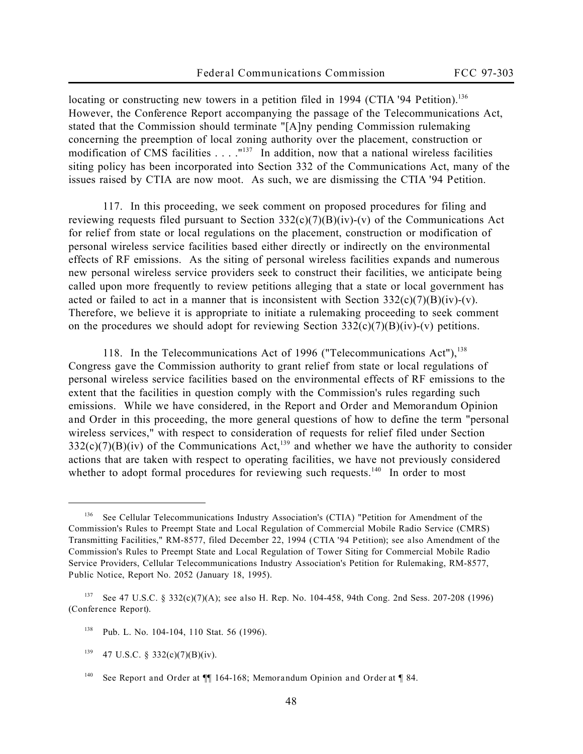locating or constructing new towers in a petition filed in 1994 (*CTIA '94 Petition)*. 136 However, the *Conference Report* accompanying the passage of the Telecommunications Act, stated that the Commission should terminate "[A]ny pending Commission rulemaking concerning the preemption of local zoning authority over the placement, construction or modification of CMS facilities  $\ldots$ . "<sup>137</sup> In addition, now that a national wireless facilities siting policy has been incorporated into Section 332 of the Communications Act, many of the issues raised by CTIA are now moot. As such, we are dismissing the *CTIA '94 Petition*.

117. In this proceeding, we seek comment on proposed procedures for filing and reviewing requests filed pursuant to Section  $332(c)(7)(B)(iv)-(v)$  of the Communications Act for relief from state or local regulations on the placement, construction or modification of personal wireless service facilities based either directly or indirectly on the environmental effects of RF emissions. As the siting of personal wireless facilities expands and numerous new personal wireless service providers seek to construct their facilities, we anticipate being called upon more frequently to review petitions alleging that a state or local government has acted or failed to act in a manner that is inconsistent with Section  $332(c)(7)(B)(iv)-(v)$ . Therefore, we believe it is appropriate to initiate a rulemaking proceeding to seek comment on the procedures we should adopt for reviewing Section  $332(c)(7)(B)(iv)$ -(v) petitions.

118. In the Telecommunications Act of 1996 ("Telecommunications Act"), $^{138}$ Congress gave the Commission authority to grant relief from state or local regulations of personal wireless service facilities based on the environmental effects of RF emissions to the extent that the facilities in question comply with the Commission's rules regarding such emissions. While we have considered, in the *Report and Order and Memorandum Opinion and Order* in this proceeding, the more general questions of how to define the term "personal wireless services," with respect to consideration of requests for relief filed under Section  $332(c)(7)(B)(iv)$  of the Communications Act,<sup>139</sup> and whether we have the authority to consider actions that are taken with respect to operating facilities, we have not previously considered whether to adopt formal procedures for reviewing such requests.<sup>140</sup> In order to most

<sup>136</sup> *See* Cellular Telecommunications Industry Association's (CTIA) "Petition for Amendment of the Commission's Rules to Preempt State and Local Regulation of Commercial Mobile Radio Service (CMRS) Transmitting Facilities," RM-8577, filed December 22, 1994 (*CTIA '94 Petition*); *see also* Amendment of the Commission's Rules to Preempt State and Local Regulation of Tower Siting for Commercial Mobile Radio Service Providers, Cellular Telecommunications Industry Association's Petition for Rulemaking, RM-8577, *Public Notice*, Report No. 2052 (January 18, 1995).

<sup>137</sup> *See* 47 U.S.C. § 332(c)(7)(A); *see also* H. Rep. No. 104-458, 94th Cong. 2nd Sess. 207-208 (1996) (*Conference Report*).

<sup>138</sup> Pub. L. No. 104-104, 110 Stat. 56 (1996).

<sup>&</sup>lt;sup>139</sup> 47 U.S.C. § 332(c)(7)(B)(iv).

<sup>140</sup> *See Report and Order* at ¶¶ 164-168; *Memorandum Opinion and Order* at ¶ 84.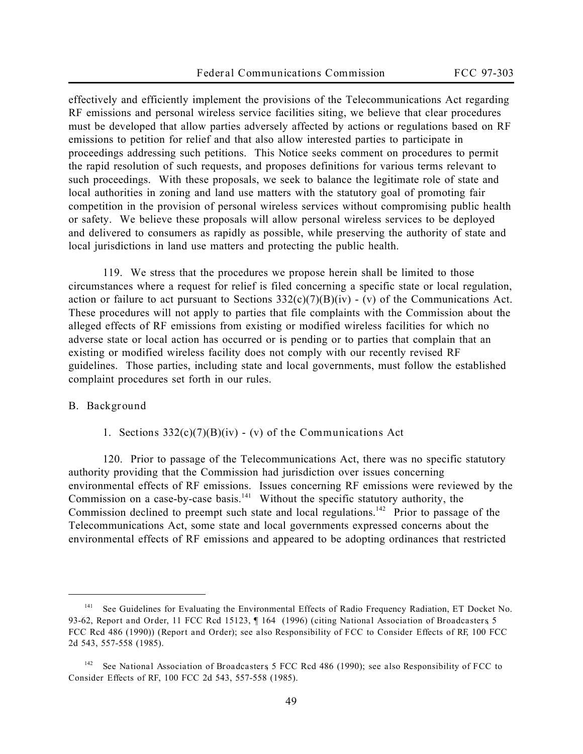effectively and efficiently implement the provisions of the Telecommunications Act regarding RF emissions and personal wireless service facilities siting, we believe that clear procedures must be developed that allow parties adversely affected by actions or regulations based on RF emissions to petition for relief and that also allow interested parties to participate in proceedings addressing such petitions. This *Notice* seeks comment on procedures to permit the rapid resolution of such requests, and proposes definitions for various terms relevant to such proceedings. With these proposals, we seek to balance the legitimate role of state and local authorities in zoning and land use matters with the statutory goal of promoting fair competition in the provision of personal wireless services without compromising public health or safety. We believe these proposals will allow personal wireless services to be deployed and delivered to consumers as rapidly as possible, while preserving the authority of state and local jurisdictions in land use matters and protecting the public health.

119. We stress that the procedures we propose herein shall be limited to those circumstances where a request for relief is filed concerning a specific state or local regulation, action or failure to act pursuant to Sections  $332(c)(7)(B)(iv)$  - (v) of the Communications Act. These procedures will not apply to parties that file complaints with the Commission about the alleged effects of RF emissions from existing or modified wireless facilities for which no adverse state or local action has occurred or is pending or to parties that complain that an existing or modified wireless facility does not comply with our recently revised RF guidelines. Those parties, including state and local governments, must follow the established complaint procedures set forth in our rules.

## **B. Background**

 $\overline{a}$ 

**1. Sections 332(c)(7)(B)(iv) - (v) of the Communications Act**

120. Prior to passage of the Telecommunications Act, there was no specific statutory authority providing that the Commission had jurisdiction over issues concerning environmental effects of RF emissions. Issues concerning RF emissions were reviewed by the Commission on a case-by-case basis.<sup>141</sup> Without the specific statutory authority, the Commission declined to preempt such state and local regulations.<sup>142</sup> Prior to passage of the Telecommunications Act, some state and local governments expressed concerns about the environmental effects of RF emissions and appeared to be adopting ordinances that restricted

<sup>&</sup>lt;sup>141</sup> See Guidelines for Evaluating the Environmental Effects of Radio Frequency Radiation, ET Docket No. 93-62, *Report and Order*, 11 FCC Rcd 15123, ¶ 164 (1996) (*citing National Association of Broadcasters*, 5 FCC Rcd 486 (1990)) (*Report and Order*); *see also Responsibility of FCC to Consider Effects of RF*, 100 FCC 2d 543, 557-558 (1985).

<sup>142</sup> *See National Association of Broadcasters*, 5 FCC Rcd 486 (1990); *see also Responsibility of FCC to Consider Effects of RF*, 100 FCC 2d 543, 557-558 (1985).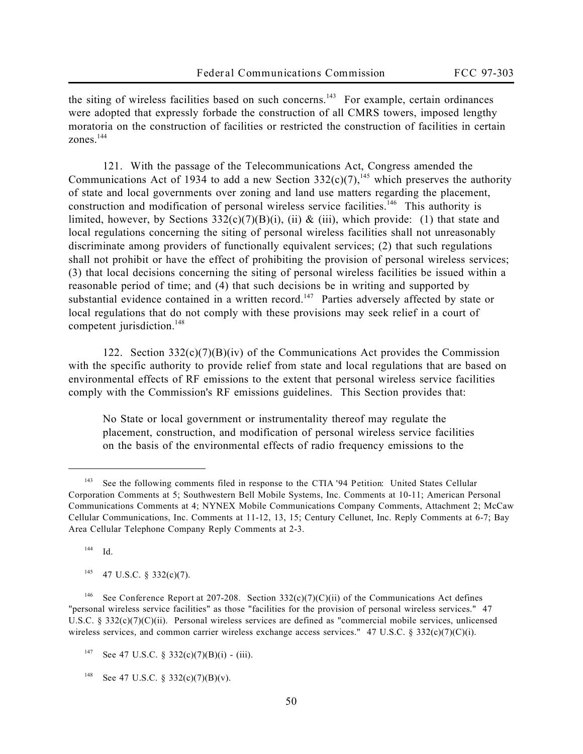the siting of wireless facilities based on such concerns.<sup>143</sup> For example, certain ordinances were adopted that expressly forbade the construction of all CMRS towers, imposed lengthy moratoria on the construction of facilities or restricted the construction of facilities in certain zones<sup>144</sup>

121. With the passage of the Telecommunications Act, Congress amended the Communications Act of 1934 to add a new Section 332(c)(7),<sup>145</sup> which preserves the authority of state and local governments over zoning and land use matters regarding the placement, construction and modification of personal wireless service facilities.<sup>146</sup> This authority is limited, however, by Sections  $332(c)(7)(B)(i)$ , (ii) & (iii), which provide: (1) that state and local regulations concerning the siting of personal wireless facilities shall not unreasonably discriminate among providers of functionally equivalent services; (2) that such regulations shall not prohibit or have the effect of prohibiting the provision of personal wireless services; (3) that local decisions concerning the siting of personal wireless facilities be issued within a reasonable period of time; and (4) that such decisions be in writing and supported by substantial evidence contained in a written record.<sup>147</sup> Parties adversely affected by state or local regulations that do not comply with these provisions may seek relief in a court of competent jurisdiction.<sup>148</sup>

122. Section  $332(c)(7)(B)(iv)$  of the Communications Act provides the Commission with the specific authority to provide relief from state and local regulations that are based on environmental effects of RF emissions to the extent that personal wireless service facilities comply with the Commission's RF emissions guidelines. This Section provides that:

No State or local government or instrumentality thereof may regulate the placement, construction, and modification of personal wireless service facilities on the basis of the environmental effects of radio frequency emissions to the

<sup>144</sup> *Id.*

 $\overline{a}$ 

 $145$  47 U.S.C. § 332(c)(7).

<sup>143</sup> *See* the following comments filed in response to the *CTIA '94 Petition*: United States Cellular Corporation Comments at 5; Southwestern Bell Mobile Systems, Inc. Comments at 10-11; American Personal Communications Comments at 4; NYNEX Mobile Communications Company Comments, Attachment 2; McCaw Cellular Communications, Inc. Comments at 11-12, 13, 15; Century Cellunet, Inc. Reply Comments at 6-7; Bay Area Cellular Telephone Company Reply Comments at 2-3.

<sup>&</sup>lt;sup>146</sup> See Conference Report at 207-208. Section 332(c)(7)(C)(ii) of the Communications Act defines "personal wireless service facilities" as those "facilities for the provision of personal wireless services." 47 U.S.C. § 332(c)(7)(C)(ii). Personal wireless services are defined as "commercial mobile services, unlicensed wireless services, and common carrier wireless exchange access services." 47 U.S.C. § 332(c)(7)(C)(i).

<sup>&</sup>lt;sup>147</sup> See 47 U.S.C. § 332(c)(7)(B)(i) - (iii).

<sup>148</sup> *See* 47 U.S.C. § 332(c)(7)(B)(v).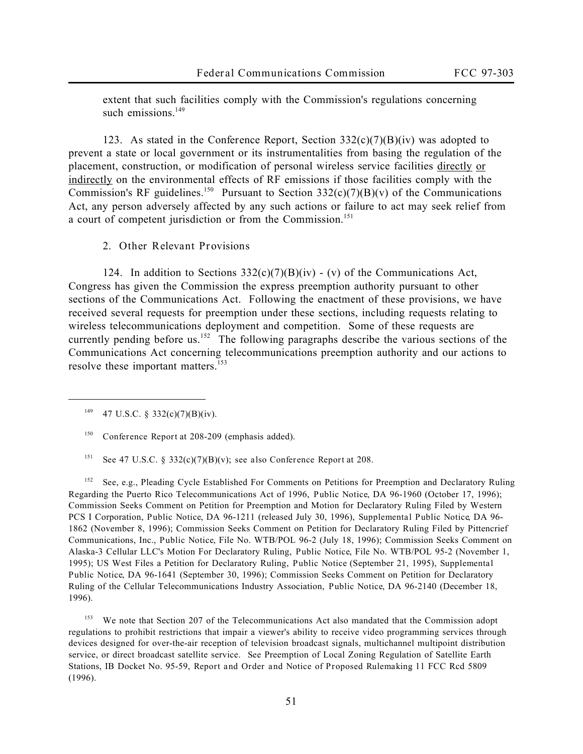extent that such facilities comply with the Commission's regulations concerning such emissions  $149$ 

123. As stated in the Conference Report, Section  $332(c)(7)(B)(iv)$  was adopted to prevent a state or local government or its instrumentalities from basing the regulation of the placement, construction, or modification of personal wireless service facilities directly or indirectly on the environmental effects of RF emissions if those facilities comply with the Commission's RF guidelines.<sup>150</sup> Pursuant to Section  $332(c)(7)(B)(v)$  of the Communications Act, any person adversely affected by any such actions or failure to act may seek relief from a court of competent jurisdiction or from the Commission.<sup>151</sup>

**2. Other Relevant Provisions**

124. In addition to Sections  $332(c)(7)(B)(iv)$  - (v) of the Communications Act, Congress has given the Commission the express preemption authority pursuant to other sections of the Communications Act. Following the enactment of these provisions, we have received several requests for preemption under these sections, including requests relating to wireless telecommunications deployment and competition. Some of these requests are currently pending before us.<sup>152</sup> The following paragraphs describe the various sections of the Communications Act concerning telecommunications preemption authority and our actions to resolve these important matters.<sup>153</sup>

<sup>149</sup> 47 U.S.C. § 332(c)(7)(B)(iv).

 $\overline{a}$ 

<sup>151</sup> *See* 47 U.S.C. § 332(c)(7)(B)(v); *see also Conference Report* at 208.

<sup>152</sup> *See*, *e.g.,* Pleading Cycle Established For Comments on Petitions for Preemption and Declaratory Ruling Regarding the Puerto Rico Telecommunications Act of 1996, *Public Notice*, DA 96-1960 (October 17, 1996); Commission Seeks Comment on Petition for Preemption and Motion for Declaratory Ruling Filed by Western PCS I Corporation, *Public Notice*, DA 96-1211 (released July 30, 1996), *Supplemental Public Notice*, DA 96- 1862 (November 8, 1996); Commission Seeks Comment on Petition for Declaratory Ruling Filed by Pittencrief Communications, Inc., *Public Notice*, File No. WTB/POL 96-2 (July 18, 1996); Commission Seeks Comment on Alaska-3 Cellular LLC's Motion For Declaratory Ruling, *Public Notice*, File No. WTB/POL 95-2 (November 1, 1995); US West Files a Petition for Declaratory Ruling, *Public Notice* (September 21, 1995), *Supplemental Public Notice*, DA 96-1641 (September 30, 1996); Commission Seeks Comment on Petition for Declaratory Ruling of the Cellular Telecommunications Industry Association, *Public Notice*, DA 96-2140 (December 18, 1996).

We note that Section 207 of the Telecommunications Act also mandated that the Commission adopt regulations to prohibit restrictions that impair a viewer's ability to receive video programming services through devices designed for over-the-air reception of television broadcast signals, multichannel multipoint distribution service, or direct broadcast satellite service. *See* Preemption of Local Zoning Regulation of Satellite Earth Stations, IB Docket No. 95-59, *Report and Order and Notice of Proposed Rulemaking*, 11 FCC Rcd 5809 (1996).

<sup>150</sup> *Conference Report* at 208-209 (emphasis added).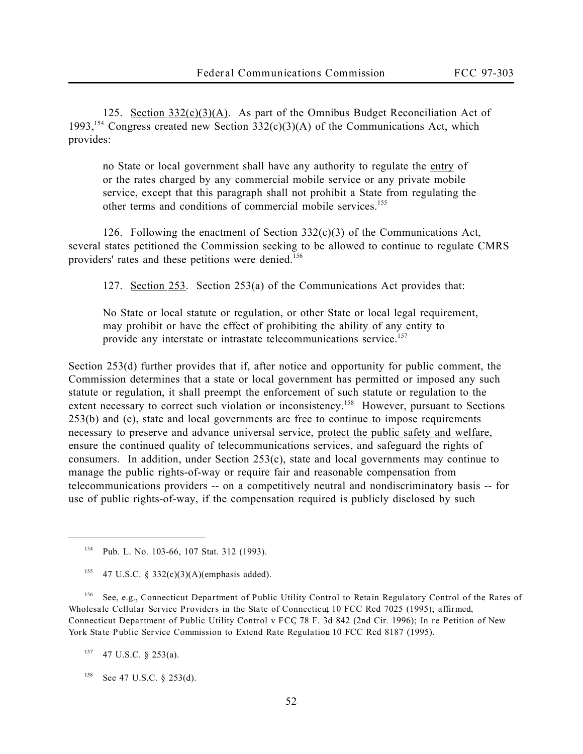125. Section  $332(c)(3)(A)$ . As part of the Omnibus Budget Reconciliation Act of 1993,<sup>154</sup> Congress created new Section  $332(c)(3)(A)$  of the Communications Act, which provides:

no State or local government shall have any authority to regulate the entry of or the rates charged by any commercial mobile service or any private mobile service, except that this paragraph shall not prohibit a State from regulating the other terms and conditions of commercial mobile services.<sup>155</sup>

126. Following the enactment of Section  $332(c)(3)$  of the Communications Act, several states petitioned the Commission seeking to be allowed to continue to regulate CMRS providers' rates and these petitions were denied.<sup>156</sup>

127. Section 253. Section 253(a) of the Communications Act provides that:

No State or local statute or regulation, or other State or local legal requirement, may prohibit or have the effect of prohibiting the ability of any entity to provide any interstate or intrastate telecommunications service.<sup>157</sup>

Section 253(d) further provides that if, after notice and opportunity for public comment, the Commission determines that a state or local government has permitted or imposed any such statute or regulation, it shall preempt the enforcement of such statute or regulation to the extent necessary to correct such violation or inconsistency.<sup>158</sup> However, pursuant to Sections 253(b) and (c), state and local governments are free to continue to impose requirements necessary to preserve and advance universal service, protect the public safety and welfare, ensure the continued quality of telecommunications services, and safeguard the rights of consumers. In addition, under Section 253(c), state and local governments may continue to manage the public rights-of-way or require fair and reasonable compensation from telecommunications providers -- on a competitively neutral and nondiscriminatory basis -- for use of public rights-of-way, if the compensation required is publicly disclosed by such

<sup>156</sup> *See*, *e.g.*, *Connecticut Department of Public Utility Control to Retain Regulatory Control of the Rates of Wholesale Cellular Service Providers in the State of Connecticut*, 10 FCC Rcd 7025 (1995); *affirmed*, *Connecticut Department of Public Utility Control v FCC*, 78 F. 3d 842 (2nd Cir. 1996); *In re Petition of New York State Public Service Commission to Extend Rate Regulation*, 10 FCC Rcd 8187 (1995).

<sup>157</sup> 47 U.S.C. § 253(a).

 $\overline{a}$ 

<sup>158</sup> *See* 47 U.S.C. § 253(d).

<sup>154</sup> Pub. L. No. 103-66, 107 Stat. 312 (1993).

<sup>&</sup>lt;sup>155</sup> 47 U.S.C. § 332(c)(3)(A)(emphasis added).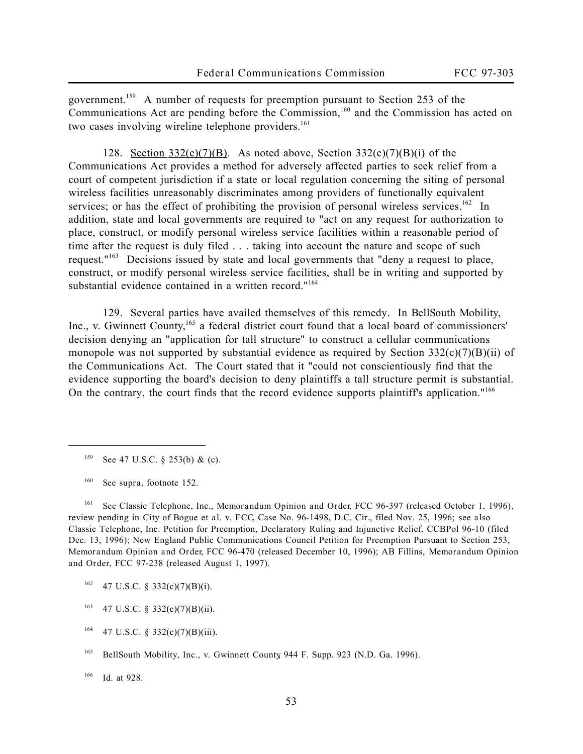government.<sup>159</sup> A number of requests for preemption pursuant to Section 253 of the Communications Act are pending before the Commission,<sup>160</sup> and the Commission has acted on two cases involving wireline telephone providers.<sup>161</sup>

128. Section  $332(c)(7)(B)$ . As noted above, Section  $332(c)(7)(B)(i)$  of the Communications Act provides a method for adversely affected parties to seek relief from a court of competent jurisdiction if a state or local regulation concerning the siting of personal wireless facilities unreasonably discriminates among providers of functionally equivalent services; or has the effect of prohibiting the provision of personal wireless services.<sup>162</sup> In addition, state and local governments are required to "act on any request for authorization to place, construct, or modify personal wireless service facilities within a reasonable period of time after the request is duly filed . . . taking into account the nature and scope of such request." $163$  Decisions issued by state and local governments that "deny a request to place, construct, or modify personal wireless service facilities, shall be in writing and supported by substantial evidence contained in a written record."<sup>164</sup>

129. Several parties have availed themselves of this remedy. In *BellSouth Mobility,* Inc., v. Gwinnett County, <sup>165</sup> a federal district court found that a local board of commissioners' decision denying an "application for tall structure" to construct a cellular communications monopole was not supported by substantial evidence as required by Section  $332(c)(7)(B)(ii)$  of the Communications Act. The Court stated that it "could not conscientiously find that the evidence supporting the board's decision to deny plaintiffs a tall structure permit is substantial. On the contrary, the court finds that the record evidence supports plaintiff's application."<sup>166</sup>

 $\overline{a}$ 

<sup>161</sup> *See* Classic Telephone, Inc., *Memorandum Opinion and Order*, FCC 96-397 (released October 1, 1996)*,* review pending in *City of Bogue et al. v. FCC*, Case No. 96-1498, D.C. Cir., filed Nov. 25, 1996; *see also* Classic Telephone, Inc. Petition for Preemption, Declaratory Ruling and Injunctive Relief, CCBPol 96-10 (filed Dec. 13, 1996); New England Public Communications Council Petition for Preemption Pursuant to Section 253, *Memorandum Opinion and Order*, FCC 96-470 (released December 10, 1996); AB Fillins, *Memorandum Opinion and Order*, FCC 97-238 (released August 1, 1997).

- $162$  47 U.S.C. § 332(c)(7)(B)(i).
- $163$  47 U.S.C. § 332(c)(7)(B)(ii).
- $164$  47 U.S.C. § 332(c)(7)(B)(iii).

<sup>166</sup> *Id*. at 928.

<sup>159</sup> *See* 47 U.S.C. § 253(b) & (c).

<sup>160</sup> *See supra,* footnote 152.

<sup>165</sup> *BellSouth Mobility, Inc., v. Gwinnett County*, 944 F. Supp. 923 (N.D. Ga. 1996).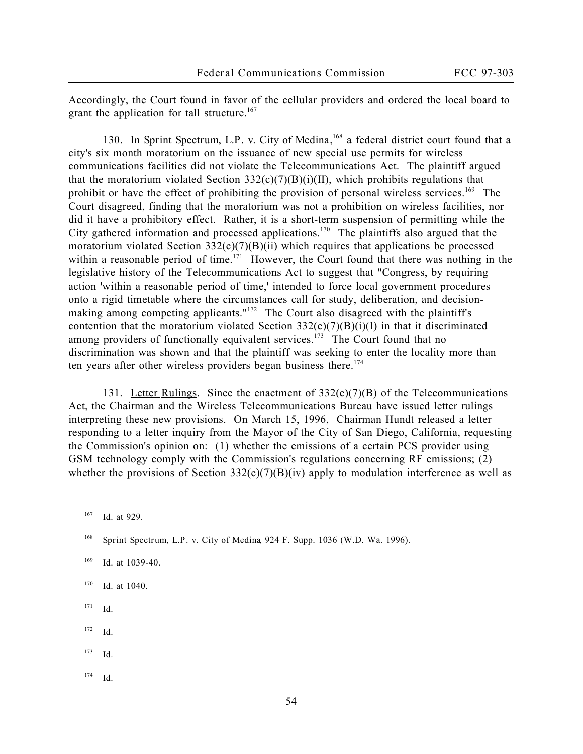Accordingly, the Court found in favor of the cellular providers and ordered the local board to grant the application for tall structure.<sup>167</sup>

130. In Sprint Spectrum, L.P. v. City of Medina,<sup>168</sup> a federal district court found that a city's six month moratorium on the issuance of new special use permits for wireless communications facilities did not violate the Telecommunications Act. The plaintiff argued that the moratorium violated Section  $332(c)(7)(B)(i)(II)$ , which prohibits regulations that prohibit or have the effect of prohibiting the provision of personal wireless services.<sup>169</sup> The Court disagreed, finding that the moratorium was not a prohibition on wireless facilities, nor did it have a prohibitory effect. Rather, it is a short-term suspension of permitting while the City gathered information and processed applications.<sup>170</sup> The plaintiffs also argued that the moratorium violated Section  $332(c)(7)(B)(ii)$  which requires that applications be processed within a reasonable period of time.<sup>171</sup> However, the Court found that there was nothing in the legislative history of the Telecommunications Act to suggest that "Congress, by requiring action 'within a reasonable period of time,' intended to force local government procedures onto a rigid timetable where the circumstances call for study, deliberation, and decisionmaking among competing applicants."<sup>172</sup> The Court also disagreed with the plaintiff's contention that the moratorium violated Section  $332(c)(7)(B)(i)(I)$  in that it discriminated among providers of functionally equivalent services.<sup>173</sup> The Court found that no discrimination was shown and that the plaintiff was seeking to enter the locality more than ten years after other wireless providers began business there.<sup>174</sup>

131. Letter Rulings*.* Since the enactment of 332(c)(7)(B) of the Telecommunications Act, the Chairman and the Wireless Telecommunications Bureau have issued letter rulings interpreting these new provisions. On March 15, 1996, Chairman Hundt released a letter responding to a letter inquiry from the Mayor of the City of San Diego, California, requesting the Commission's opinion on: (1) whether the emissions of a certain PCS provider using GSM technology comply with the Commission's regulations concerning RF emissions; (2) whether the provisions of Section  $332(c)(7)(B)(iv)$  apply to modulation interference as well as

- <sup>170</sup> *Id.* at 1040.
- <sup>171</sup> *Id.*
- <sup>172</sup> *Id.*
- <sup>173</sup> *Id.*
- <sup>174</sup> *Id.*

<sup>167</sup> *Id.* at 929.

<sup>168</sup> *Sprint Spectrum, L.P. v. City of Medina*, 924 F. Supp. 1036 (W.D. Wa. 1996).

<sup>169</sup> *Id.* at 1039-40.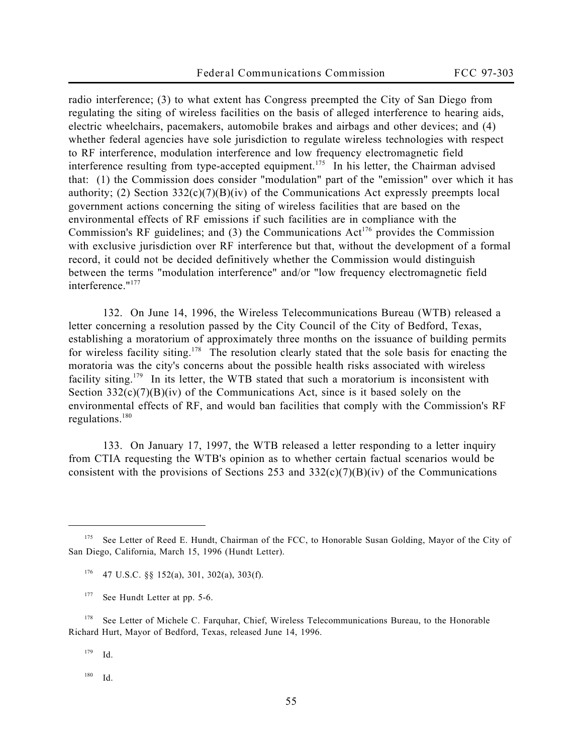radio interference; (3) to what extent has Congress preempted the City of San Diego from regulating the siting of wireless facilities on the basis of alleged interference to hearing aids, electric wheelchairs, pacemakers, automobile brakes and airbags and other devices; and (4) whether federal agencies have sole jurisdiction to regulate wireless technologies with respect to RF interference, modulation interference and low frequency electromagnetic field interference resulting from type-accepted equipment.<sup>175</sup> In his letter, the Chairman advised that: (1) the Commission does consider "modulation" part of the "emission" over which it has authority; (2) Section  $332(c)(7)(B)(iv)$  of the Communications Act expressly preempts local government actions concerning the siting of wireless facilities that are based on the environmental effects of RF emissions if such facilities are in compliance with the Commission's RF guidelines; and  $(3)$  the Communications Act<sup>176</sup> provides the Commission with exclusive jurisdiction over RF interference but that, without the development of a formal record, it could not be decided definitively whether the Commission would distinguish between the terms "modulation interference" and/or "low frequency electromagnetic field interference."<sup>177</sup>

132. On June 14, 1996, the Wireless Telecommunications Bureau (WTB) released a letter concerning a resolution passed by the City Council of the City of Bedford, Texas, establishing a moratorium of approximately three months on the issuance of building permits for wireless facility siting.<sup>178</sup> The resolution clearly stated that the sole basis for enacting the moratoria was the city's concerns about the possible health risks associated with wireless facility siting.<sup>179</sup> In its letter, the WTB stated that such a moratorium is inconsistent with Section  $332(c)(7)(B)(iv)$  of the Communications Act, since is it based solely on the environmental effects of RF, and would ban facilities that comply with the Commission's RF regulations.<sup>180</sup>

133. On January 17, 1997, the WTB released a letter responding to a letter inquiry from CTIA requesting the WTB's opinion as to whether certain factual scenarios would be consistent with the provisions of Sections 253 and  $332(c)(7)(B)(iv)$  of the Communications

<sup>176</sup> 47 U.S.C. §§ 152(a), 301, 302(a), 303(f).

<sup>178</sup> See Letter of Michele C. Farquhar, Chief, Wireless Telecommunications Bureau, to the Honorable Richard Hurt, Mayor of Bedford, Texas, released June 14, 1996.

<sup>179</sup> *Id.*

 $\overline{a}$ 

<sup>180</sup> *Id.*

<sup>175</sup> *See* Letter of Reed E. Hundt, Chairman of the FCC, to Honorable Susan Golding, Mayor of the City of San Diego, California, March 15, 1996 (*Hundt Letter*).

<sup>177</sup> *See Hundt Letter* at pp. 5-6.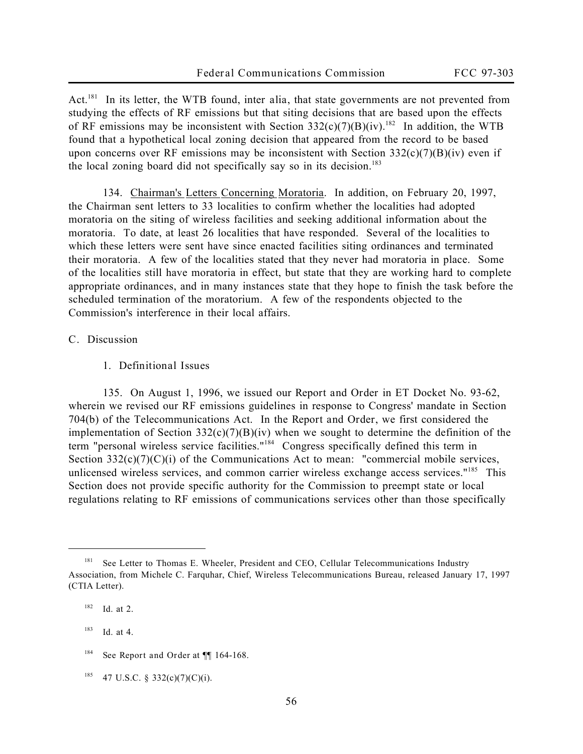Act.<sup>181</sup> In its letter, the WTB found, *inter alia*, that state governments are not prevented from studying the effects of RF emissions but that siting decisions that are based upon the effects of RF emissions may be inconsistent with Section  $332(c)(7)(B)(iv)$ .<sup>182</sup> In addition, the WTB found that a hypothetical local zoning decision that appeared from the record to be based upon concerns over RF emissions may be inconsistent with Section  $332(c)(7)(B)(iv)$  even if the local zoning board did not specifically say so in its decision.<sup>183</sup>

134. Chairman's Letters Concerning Moratoria. In addition, on February 20, 1997, the Chairman sent letters to 33 localities to confirm whether the localities had adopted moratoria on the siting of wireless facilities and seeking additional information about the moratoria. To date, at least 26 localities that have responded. Several of the localities to which these letters were sent have since enacted facilities siting ordinances and terminated their moratoria. A few of the localities stated that they never had moratoria in place. Some of the localities still have moratoria in effect, but state that they are working hard to complete appropriate ordinances, and in many instances state that they hope to finish the task before the scheduled termination of the moratorium. A few of the respondents objected to the Commission's interference in their local affairs.

## **C. Discussion**

**1. Definitional Issues**

135. On August 1, 1996, we issued our *Report and Order* in ET Docket No. 93-62, wherein we revised our RF emissions guidelines in response to Congress' mandate in Section 704(b) of the Telecommunications Act. In the *Report and Order*, we first considered the implementation of Section  $332(c)(7)(B)(iv)$  when we sought to determine the definition of the term "personal wireless service facilities."<sup>184</sup> Congress specifically defined this term in Section  $332(c)(7)(c)(i)$  of the Communications Act to mean: "commercial mobile services, unlicensed wireless services, and common carrier wireless exchange access services."<sup>185</sup> This Section does not provide specific authority for the Commission to preempt state or local regulations relating to RF emissions of communications services other than those specifically

<sup>&</sup>lt;sup>181</sup> See Letter to Thomas E. Wheeler, President and CEO, Cellular Telecommunications Industry Association, from Michele C. Farquhar, Chief, Wireless Telecommunications Bureau, released January 17, 1997 (*CTIA Letter*).

<sup>182</sup> *Id.* at 2.

<sup>183</sup> *Id.* at 4.

<sup>&</sup>lt;sup>184</sup> See Report and Order at  $\P$  164-168.

 $185$  47 U.S.C. § 332(c)(7)(C)(i).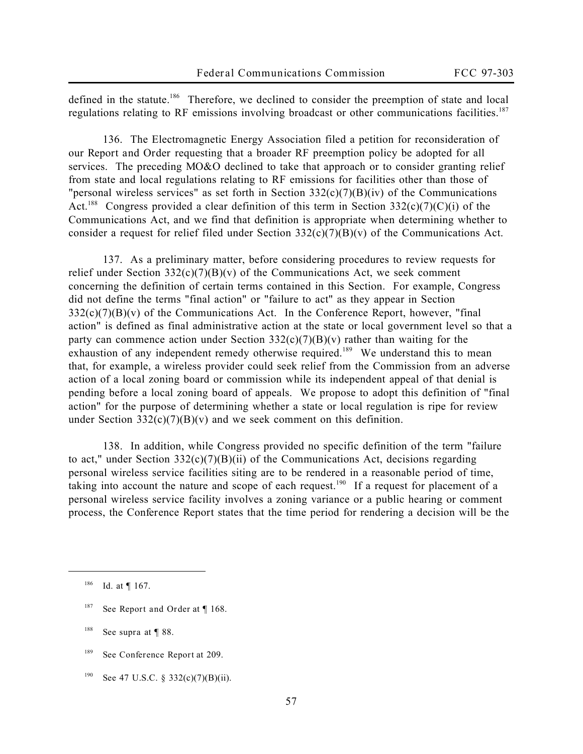defined in the statute.<sup>186</sup> Therefore, we declined to consider the preemption of state and local regulations relating to RF emissions involving broadcast or other communications facilities.<sup>187</sup>

136. The Electromagnetic Energy Association filed a petition for reconsideration of our *Report and Order* requesting that a broader RF preemption policy be adopted for all services. The preceding *MO&O* declined to take that approach or to consider granting relief from state and local regulations relating to RF emissions for facilities other than those of "personal wireless services" as set forth in Section 332(c)(7)(B)(iv) of the Communications Act.<sup>188</sup> Congress provided a clear definition of this term in Section  $332(c)(7)(C)(i)$  of the Communications Act, and we find that definition is appropriate when determining whether to consider a request for relief filed under Section  $332(c)(7)(B)(v)$  of the Communications Act.

137. As a preliminary matter, before considering procedures to review requests for relief under Section  $332(c)(7)(B)(v)$  of the Communications Act, we seek comment concerning the definition of certain terms contained in this Section. For example, Congress did not define the terms "final action" or "failure to act" as they appear in Section 332(c)(7)(B)(v) of the Communications Act. In the *Conference Report*, however, "final action" is defined as final administrative action at the state or local government level so that a party can commence action under Section  $332(c)(7)(B)(v)$  rather than waiting for the exhaustion of any independent remedy otherwise required.<sup>189</sup> We understand this to mean that, for example, a wireless provider could seek relief from the Commission from an adverse action of a local zoning board or commission while its independent appeal of that denial is pending before a local zoning board of appeals. We propose to adopt this definition of "final action" for the purpose of determining whether a state or local regulation is ripe for review under Section  $332(c)(7)(B)(v)$  and we seek comment on this definition.

138. In addition, while Congress provided no specific definition of the term "failure to act," under Section  $332(c)(7)(B)(ii)$  of the Communications Act, decisions regarding personal wireless service facilities siting are to be rendered in a reasonable period of time, taking into account the nature and scope of each request.<sup>190</sup> If a request for placement of a personal wireless service facility involves a zoning variance or a public hearing or comment process, the *Conference Report* states that the time period for rendering a decision will be the

<sup>186</sup> *Id.* at ¶ 167.

<sup>187</sup> *See Report and Order* at ¶ 168.

<sup>188</sup> *See supra* at ¶ 88.

<sup>189</sup> *See Conference Report* at 209.

<sup>190</sup> *See* 47 U.S.C. § 332(c)(7)(B)(ii).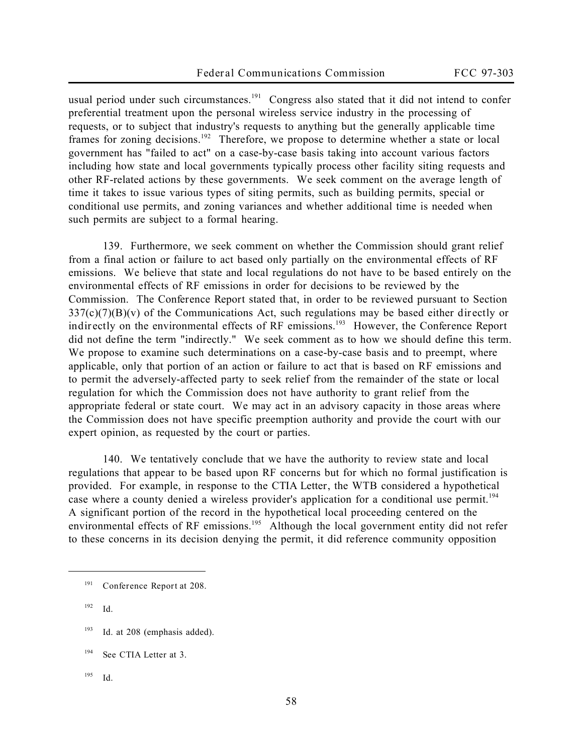usual period under such circumstances.<sup>191</sup> Congress also stated that it did not intend to confer preferential treatment upon the personal wireless service industry in the processing of requests, or to subject that industry's requests to anything but the generally applicable time frames for zoning decisions.<sup>192</sup> Therefore, we propose to determine whether a state or local government has "failed to act" on a case-by-case basis taking into account various factors including how state and local governments typically process other facility siting requests and other RF-related actions by these governments. We seek comment on the average length of time it takes to issue various types of siting permits, such as building permits, special or conditional use permits, and zoning variances and whether additional time is needed when such permits are subject to a formal hearing.

139. Furthermore, we seek comment on whether the Commission should grant relief from a final action or failure to act based only partially on the environmental effects of RF emissions. We believe that state and local regulations do not have to be based entirely on the environmental effects of RF emissions in order for decisions to be reviewed by the Commission. The *Conference Report* stated that, in order to be reviewed pursuant to Section 337(c)(7)(B)(v) of the Communications Act, such regulations may be based either **directly or** indirectly on the environmental effects of RF emissions.<sup>193</sup> However, the Conference Report did not define the term "indirectly." We seek comment as to how we should define this term. We propose to examine such determinations on a case-by-case basis and to preempt, where applicable, only that portion of an action or failure to act that is based on RF emissions and to permit the adversely-affected party to seek relief from the remainder of the state or local regulation for which the Commission does not have authority to grant relief from the appropriate federal or state court. We may act in an advisory capacity in those areas where the Commission does not have specific preemption authority and provide the court with our expert opinion, as requested by the court or parties.

140. We tentatively conclude that we have the authority to review state and local regulations that appear to be based upon RF concerns but for which no formal justification is provided. For example, in response to the *CTIA Letter*, the WTB considered a hypothetical case where a county denied a wireless provider's application for a conditional use permit.<sup>194</sup> A significant portion of the record in the hypothetical local proceeding centered on the environmental effects of RF emissions.<sup>195</sup> Although the local government entity did not refer to these concerns in its decision denying the permit, it did reference community opposition

<sup>192</sup> *Id.*

- <sup>193</sup> Id. at 208 (emphasis added).
- <sup>194</sup> *See CTIA Letter* at 3.
- <sup>195</sup> *Id.*

<sup>191</sup> *Conference Report* at 208.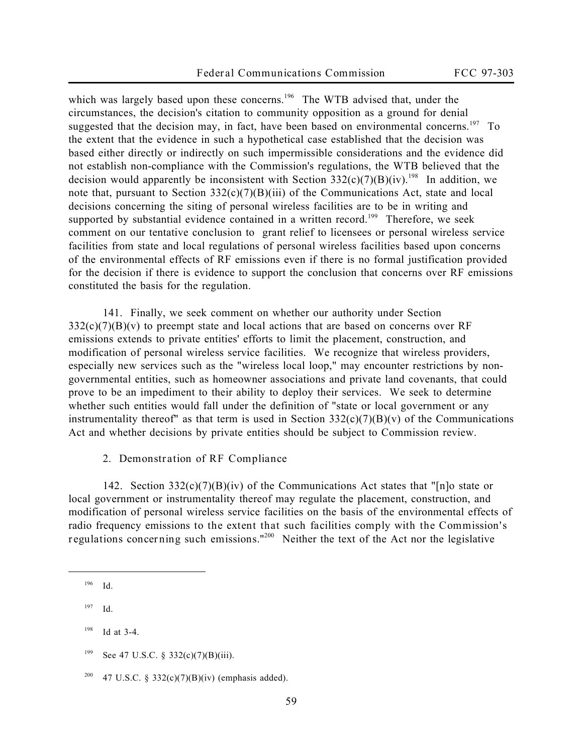which was largely based upon these concerns.<sup>196</sup> The WTB advised that, under the circumstances, the decision's citation to community opposition as a ground for denial suggested that the decision may, in fact, have been based on environmental concerns.<sup>197</sup> To the extent that the evidence in such a hypothetical case established that the decision was based either directly or indirectly on such impermissible considerations and the evidence did not establish non-compliance with the Commission's regulations, the WTB believed that the decision would apparently be inconsistent with Section  $332(c)(7)(B)(iv)$ .<sup>198</sup> In addition, we note that, pursuant to Section  $332(c)(7)(B)(iii)$  of the Communications Act, state and local decisions concerning the siting of personal wireless facilities are to be in writing and supported by substantial evidence contained in a written record.<sup>199</sup> Therefore, we seek comment on our tentative conclusion to grant relief to licensees or personal wireless service facilities from state and local regulations of personal wireless facilities based upon concerns of the environmental effects of RF emissions even if there is no formal justification provided for the decision if there is evidence to support the conclusion that concerns over RF emissions constituted the basis for the regulation.

141. Finally, we seek comment on whether our authority under Section  $332(c)(7)(B)(v)$  to preempt state and local actions that are based on concerns over RF emissions extends to private entities' efforts to limit the placement, construction, and modification of personal wireless service facilities. We recognize that wireless providers, especially new services such as the "wireless local loop," may encounter restrictions by nongovernmental entities, such as homeowner associations and private land covenants, that could prove to be an impediment to their ability to deploy their services. We seek to determine whether such entities would fall under the definition of "state or local government or any instrumentality thereof" as that term is used in Section  $332(c)(7)(B)(v)$  of the Communications Act and whether decisions by private entities should be subject to Commission review.

**2. Demonstration of RF Compliance**

142. Section  $332(c)(7)(B)(iv)$  of the Communications Act states that "[n]o state or local government or instrumentality thereof may regulate the placement, construction, and modification of personal wireless service facilities on the basis of the environmental effects of radio frequency emissions **to the extent that such facilities comply with the Commission's regulations concerning such emissions**."<sup>200</sup> Neither the text of the Act nor the legislative

- <sup>198</sup> *Id* at 3-4.
- <sup>199</sup> *See* 47 U.S.C. § 332(c)(7)(B)(iii).
- <sup>200</sup> 47 U.S.C. § 332(c)(7)(B)(iv) (emphasis added).

<sup>196</sup> *Id.*

<sup>197</sup> *Id.*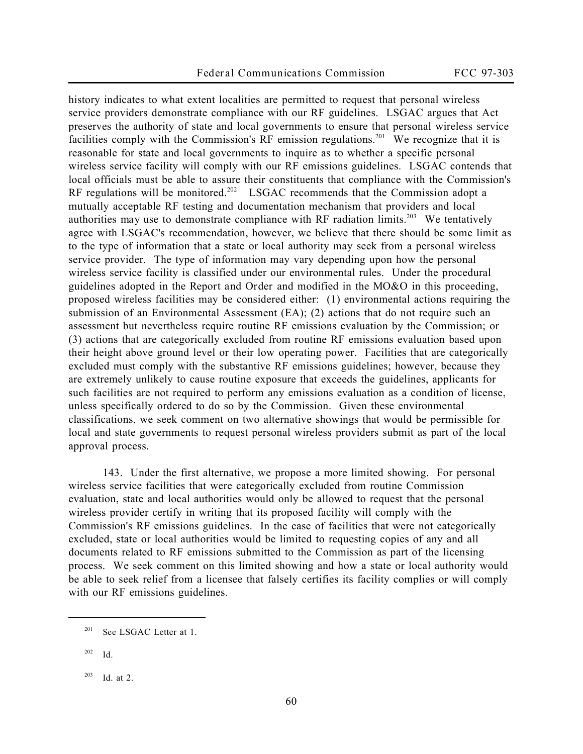history indicates to what extent localities are permitted to request that personal wireless service providers demonstrate compliance with our RF guidelines. LSGAC argues that Act preserves the authority of state and local governments to ensure that personal wireless service facilities comply with the Commission's RF emission regulations.<sup>201</sup> We recognize that it is reasonable for state and local governments to inquire as to whether a specific personal wireless service facility will comply with our RF emissions guidelines. LSGAC contends that local officials must be able to assure their constituents that compliance with the Commission's RF regulations will be monitored.<sup>202</sup> LSGAC recommends that the Commission adopt a mutually acceptable RF testing and documentation mechanism that providers and local authorities may use to demonstrate compliance with RF radiation limits.<sup>203</sup> We tentatively agree with LSGAC's recommendation, however, we believe that there should be some limit as to the type of information that a state or local authority may seek from a personal wireless service provider. The type of information may vary depending upon how the personal wireless service facility is classified under our environmental rules. Under the procedural guidelines adopted in the *Report and Order* and modified in the *MO&O* in this proceeding, proposed wireless facilities may be considered either: (1) environmental actions requiring the submission of an Environmental Assessment (EA); (2) actions that do not require such an assessment but nevertheless require routine RF emissions evaluation by the Commission; or (3) actions that are categorically excluded from routine RF emissions evaluation based upon their height above ground level or their low operating power. Facilities that are categorically excluded must comply with the substantive RF emissions guidelines; however, because they are extremely unlikely to cause routine exposure that exceeds the guidelines, applicants for such facilities are not required to perform any emissions evaluation as a condition of license, unless specifically ordered to do so by the Commission. Given these environmental classifications, we seek comment on two alternative showings that would be permissible for local and state governments to request personal wireless providers submit as part of the local approval process.

143. Under the first alternative, we propose a more limited showing. For personal wireless service facilities that were categorically excluded from routine Commission evaluation, state and local authorities would only be allowed to request that the personal wireless provider certify in writing that its proposed facility will comply with the Commission's RF emissions guidelines. In the case of facilities that were not categorically excluded, state or local authorities would be limited to requesting copies of any and all documents related to RF emissions submitted to the Commission as part of the licensing process. We seek comment on this limited showing and how a state or local authority would be able to seek relief from a licensee that falsely certifies its facility complies or will comply with our RF emissions guidelines.

<sup>201</sup> *See* LSGAC Letter at 1.

<sup>202</sup> *Id.*

<sup>203</sup> *Id.* at 2.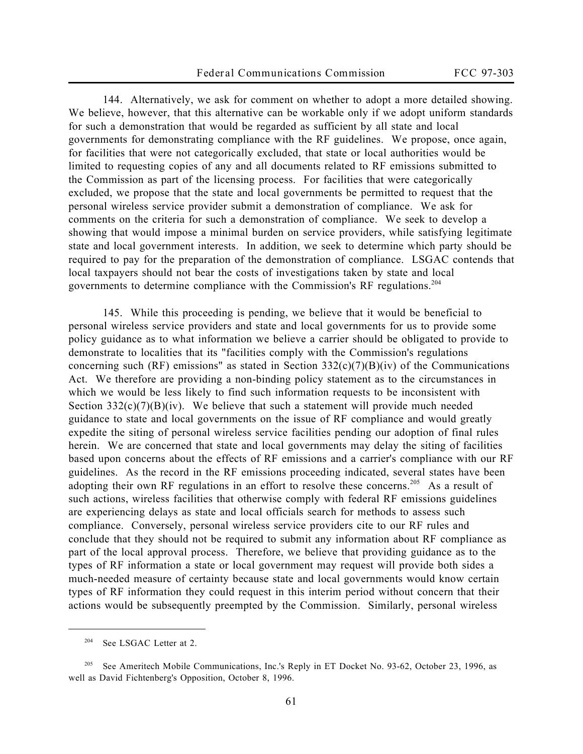144. Alternatively, we ask for comment on whether to adopt a more detailed showing. We believe, however, that this alternative can be workable only if we adopt uniform standards for such a demonstration that would be regarded as sufficient by all state and local governments for demonstrating compliance with the RF guidelines. We propose, once again, for facilities that were not categorically excluded, that state or local authorities would be limited to requesting copies of any and all documents related to RF emissions submitted to the Commission as part of the licensing process. For facilities that were categorically excluded, we propose that the state and local governments be permitted to request that the personal wireless service provider submit a demonstration of compliance. We ask for comments on the criteria for such a demonstration of compliance. We seek to develop a showing that would impose a minimal burden on service providers, while satisfying legitimate state and local government interests. In addition, we seek to determine which party should be required to pay for the preparation of the demonstration of compliance. LSGAC contends that local taxpayers should not bear the costs of investigations taken by state and local governments to determine compliance with the Commission's RF regulations.<sup>204</sup>

145. While this proceeding is pending, we believe that it would be beneficial to personal wireless service providers and state and local governments for us to provide some policy guidance as to what information we believe a carrier should be obligated to provide to demonstrate to localities that its "facilities comply with the Commission's regulations concerning such (RF) emissions" as stated in Section  $332(c)(7)(B)(iv)$  of the Communications Act. We therefore are providing a non-binding policy statement as to the circumstances in which we would be less likely to find such information requests to be inconsistent with Section  $332(c)(7)(B)(iv)$ . We believe that such a statement will provide much needed guidance to state and local governments on the issue of RF compliance and would greatly expedite the siting of personal wireless service facilities pending our adoption of final rules herein. We are concerned that state and local governments may delay the siting of facilities based upon concerns about the effects of RF emissions and a carrier's compliance with our RF guidelines. As the record in the RF emissions proceeding indicated, several states have been adopting their own RF regulations in an effort to resolve these concerns.<sup>205</sup> As a result of such actions, wireless facilities that otherwise comply with federal RF emissions guidelines are experiencing delays as state and local officials search for methods to assess such compliance. Conversely, personal wireless service providers cite to our RF rules and conclude that they should not be required to submit any information about RF compliance as part of the local approval process. Therefore, we believe that providing guidance as to the types of RF information a state or local government may request will provide both sides a much-needed measure of certainty because state and local governments would know certain types of RF information they could request in this interim period without concern that their actions would be subsequently preempted by the Commission. Similarly, personal wireless

<sup>204</sup> *See* LSGAC Letter at 2.

<sup>205</sup> *See* Ameritech Mobile Communications, Inc.'s Reply in ET Docket No. 93-62, October 23, 1996, as well as David Fichtenberg's Opposition, October 8, 1996.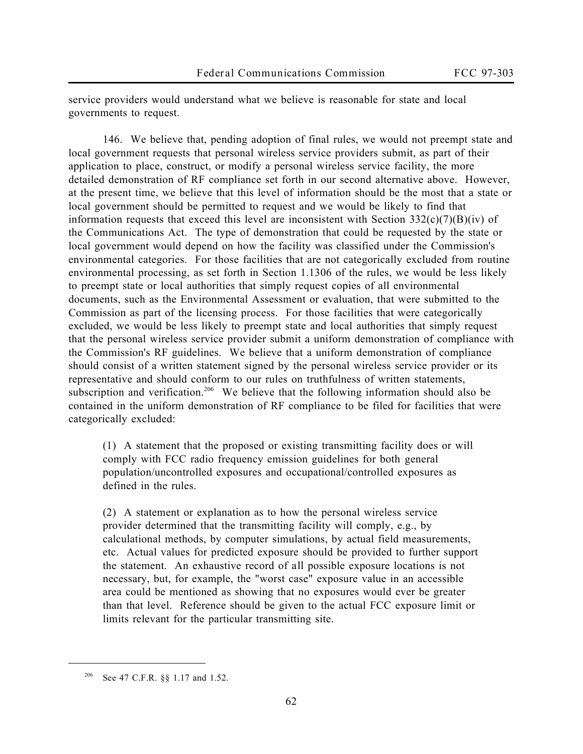service providers would understand what we believe is reasonable for state and local governments to request.

146. We believe that, pending adoption of final rules, we would not preempt state and local government requests that personal wireless service providers submit, as part of their application to place, construct, or modify a personal wireless service facility, the more detailed demonstration of RF compliance set forth in our second alternative above. However, at the present time, we believe that this level of information should be the most that a state or local government should be permitted to request and we would be likely to find that information requests that exceed this level are inconsistent with Section  $332(c)(7)(B)(iv)$  of the Communications Act. The type of demonstration that could be requested by the state or local government would depend on how the facility was classified under the Commission's environmental categories. For those facilities that are not categorically excluded from routine environmental processing, as set forth in Section 1.1306 of the rules, we would be less likely to preempt state or local authorities that simply request copies of all environmental documents, such as the Environmental Assessment or evaluation, that were submitted to the Commission as part of the licensing process. For those facilities that were categorically excluded, we would be less likely to preempt state and local authorities that simply request that the personal wireless service provider submit a uniform demonstration of compliance with the Commission's RF guidelines. We believe that a uniform demonstration of compliance should consist of a written statement signed by the personal wireless service provider or its representative and should conform to our rules on truthfulness of written statements, subscription and verification.<sup>206</sup> We believe that the following information should also be contained in the uniform demonstration of RF compliance to be filed for facilities that were categorically excluded:

(1) A statement that the proposed or existing transmitting facility does or will comply with FCC radio frequency emission guidelines for *both* general population/uncontrolled exposures and occupational/controlled exposures as defined in the rules.

(2) A statement or explanation as to how the personal wireless service provider determined that the transmitting facility will comply, e.g., by calculational methods, by computer simulations, by actual field measurements, etc. Actual values for predicted exposure should be provided to further support the statement. An exhaustive record of *all* possible exposure locations is not necessary, but, for example, the "worst case" exposure value in an accessible area could be mentioned as showing that no exposures would ever be greater than that level. Reference should be given to the actual FCC exposure limit or limits relevant for the particular transmitting site.

<sup>206</sup> *See* 47 C.F.R. §§ 1.17 and 1.52.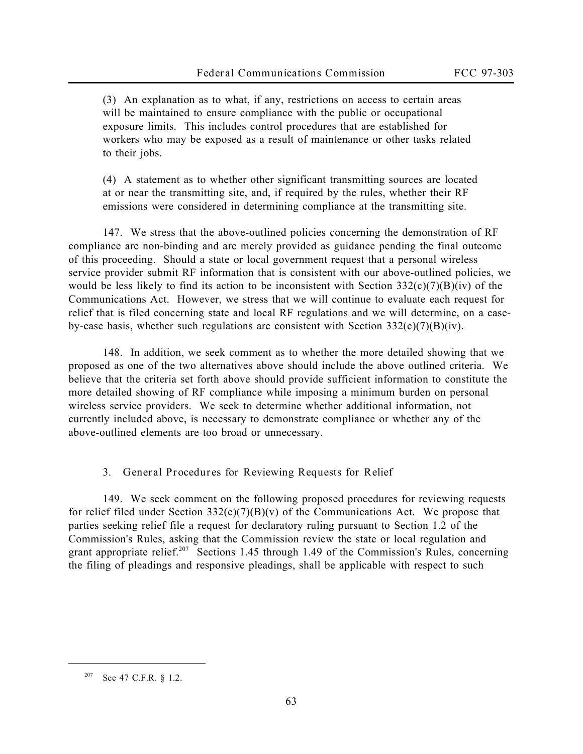(3) An explanation as to what, if any, restrictions on access to certain areas will be maintained to ensure compliance with the public or occupational exposure limits. This includes control procedures that are established for workers who may be exposed as a result of maintenance or other tasks related to their jobs.

(4) A statement as to whether other significant transmitting sources are located at or near the transmitting site, and, if required by the rules, whether their RF emissions were considered in determining compliance at the transmitting site.

147. We stress that the above-outlined policies concerning the demonstration of RF compliance are non-binding and are merely provided as guidance pending the final outcome of this proceeding. Should a state or local government request that a personal wireless service provider submit RF information that is consistent with our above-outlined policies, we would be less likely to find its action to be inconsistent with Section  $332(c)(7)(B)(iv)$  of the Communications Act. However, we stress that we will continue to evaluate each request for relief that is filed concerning state and local RF regulations and we will determine, on a caseby-case basis, whether such regulations are consistent with Section  $332(c)(7)(B)(iv)$ .

148. In addition, we seek comment as to whether the more detailed showing that we proposed as one of the two alternatives above should include the above outlined criteria. We believe that the criteria set forth above should provide sufficient information to constitute the more detailed showing of RF compliance while imposing a minimum burden on personal wireless service providers. We seek to determine whether additional information, not currently included above, is necessary to demonstrate compliance or whether any of the above-outlined elements are too broad or unnecessary.

**3. General Procedures for Reviewing Requests for Relief**

149. We seek comment on the following proposed procedures for reviewing requests for relief filed under Section  $332(c)(7)(B)(v)$  of the Communications Act. We propose that parties seeking relief file a request for declaratory ruling pursuant to Section 1.2 of the Commission's Rules, asking that the Commission review the state or local regulation and grant appropriate relief.<sup>207</sup> Sections 1.45 through 1.49 of the Commission's Rules, concerning the filing of pleadings and responsive pleadings, shall be applicable with respect to such

<sup>207</sup> *See* 47 C.F.R. § 1.2.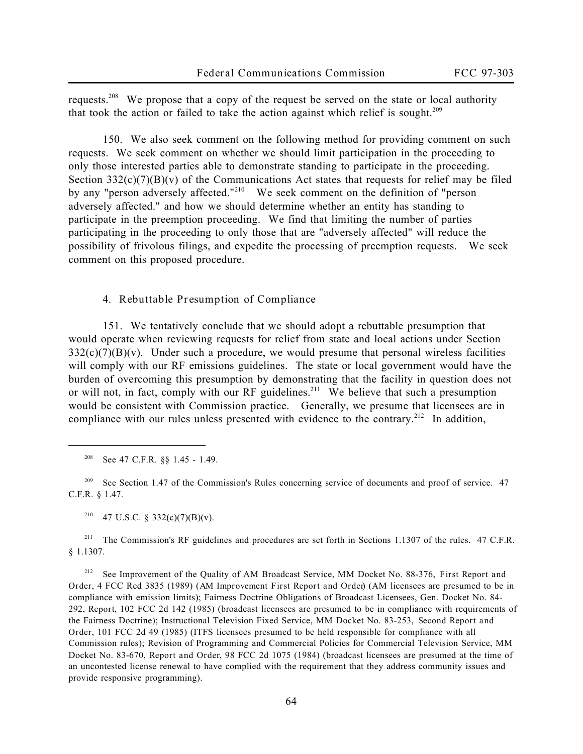requests.<sup>208</sup> We propose that a copy of the request be served on the state or local authority that took the action or failed to take the action against which relief is sought.<sup>209</sup>

150. We also seek comment on the following method for providing comment on such requests. We seek comment on whether we should limit participation in the proceeding to only those interested parties able to demonstrate standing to participate in the proceeding. Section  $332(c)(7)(B)(v)$  of the Communications Act states that requests for relief may be filed by any "person adversely affected."<sup>210</sup> We seek comment on the definition of "person adversely affected." and how we should determine whether an entity has standing to participate in the preemption proceeding. We find that limiting the number of parties participating in the proceeding to only those that are "adversely affected" will reduce the possibility of frivolous filings, and expedite the processing of preemption requests. We seek comment on this proposed procedure.

**4. Rebuttable Presumption of Compliance**

151. We tentatively conclude that we should adopt a rebuttable presumption that would operate when reviewing requests for relief from state and local actions under Section  $332(c)(7)(B)(v)$ . Under such a procedure, we would presume that personal wireless facilities will comply with our RF emissions guidelines. The state or local government would have the burden of overcoming this presumption by demonstrating that the facility in question does not or will not, in fact, comply with our RF guidelines.<sup>211</sup> We believe that such a presumption would be consistent with Commission practice. Generally, we presume that licensees are in compliance with our rules unless presented with evidence to the contrary.<sup>212</sup> In addition,

 $\overline{a}$ 

<sup>212</sup> *See* Improvement of the Quality of AM Broadcast Service, MM Docket No. 88-376, *First Report and Order*, 4 FCC Rcd 3835 (1989) (*AM Improvement First Report and Order*) (AM licensees are presumed to be in compliance with emission limits); Fairness Doctrine Obligations of Broadcast Licensees, Gen. Docket No. 84- 292, *Report*, 102 FCC 2d 142 (1985) (broadcast licensees are presumed to be in compliance with requirements of the Fairness Doctrine); Instructional Television Fixed Service, MM Docket No. 83-253, *Second Report and Order*, 101 FCC 2d 49 (1985) (ITFS licensees presumed to be held responsible for compliance with all Commission rules); Revision of Programming and Commercial Policies for Commercial Television Service, MM Docket No. 83-670, *Report and Order*, 98 FCC 2d 1075 (1984) (broadcast licensees are presumed at the time of an uncontested license renewal to have complied with the requirement that they address community issues and provide responsive programming).

<sup>208</sup> *See* 47 C.F.R. §§ 1.45 - 1.49.

<sup>&</sup>lt;sup>209</sup> See Section 1.47 of the Commission's Rules concerning service of documents and proof of service. 47 C.F.R. § 1.47.

<sup>&</sup>lt;sup>210</sup> 47 U.S.C. § 332(c)(7)(B)(v).

<sup>&</sup>lt;sup>211</sup> The Commission's RF guidelines and procedures are set forth in Sections 1.1307 of the rules. 47 C.F.R. § 1.1307.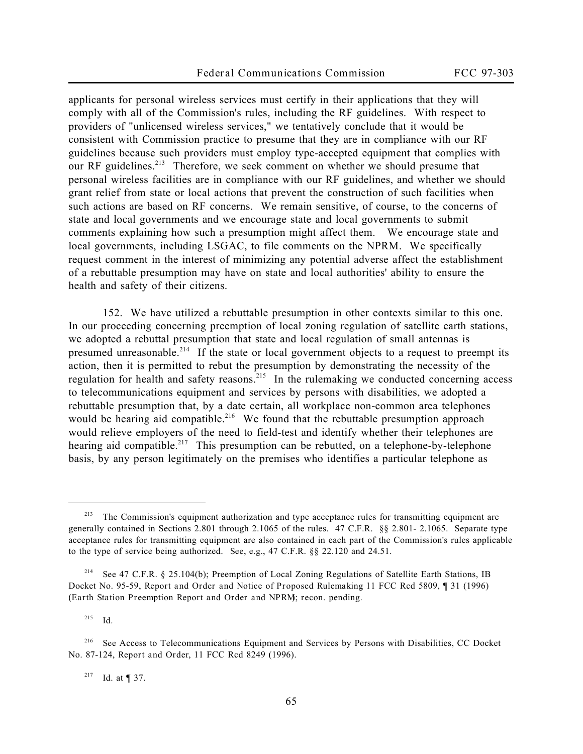applicants for personal wireless services must certify in their applications that they will comply with all of the Commission's rules, including the RF guidelines. With respect to providers of "unlicensed wireless services," we tentatively conclude that it would be consistent with Commission practice to presume that they are in compliance with our RF guidelines because such providers must employ type-accepted equipment that complies with our RF guidelines.<sup>213</sup> Therefore, we seek comment on whether we should presume that personal wireless facilities are in compliance with our RF guidelines, and whether we should grant relief from state or local actions that prevent the construction of such facilities when such actions are based on RF concerns. We remain sensitive, of course, to the concerns of state and local governments and we encourage state and local governments to submit comments explaining how such a presumption might affect them. We encourage state and local governments, including LSGAC, to file comments on the NPRM. We specifically request comment in the interest of minimizing any potential adverse affect the establishment of a rebuttable presumption may have on state and local authorities' ability to ensure the health and safety of their citizens.

152. We have utilized a rebuttable presumption in other contexts similar to this one. In our proceeding concerning preemption of local zoning regulation of satellite earth stations, we adopted a rebuttal presumption that state and local regulation of small antennas is presumed unreasonable.<sup>214</sup> If the state or local government objects to a request to preempt its action, then it is permitted to rebut the presumption by demonstrating the necessity of the regulation for health and safety reasons.<sup>215</sup> In the rulemaking we conducted concerning access to telecommunications equipment and services by persons with disabilities, we adopted a rebuttable presumption that, by a date certain, all workplace non-common area telephones would be hearing aid compatible.<sup>216</sup> We found that the rebuttable presumption approach would relieve employers of the need to field-test and identify whether their telephones are hearing aid compatible.<sup>217</sup> This presumption can be rebutted, on a telephone-by-telephone basis, by any person legitimately on the premises who identifies a particular telephone as

<sup>215</sup> *Id.*

 $\overline{a}$ 

<sup>217</sup> *Id.* at ¶ 37.

 $213$  The Commission's equipment authorization and type acceptance rules for transmitting equipment are generally contained in Sections 2.801 through 2.1065 of the rules. 47 C.F.R. §§ 2.801- 2.1065. Separate type acceptance rules for transmitting equipment are also contained in each part of the Commission's rules applicable to the type of service being authorized. *See*, *e.g.*, 47 C.F.R. §§ 22.120 and 24.51.

<sup>214</sup> *See* 47 C.F.R. § 25.104(b); Preemption of Local Zoning Regulations of Satellite Earth Stations, IB Docket No. 95-59, *Report and Order and Notice of Proposed Rulemaking*, 11 FCC Rcd 5809, ¶ 31 (1996) (*Earth Station Preemption Report and Order and NPRM*); *recon. pending.*

<sup>216</sup> *See* Access to Telecommunications Equipment and Services by Persons with Disabilities, CC Docket No. 87-124, *Report and Order*, 11 FCC Rcd 8249 (1996).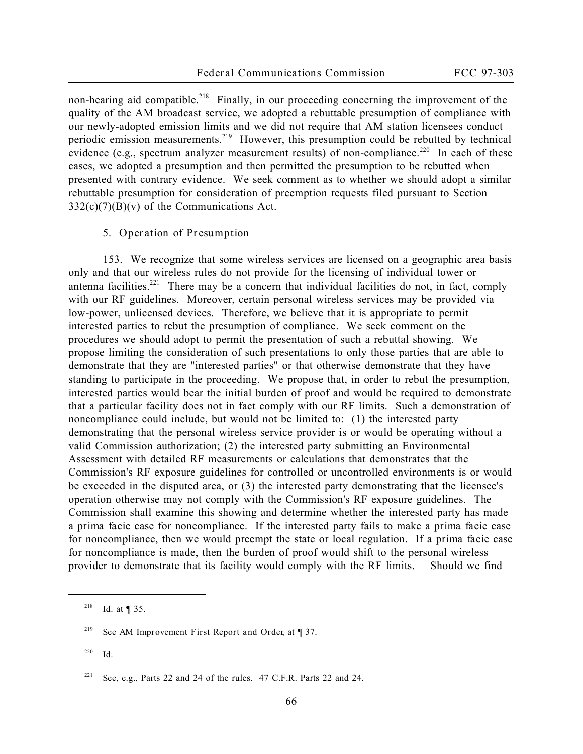non-hearing aid compatible.<sup>218</sup> Finally, in our proceeding concerning the improvement of the quality of the AM broadcast service, we adopted a rebuttable presumption of compliance with our newly-adopted emission limits and we did not require that AM station licensees conduct periodic emission measurements.<sup>219</sup> However, this presumption could be rebutted by technical evidence (e.g., spectrum analyzer measurement results) of non-compliance.<sup>220</sup> In each of these cases, we adopted a presumption and then permitted the presumption to be rebutted when presented with contrary evidence. We seek comment as to whether we should adopt a similar rebuttable presumption for consideration of preemption requests filed pursuant to Section  $332(c)(7)(B)(v)$  of the Communications Act.

## **5. Operation of Presumption**

153. We recognize that some wireless services are licensed on a geographic area basis only and that our wireless rules do not provide for the licensing of individual tower or antenna facilities.<sup>221</sup> There may be a concern that individual facilities do not, in fact, comply with our RF guidelines. Moreover, certain personal wireless services may be provided via low-power, unlicensed devices. Therefore, we believe that it is appropriate to permit interested parties to rebut the presumption of compliance. We seek comment on the procedures we should adopt to permit the presentation of such a rebuttal showing. We propose limiting the consideration of such presentations to only those parties that are able to demonstrate that they are "interested parties" or that otherwise demonstrate that they have standing to participate in the proceeding. We propose that, in order to rebut the presumption, interested parties would bear the initial burden of proof and would be required to demonstrate that a particular facility does not in fact comply with our RF limits. Such a demonstration of noncompliance could include, but would not be limited to: (1) the interested party demonstrating that the personal wireless service provider is or would be operating without a valid Commission authorization; (2) the interested party submitting an Environmental Assessment with detailed RF measurements or calculations that demonstrates that the Commission's RF exposure guidelines for controlled or uncontrolled environments is or would be exceeded in the disputed area, or (3) the interested party demonstrating that the licensee's operation otherwise may not comply with the Commission's RF exposure guidelines. The Commission shall examine this showing and determine whether the interested party has made a *prima facie* case for noncompliance. If the interested party fails to make a *prima facie* case for noncompliance, then we would preempt the state or local regulation. If a *prima facie* case for noncompliance is made, then the burden of proof would shift to the personal wireless provider to demonstrate that its facility would comply with the RF limits. Should we find

<sup>218</sup> *Id.* at ¶ 35.

<sup>219</sup> *See AM Improvement First Report and Order*, at ¶ 37.

<sup>220</sup> *Id.*

<sup>221</sup> *See*, *e.g.*, Parts 22 and 24 of the rules. 47 C.F.R. Parts 22 and 24.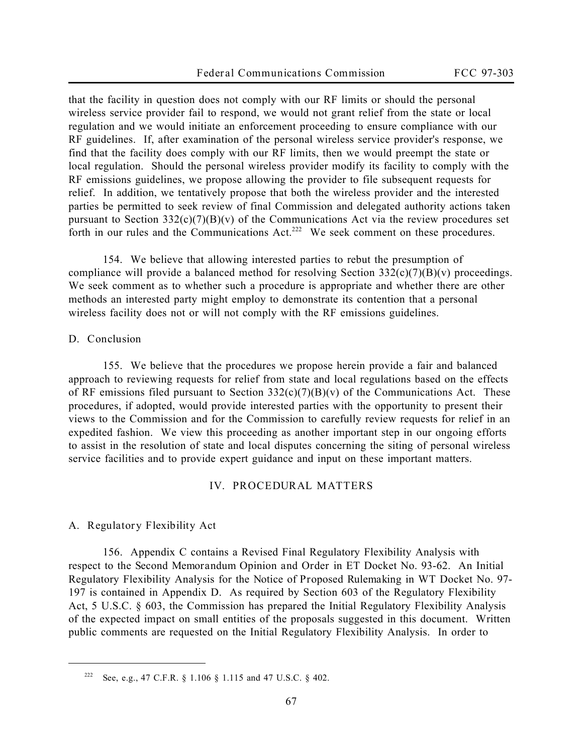that the facility in question does not comply with our RF limits or should the personal wireless service provider fail to respond, we would not grant relief from the state or local regulation and we would initiate an enforcement proceeding to ensure compliance with our RF guidelines. If, after examination of the personal wireless service provider's response, we find that the facility does comply with our RF limits, then we would preempt the state or local regulation. Should the personal wireless provider modify its facility to comply with the RF emissions guidelines, we propose allowing the provider to file subsequent requests for relief. In addition, we tentatively propose that both the wireless provider and the interested parties be permitted to seek review of final Commission and delegated authority actions taken pursuant to Section  $332(c)(7)(B)(v)$  of the Communications Act via the review procedures set forth in our rules and the Communications Act.<sup>222</sup> We seek comment on these procedures.

154. We believe that allowing interested parties to rebut the presumption of compliance will provide a balanced method for resolving Section  $332(c)(7)(B)(v)$  proceedings. We seek comment as to whether such a procedure is appropriate and whether there are other methods an interested party might employ to demonstrate its contention that a personal wireless facility does not or will not comply with the RF emissions guidelines.

## **D. Conclusion**

 $\overline{a}$ 

155. We believe that the procedures we propose herein provide a fair and balanced approach to reviewing requests for relief from state and local regulations based on the effects of RF emissions filed pursuant to Section  $332(c)(7)(B)(v)$  of the Communications Act. These procedures, if adopted, would provide interested parties with the opportunity to present their views to the Commission and for the Commission to carefully review requests for relief in an expedited fashion. We view this proceeding as another important step in our ongoing efforts to assist in the resolution of state and local disputes concerning the siting of personal wireless service facilities and to provide expert guidance and input on these important matters.

#### **IV. PROCEDURAL MATTERS**

#### **A. Regulatory Flexibility Act**

156. Appendix C contains a Revised Final Regulatory Flexibility Analysis with respect to the *Second Memorandum Opinion and Order* in ET Docket No. 93-62. An Initial Regulatory Flexibility Analysis for the *Notice of Proposed Rulemaking* in WT Docket No. 97- 197 is contained in Appendix D. As required by Section 603 of the Regulatory Flexibility Act, 5 U.S.C. § 603, the Commission has prepared the Initial Regulatory Flexibility Analysis of the expected impact on small entities of the proposals suggested in this document. Written public comments are requested on the Initial Regulatory Flexibility Analysis. In order to

<sup>222</sup> *See, e.g.,* 47 C.F.R. § 1.106 § 1.115 and 47 U.S.C. § 402.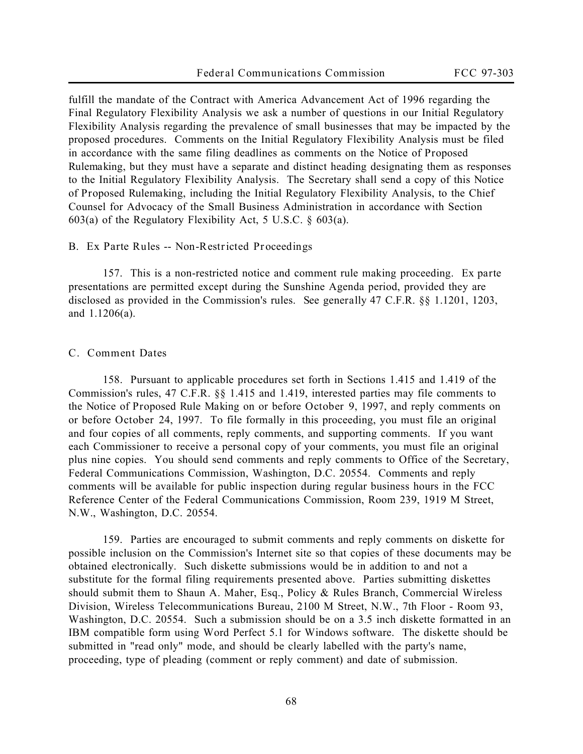fulfill the mandate of the Contract with America Advancement Act of 1996 regarding the Final Regulatory Flexibility Analysis we ask a number of questions in our Initial Regulatory Flexibility Analysis regarding the prevalence of small businesses that may be impacted by the proposed procedures. Comments on the Initial Regulatory Flexibility Analysis must be filed in accordance with the same filing deadlines as comments on the *Notice of Proposed Rulemaking*, but they must have a separate and distinct heading designating them as responses to the Initial Regulatory Flexibility Analysis. The Secretary shall send a copy of this *Notice of Proposed Rulemaking*, including the Initial Regulatory Flexibility Analysis, to the Chief Counsel for Advocacy of the Small Business Administration in accordance with Section 603(a) of the Regulatory Flexibility Act, 5 U.S.C. § 603(a).

## **B.** *Ex Parte* **Rules -- Non-Restricted Proceedings**

157. This is a non-restricted notice and comment rule making proceeding. *Ex parte* presentations are permitted except during the Sunshine Agenda period, provided they are disclosed as provided in the Commission's rules. *See generally* 47 C.F.R. §§ 1.1201, 1203, and 1.1206(a).

## **C. Comment Dates**

158. Pursuant to applicable procedures set forth in Sections 1.415 and 1.419 of the Commission's rules, 47 C.F.R. §§ 1.415 and 1.419, interested parties may file comments to the *Notice of Proposed Rule Making* on or before **October 9, 1997,** and reply comments on or before **October 24, 1997.** To file formally in this proceeding, you must file an original and four copies of all comments, reply comments, and supporting comments. If you want each Commissioner to receive a personal copy of your comments, you must file an original plus nine copies. You should send comments and reply comments to Office of the Secretary, Federal Communications Commission, Washington, D.C. 20554. Comments and reply comments will be available for public inspection during regular business hours in the FCC Reference Center of the Federal Communications Commission, Room 239, 1919 M Street, N.W., Washington, D.C. 20554.

159. Parties are encouraged to submit comments and reply comments on diskette for possible inclusion on the Commission's Internet site so that copies of these documents may be obtained electronically. Such diskette submissions would be in addition to and not a substitute for the formal filing requirements presented above. Parties submitting diskettes should submit them to Shaun A. Maher, Esq., Policy & Rules Branch, Commercial Wireless Division, Wireless Telecommunications Bureau, 2100 M Street, N.W., 7th Floor - Room 93, Washington, D.C. 20554. Such a submission should be on a 3.5 inch diskette formatted in an IBM compatible form using Word Perfect 5.1 for Windows software. The diskette should be submitted in "read only" mode, and should be clearly labelled with the party's name, proceeding, type of pleading (comment or reply comment) and date of submission.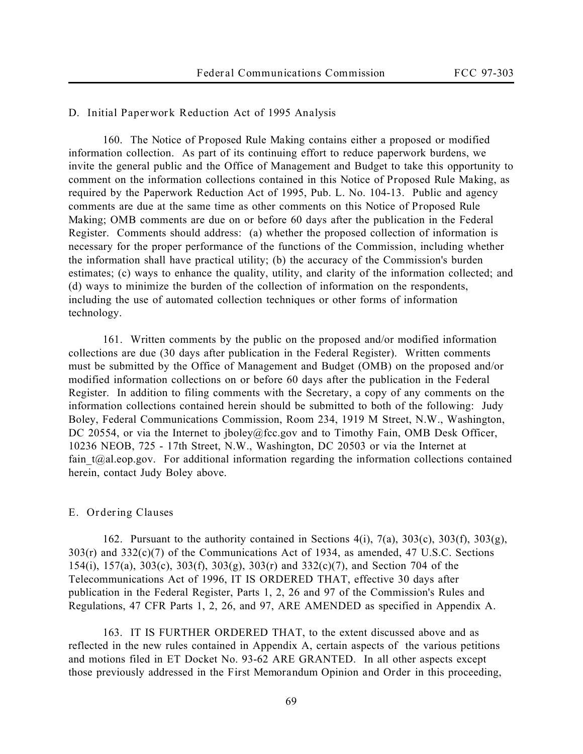## **D. Initial Paperwork Reduction Act of 1995 Analysis**

160. The *Notice of Proposed Rule Making* contains either a proposed or modified information collection. As part of its continuing effort to reduce paperwork burdens, we invite the general public and the Office of Management and Budget to take this opportunity to comment on the information collections contained in this *Notice of Proposed Rule Making*, as required by the Paperwork Reduction Act of 1995, Pub. L. No. 104-13. Public and agency comments are due at the same time as other comments on this *Notice of Proposed Rule Making*; OMB comments are due on or before 60 days after the publication in the Federal Register. Comments should address: (a) whether the proposed collection of information is necessary for the proper performance of the functions of the Commission, including whether the information shall have practical utility; (b) the accuracy of the Commission's burden estimates; (c) ways to enhance the quality, utility, and clarity of the information collected; and (d) ways to minimize the burden of the collection of information on the respondents, including the use of automated collection techniques or other forms of information technology.

161. Written comments by the public on the proposed and/or modified information collections are due (30 days after publication in the Federal Register). Written comments must be submitted by the Office of Management and Budget (OMB) on the proposed and/or modified information collections on or before 60 days after the publication in the Federal Register. In addition to filing comments with the Secretary, a copy of any comments on the information collections contained herein should be submitted to both of the following: Judy Boley, Federal Communications Commission, Room 234, 1919 M Street, N.W., Washington, DC 20554, or via the Internet to jboley@fcc.gov and to Timothy Fain, OMB Desk Officer, 10236 NEOB, 725 - 17th Street, N.W., Washington, DC 20503 or via the Internet at fain  $t@al.eop.gov.$  For additional information regarding the information collections contained herein, contact Judy Boley above.

## **E. Ordering Clauses**

162. Pursuant to the authority contained in Sections  $4(i)$ ,  $7(a)$ ,  $303(c)$ ,  $303(f)$ ,  $303(g)$ , 303(r) and 332(c)(7) of the Communications Act of 1934, as amended, 47 U.S.C. Sections 154(i), 157(a), 303(c), 303(f), 303(g), 303(r) and 332(c)(7), and Section 704 of the Telecommunications Act of 1996, IT IS ORDERED THAT, effective 30 days after publication in the Federal Register, Parts 1, 2, 26 and 97 of the Commission's Rules and Regulations, 47 CFR Parts 1, 2, 26, and 97, ARE AMENDED as specified in Appendix A.

163. IT IS FURTHER ORDERED THAT, to the extent discussed above and as reflected in the new rules contained in Appendix A, certain aspects of the various petitions and motions filed in ET Docket No. 93-62 ARE GRANTED. In all other aspects except those previously addressed in the *First Memorandum Opinion and Order* in this proceeding,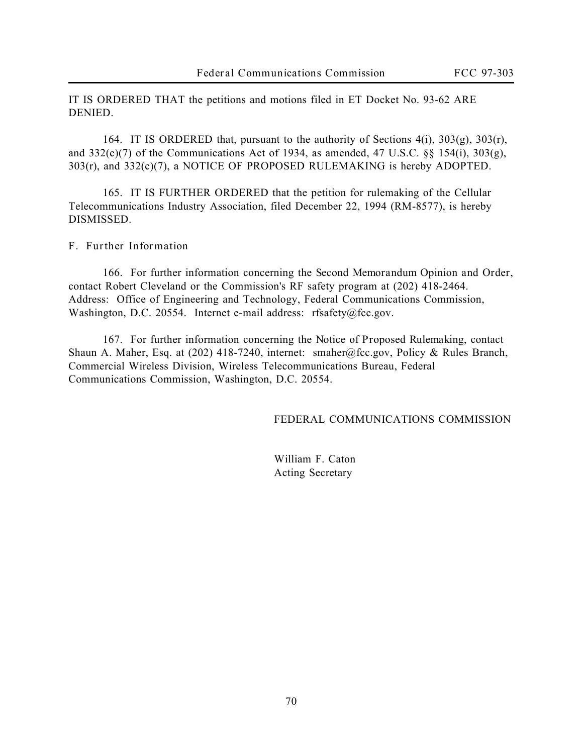IT IS ORDERED THAT the petitions and motions filed in ET Docket No. 93-62 ARE DENIED.

164. IT IS ORDERED that, pursuant to the authority of Sections 4(i), 303(g), 303(r), and  $332(c)(7)$  of the Communications Act of 1934, as amended, 47 U.S.C. §§ 154(i),  $303(g)$ , 303(r), and 332(c)(7), a NOTICE OF PROPOSED RULEMAKING is hereby ADOPTED.

165. IT IS FURTHER ORDERED that the petition for rulemaking of the Cellular Telecommunications Industry Association, filed December 22, 1994 (RM-8577), is hereby DISMISSED.

## **F. Further Information**

166. For further information concerning the *Second Memorandum Opinion and Order*, contact Robert Cleveland or the Commission's RF safety program at (202) 418-2464. Address: Office of Engineering and Technology, Federal Communications Commission, Washington, D.C. 20554. Internet e-mail address: rfsafety@fcc.gov.

167. For further information concerning the *Notice of Proposed Rulemaking*, contact Shaun A. Maher, Esq. at (202) 418-7240, internet: smaher@fcc.gov, Policy & Rules Branch, Commercial Wireless Division, Wireless Telecommunications Bureau, Federal Communications Commission, Washington, D.C. 20554.

FEDERAL COMMUNICATIONS COMMISSION

William F. Caton Acting Secretary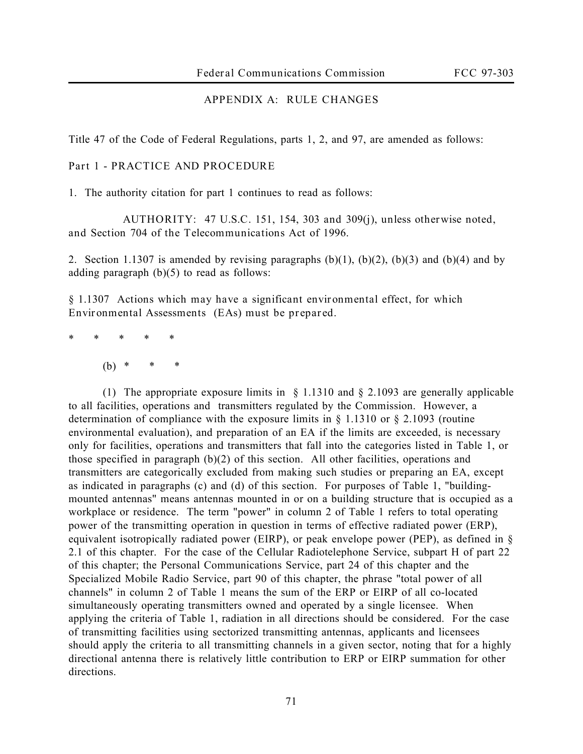# **APPENDIX A: RULE CHANGES**

Title 47 of the Code of Federal Regulations, parts 1, 2, and 97, are amended as follows:

### **Part 1 - PRACTICE AND PROCEDURE**

1. The authority citation for part 1 continues to read as follows:

 **AUTHORITY: 47 U.S.C. 151, 154, 303 and 309(j), unless otherwise noted, and Section 704 of the Telecommunications Act of 1996.**

2. Section 1.1307 is amended by revising paragraphs  $(b)(1)$ ,  $(b)(2)$ ,  $(b)(3)$  and  $(b)(4)$  and by adding paragraph  $(b)(5)$  to read as follows:

§ **1.1307 Actions which may have a significant environmental effect, for which Environmental Assessments (EAs) must be prepared.**

\* \* \* \* \*

(b) \* \* \*

(1) The appropriate exposure limits in § 1.1310 and § 2.1093 are generally applicable to all facilities, operations and transmitters regulated by the Commission. However, a determination of compliance with the exposure limits in § 1.1310 or § 2.1093 (routine environmental evaluation), and preparation of an EA if the limits are exceeded, is necessary only for facilities, operations and transmitters that fall into the categories listed in Table 1, or those specified in paragraph (b)(2) of this section. All other facilities, operations and transmitters are categorically excluded from making such studies or preparing an EA, except as indicated in paragraphs (c) and (d) of this section. For purposes of Table 1, "buildingmounted antennas" means antennas mounted in or on a building structure that is occupied as a workplace or residence. The term "power" in column 2 of Table 1 refers to total operating power of the transmitting operation in question in terms of effective radiated power (ERP), equivalent isotropically radiated power (EIRP), or peak envelope power (PEP), as defined in § 2.1 of this chapter. For the case of the Cellular Radiotelephone Service, subpart H of part 22 of this chapter; the Personal Communications Service, part 24 of this chapter and the Specialized Mobile Radio Service, part 90 of this chapter, the phrase "total power of all channels" in column 2 of Table 1 means the sum of the ERP or EIRP of all co-located simultaneously operating transmitters owned and operated by a single licensee. When applying the criteria of Table 1, radiation in all directions should be considered. For the case of transmitting facilities using sectorized transmitting antennas, applicants and licensees should apply the criteria to all transmitting channels in a given sector, noting that for a highly directional antenna there is relatively little contribution to ERP or EIRP summation for other directions.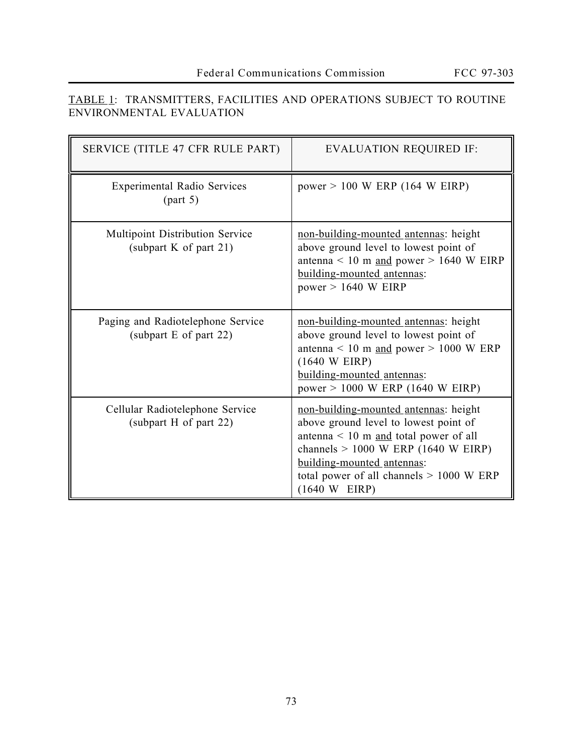| SERVICE (TITLE 47 CFR RULE PART)                            | <b>EVALUATION REQUIRED IF:</b>                                                                                                                                                                                                                                          |
|-------------------------------------------------------------|-------------------------------------------------------------------------------------------------------------------------------------------------------------------------------------------------------------------------------------------------------------------------|
| <b>Experimental Radio Services</b><br>(part 5)              | power $> 100$ W ERP (164 W EIRP)                                                                                                                                                                                                                                        |
| Multipoint Distribution Service<br>(subpart $K$ of part 21) | non-building-mounted antennas: height<br>above ground level to lowest point of<br>antenna < 10 m and power > 1640 W EIRP<br>building-mounted antennas:<br>power $> 1640$ W EIRP                                                                                         |
| Paging and Radiotelephone Service<br>(subpart E of part 22) | non-building-mounted antennas: height<br>above ground level to lowest point of<br>antenna < 10 m and power > 1000 W ERP<br>$(1640 \text{ W EIRP})$<br>building-mounted antennas:<br>$power > 1000$ W ERP (1640 W EIRP)                                                  |
| Cellular Radiotelephone Service<br>(subpart H of part 22)   | non-building-mounted antennas: height<br>above ground level to lowest point of<br>antenna < $10 \text{ m}$ and total power of all<br>channels $> 1000$ W ERP (1640 W EIRP)<br>building-mounted antennas:<br>total power of all channels $> 1000$ W ERP<br>(1640 W EIRP) |

# TABLE 1: TRANSMITTERS, FACILITIES AND OPERATIONS SUBJECT TO ROUTINE ENVIRONMENTAL EVALUATION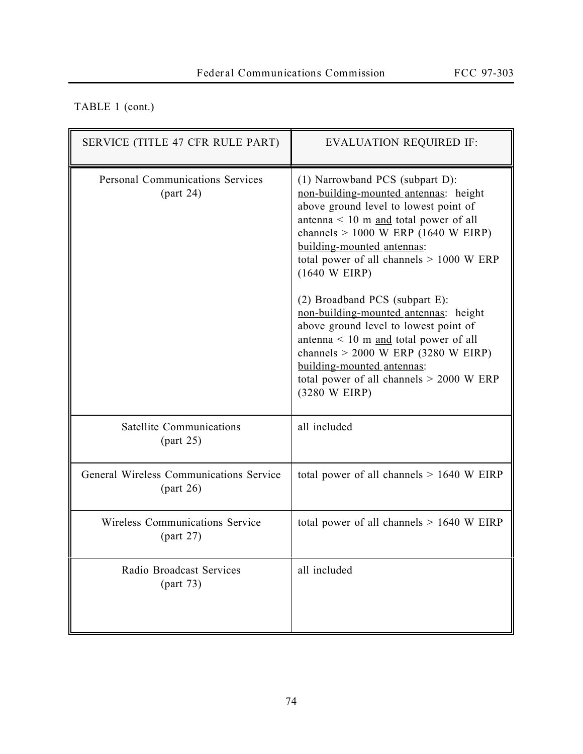# TABLE 1 (cont.)

| SERVICE (TITLE 47 CFR RULE PART)                    | <b>EVALUATION REQUIRED IF:</b>                                                                                                                                                                                                                                                                                                                                                                                                                                                                                                                                                                                                 |
|-----------------------------------------------------|--------------------------------------------------------------------------------------------------------------------------------------------------------------------------------------------------------------------------------------------------------------------------------------------------------------------------------------------------------------------------------------------------------------------------------------------------------------------------------------------------------------------------------------------------------------------------------------------------------------------------------|
| <b>Personal Communications Services</b><br>part 24) | $(1)$ Narrowband PCS (subpart D):<br>non-building-mounted antennas: height<br>above ground level to lowest point of<br>antenna $\leq 10$ m and total power of all<br>channels $> 1000$ W ERP (1640 W EIRP)<br>building-mounted antennas:<br>total power of all channels $> 1000$ W ERP<br>$(1640 \text{ W EIRP})$<br>(2) Broadband PCS (subpart E):<br>non-building-mounted antennas: height<br>above ground level to lowest point of<br>antenna < $10 \text{ m}$ and total power of all<br>channels $> 2000$ W ERP (3280 W EIRP)<br>building-mounted antennas:<br>total power of all channels $> 2000$ W ERP<br>(3280 W EIRP) |
| Satellite Communications<br>part 25)                | all included                                                                                                                                                                                                                                                                                                                                                                                                                                                                                                                                                                                                                   |
| General Wireless Communications Service<br>part 26) | total power of all channels $> 1640$ W EIRP                                                                                                                                                                                                                                                                                                                                                                                                                                                                                                                                                                                    |
| Wireless Communications Service<br>(part 27)        | total power of all channels $> 1640$ W EIRP                                                                                                                                                                                                                                                                                                                                                                                                                                                                                                                                                                                    |
| Radio Broadcast Services<br>(part 73)               | all included                                                                                                                                                                                                                                                                                                                                                                                                                                                                                                                                                                                                                   |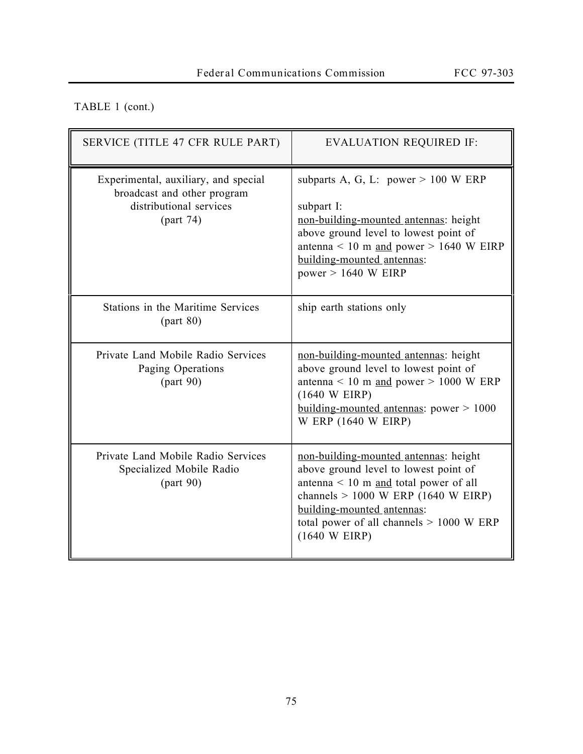# TABLE 1 (cont.)

| SERVICE (TITLE 47 CFR RULE PART)                                                                            | <b>EVALUATION REQUIRED IF:</b>                                                                                                                                                                                                                                          |
|-------------------------------------------------------------------------------------------------------------|-------------------------------------------------------------------------------------------------------------------------------------------------------------------------------------------------------------------------------------------------------------------------|
| Experimental, auxiliary, and special<br>broadcast and other program<br>distributional services<br>(part 74) | subparts A, G, L: power $> 100$ W ERP<br>subpart I:<br>non-building-mounted antennas: height<br>above ground level to lowest point of<br>antenna < 10 m and power > 1640 W EIRP<br>building-mounted antennas:<br>power $> 1640$ W EIRP                                  |
| Stations in the Maritime Services<br>part 80)                                                               | ship earth stations only                                                                                                                                                                                                                                                |
| Private Land Mobile Radio Services<br>Paging Operations<br>part 90)                                         | non-building-mounted antennas: height<br>above ground level to lowest point of<br>antenna < 10 m and power > 1000 W ERP<br>(1640 W EIRP)<br>building-mounted antennas: power $> 1000$<br>W ERP (1640 W EIRP)                                                            |
| Private Land Mobile Radio Services<br>Specialized Mobile Radio<br>part 90)                                  | non-building-mounted antennas: height<br>above ground level to lowest point of<br>antenna < $10 \text{ m}$ and total power of all<br>channels $> 1000$ W ERP (1640 W EIRP)<br>building-mounted antennas:<br>total power of all channels $> 1000$ W ERP<br>(1640 W EIRP) |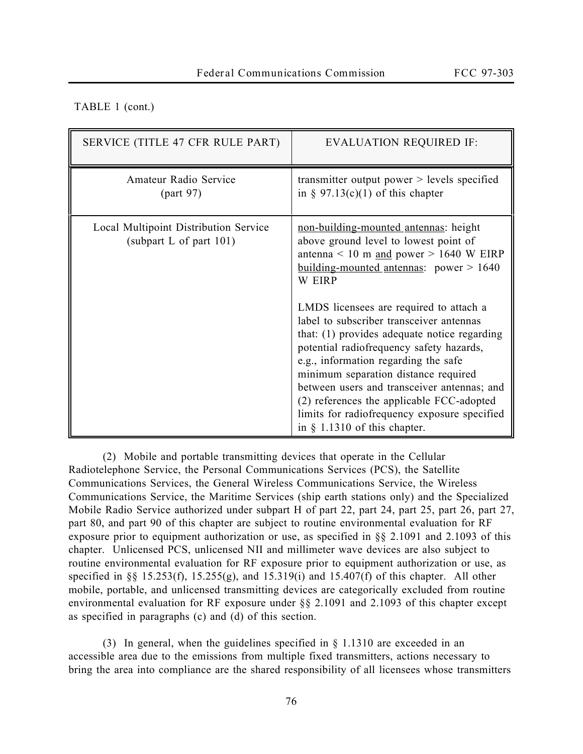## TABLE 1 (cont.)

| SERVICE (TITLE 47 CFR RULE PART)                                    | <b>EVALUATION REQUIRED IF:</b>                                                                                                                                                                                                                                                                                                                                                                                                                |
|---------------------------------------------------------------------|-----------------------------------------------------------------------------------------------------------------------------------------------------------------------------------------------------------------------------------------------------------------------------------------------------------------------------------------------------------------------------------------------------------------------------------------------|
| Amateur Radio Service<br>part 97)                                   | transmitter output power $>$ levels specified<br>in § $97.13(c)(1)$ of this chapter                                                                                                                                                                                                                                                                                                                                                           |
| Local Multipoint Distribution Service<br>(subpart L of part $101$ ) | non-building-mounted antennas: height<br>above ground level to lowest point of<br>antenna < 10 m and power > 1640 W EIRP<br>building-mounted antennas: power $> 1640$<br><b>W EIRP</b>                                                                                                                                                                                                                                                        |
|                                                                     | LMDS licensees are required to attach a<br>label to subscriber transceiver antennas<br>that: (1) provides adequate notice regarding<br>potential radiofrequency safety hazards,<br>e.g., information regarding the safe<br>minimum separation distance required<br>between users and transceiver antennas; and<br>(2) references the applicable FCC-adopted<br>limits for radiofrequency exposure specified<br>in $§$ 1.1310 of this chapter. |

(2) Mobile and portable transmitting devices that operate in the Cellular Radiotelephone Service, the Personal Communications Services (PCS), the Satellite Communications Services, the General Wireless Communications Service, the Wireless Communications Service, the Maritime Services (ship earth stations only) and the Specialized Mobile Radio Service authorized under subpart H of part 22, part 24, part 25, part 26, part 27, part 80, and part 90 of this chapter are subject to routine environmental evaluation for RF exposure prior to equipment authorization or use, as specified in §§ 2.1091 and 2.1093 of this chapter. Unlicensed PCS, unlicensed NII and millimeter wave devices are also subject to routine environmental evaluation for RF exposure prior to equipment authorization or use, as specified in §§ 15.253(f), 15.255(g), and 15.319(i) and 15.407(f) of this chapter. All other mobile, portable, and unlicensed transmitting devices are categorically excluded from routine environmental evaluation for RF exposure under §§ 2.1091 and 2.1093 of this chapter except as specified in paragraphs (c) and (d) of this section.

(3) In general, when the guidelines specified in § 1.1310 are exceeded in an accessible area due to the emissions from multiple fixed transmitters, actions necessary to bring the area into compliance are the shared responsibility of all licensees whose transmitters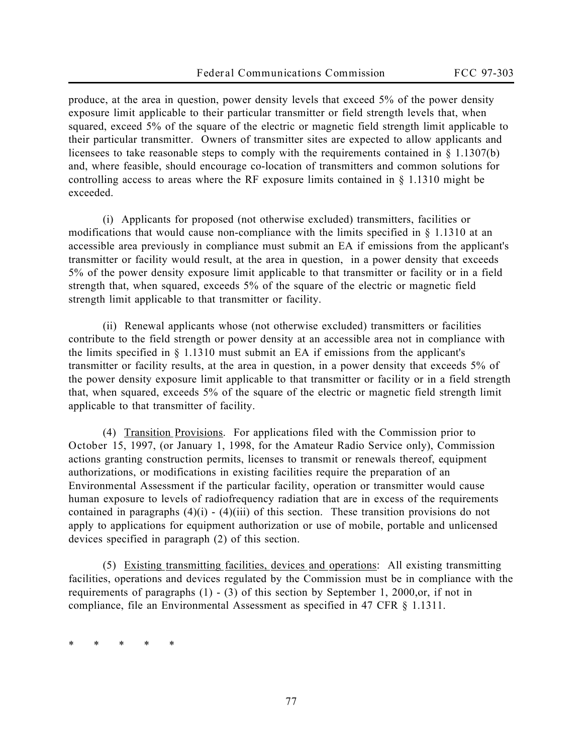produce, at the area in question, power density levels that exceed 5% of the power density exposure limit applicable to their particular transmitter or field strength levels that, when squared, exceed 5% of the square of the electric or magnetic field strength limit applicable to their particular transmitter. Owners of transmitter sites are expected to allow applicants and licensees to take reasonable steps to comply with the requirements contained in § 1.1307(b) and, where feasible, should encourage co-location of transmitters and common solutions for controlling access to areas where the RF exposure limits contained in § 1.1310 might be exceeded.

(i) Applicants for proposed (not otherwise excluded) transmitters, facilities or modifications that would cause non-compliance with the limits specified in  $\S$  1.1310 at an accessible area previously in compliance must submit an EA if emissions from the applicant's transmitter or facility would result, at the area in question, in a power density that exceeds 5% of the power density exposure limit applicable to that transmitter or facility or in a field strength that, when squared, exceeds 5% of the square of the electric or magnetic field strength limit applicable to that transmitter or facility.

(ii) Renewal applicants whose (not otherwise excluded) transmitters or facilities contribute to the field strength or power density at an accessible area not in compliance with the limits specified in § 1.1310 must submit an EA if emissions from the applicant's transmitter or facility results, at the area in question, in a power density that exceeds 5% of the power density exposure limit applicable to that transmitter or facility or in a field strength that, when squared, exceeds 5% of the square of the electric or magnetic field strength limit applicable to that transmitter of facility.

(4) Transition Provisions. For applications filed with the Commission prior to **October 15, 1997,** (or January 1, 1998, for the Amateur Radio Service only), Commission actions granting construction permits, licenses to transmit or renewals thereof, equipment authorizations, or modifications in existing facilities require the preparation of an Environmental Assessment if the particular facility, operation or transmitter would cause human exposure to levels of radiofrequency radiation that are in excess of the requirements contained in paragraphs  $(4)(i) - (4)(iii)$  of this section. These transition provisions do not apply to applications for equipment authorization or use of mobile, portable and unlicensed devices specified in paragraph (2) of this section.

(5) Existing transmitting facilities, devices and operations: All existing transmitting facilities, operations and devices regulated by the Commission must be in compliance with the requirements of paragraphs (1) - (3) of this section by September 1, 2000,or, if not in compliance, file an Environmental Assessment as specified in 47 CFR § 1.1311.

\* \* \* \* \*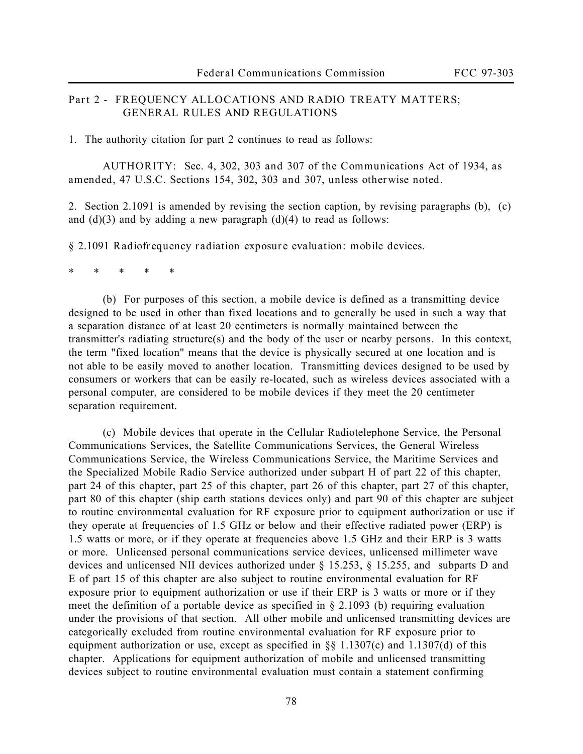# **Part 2 - FREQUENCY ALLOCATIONS AND RADIO TREATY MATTERS; GENERAL RULES AND REGULATIONS**

1. The authority citation for part 2 continues to read as follows:

**AUTHORITY: Sec. 4, 302, 303 and 307 of the Communications Act of 1934, as amended, 47 U.S.C. Sections 154, 302, 303 and 307, unless otherwise noted.**

2. Section 2.1091 is amended by revising the section caption, by revising paragraphs (b), (c) and  $(d)(3)$  and by adding a new paragraph  $(d)(4)$  to read as follows:

**§ 2.1091 Radiofrequency radiation exposure evaluation: mobile devices.**

\* \* \* \* \*

(b) For purposes of this section, a mobile device is defined as a transmitting device designed to be used in other than fixed locations and to generally be used in such a way that a separation distance of at least 20 centimeters is normally maintained between the transmitter's radiating structure(s) and the body of the user or nearby persons. In this context, the term "fixed location" means that the device is physically secured at one location and is not able to be easily moved to another location. Transmitting devices designed to be used by consumers or workers that can be easily re-located, such as wireless devices associated with a personal computer, are considered to be mobile devices if they meet the 20 centimeter separation requirement.

(c) Mobile devices that operate in the Cellular Radiotelephone Service, the Personal Communications Services, the Satellite Communications Services, the General Wireless Communications Service, the Wireless Communications Service, the Maritime Services and the Specialized Mobile Radio Service authorized under subpart H of part 22 of this chapter, part 24 of this chapter, part 25 of this chapter, part 26 of this chapter, part 27 of this chapter, part 80 of this chapter (ship earth stations devices only) and part 90 of this chapter are subject to routine environmental evaluation for RF exposure prior to equipment authorization or use if they operate at frequencies of 1.5 GHz or below and their effective radiated power (ERP) is 1.5 watts or more, or if they operate at frequencies above 1.5 GHz and their ERP is 3 watts or more. Unlicensed personal communications service devices, unlicensed millimeter wave devices and unlicensed NII devices authorized under § 15.253, § 15.255, and subparts D and E of part 15 of this chapter are also subject to routine environmental evaluation for RF exposure prior to equipment authorization or use if their ERP is 3 watts or more or if they meet the definition of a portable device as specified in § 2.1093 (b) requiring evaluation under the provisions of that section. All other mobile and unlicensed transmitting devices are categorically excluded from routine environmental evaluation for RF exposure prior to equipment authorization or use, except as specified in §§ 1.1307(c) and 1.1307(d) of this chapter. Applications for equipment authorization of mobile and unlicensed transmitting devices subject to routine environmental evaluation must contain a statement confirming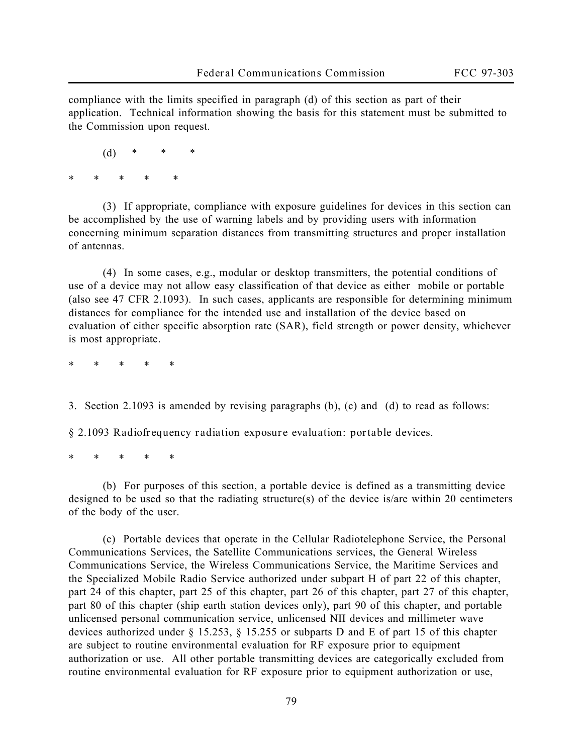compliance with the limits specified in paragraph (d) of this section as part of their application. Technical information showing the basis for this statement must be submitted to the Commission upon request.

 $(d)$ 

\* \* \* \* \*

(3) If appropriate, compliance with exposure guidelines for devices in this section can be accomplished by the use of warning labels and by providing users with information concerning minimum separation distances from transmitting structures and proper installation of antennas.

(4) In some cases, e.g., modular or desktop transmitters, the potential conditions of use of a device may not allow easy classification of that device as either mobile or portable (also see 47 CFR 2.1093). In such cases, applicants are responsible for determining minimum distances for compliance for the intended use and installation of the device based on evaluation of either specific absorption rate (SAR), field strength or power density, whichever is most appropriate.

\* \* \* \* \*

3. Section 2.1093 is amended by revising paragraphs (b), (c) and (d) to read as follows:

**§ 2.1093 Radiofrequency radiation exposure evaluation: portable devices.**

\* \* \* \* \*

(b) For purposes of this section, a portable device is defined as a transmitting device designed to be used so that the radiating structure(s) of the device is/are within 20 centimeters of the body of the user.

(c) Portable devices that operate in the Cellular Radiotelephone Service, the Personal Communications Services, the Satellite Communications services, the General Wireless Communications Service, the Wireless Communications Service, the Maritime Services and the Specialized Mobile Radio Service authorized under subpart H of part 22 of this chapter, part 24 of this chapter, part 25 of this chapter, part 26 of this chapter, part 27 of this chapter, part 80 of this chapter (ship earth station devices only), part 90 of this chapter, and portable unlicensed personal communication service, unlicensed NII devices and millimeter wave devices authorized under § 15.253, § 15.255 or subparts D and E of part 15 of this chapter are subject to routine environmental evaluation for RF exposure prior to equipment authorization or use. All other portable transmitting devices are categorically excluded from routine environmental evaluation for RF exposure prior to equipment authorization or use,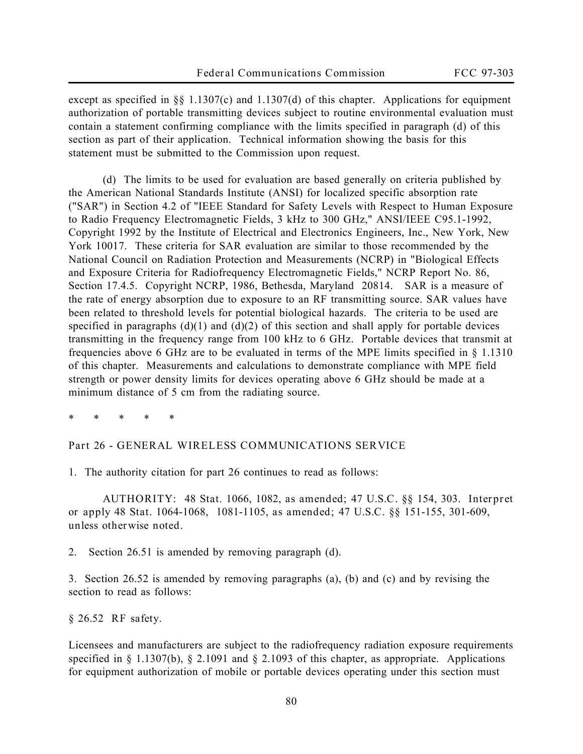except as specified in §§ 1.1307(c) and 1.1307(d) of this chapter. Applications for equipment authorization of portable transmitting devices subject to routine environmental evaluation must contain a statement confirming compliance with the limits specified in paragraph (d) of this section as part of their application. Technical information showing the basis for this statement must be submitted to the Commission upon request.

(d) The limits to be used for evaluation are based generally on criteria published by the American National Standards Institute (ANSI) for localized specific absorption rate ("SAR") in Section 4.2 of "IEEE Standard for Safety Levels with Respect to Human Exposure to Radio Frequency Electromagnetic Fields, 3 kHz to 300 GHz," ANSI/IEEE C95.1-1992, Copyright 1992 by the Institute of Electrical and Electronics Engineers, Inc., New York, New York 10017. These criteria for SAR evaluation are similar to those recommended by the National Council on Radiation Protection and Measurements (NCRP) in "Biological Effects and Exposure Criteria for Radiofrequency Electromagnetic Fields," NCRP Report No. 86, Section 17.4.5. Copyright NCRP, 1986, Bethesda, Maryland 20814. SAR is a measure of the rate of energy absorption due to exposure to an RF transmitting source. SAR values have been related to threshold levels for potential biological hazards. The criteria to be used are specified in paragraphs  $(d)(1)$  and  $(d)(2)$  of this section and shall apply for portable devices transmitting in the frequency range from 100 kHz to 6 GHz. Portable devices that transmit at frequencies above 6 GHz are to be evaluated in terms of the MPE limits specified in § 1.1310 of this chapter. Measurements and calculations to demonstrate compliance with MPE field strength or power density limits for devices operating above 6 GHz should be made at a minimum distance of 5 cm from the radiating source.

\* \* \* \* \*

**Part 26 - GENERAL WIRELESS COMMUNICATIONS SERVICE**

1. The authority citation for part 26 continues to read as follows:

**AUTHORITY: 48 Stat. 1066, 1082, as amended; 47 U.S.C.** §§ **154, 303. Interpret or apply 48 Stat. 1064-1068, 1081-1105, as amended; 47 U.S.C.** §§ **151-155, 301-609, unless otherwise noted.**

2. Section 26.51 is amended by removing paragraph (d).

3. Section 26.52 is amended by removing paragraphs (a), (b) and (c) and by revising the section to read as follows:

**§ 26.52 RF safety.** 

Licensees and manufacturers are subject to the radiofrequency radiation exposure requirements specified in § 1.1307(b), § 2.1091 and § 2.1093 of this chapter, as appropriate. Applications for equipment authorization of mobile or portable devices operating under this section must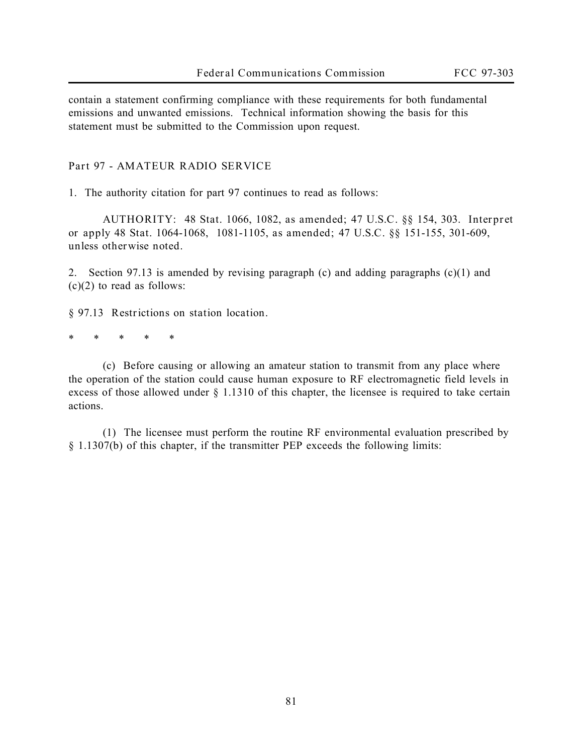contain a statement confirming compliance with these requirements for both fundamental emissions and unwanted emissions. Technical information showing the basis for this statement must be submitted to the Commission upon request.

#### **Part 97 - AMATEUR RADIO SERVICE**

1. The authority citation for part 97 continues to read as follows:

**AUTHORITY: 48 Stat. 1066, 1082, as amended; 47 U.S.C.** §§ **154, 303. Interpret or apply 48 Stat. 1064-1068, 1081-1105, as amended; 47 U.S.C.** §§ **151-155, 301-609, unless otherwise noted.**

2. Section 97.13 is amended by revising paragraph (c) and adding paragraphs (c)(1) and (c)(2) to read as follows:

**§ 97.13 Restrictions on station location.**

\* \* \* \* \*

(c) Before causing or allowing an amateur station to transmit from any place where the operation of the station could cause human exposure to RF electromagnetic field levels in excess of those allowed under § 1.1310 of this chapter, the licensee is required to take certain actions.

(1) The licensee must perform the routine RF environmental evaluation prescribed by § 1.1307(b) of this chapter, if the transmitter PEP exceeds the following limits: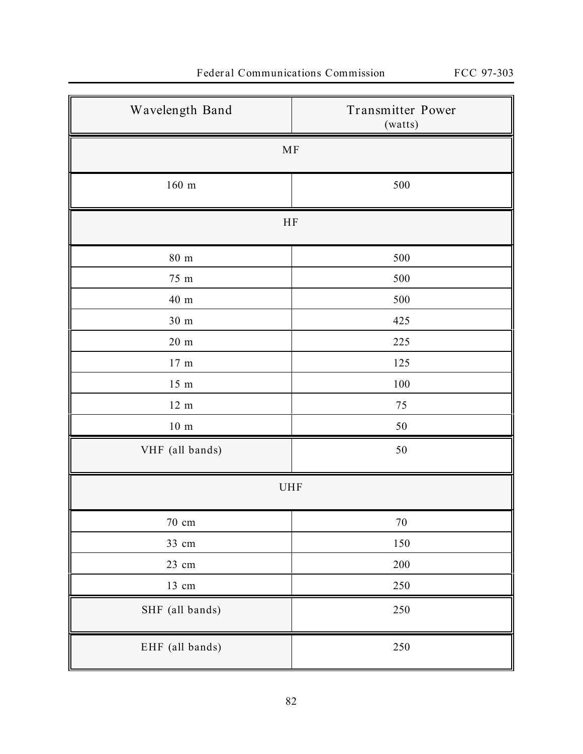| Wavelength Band   | Transmitter Power<br>(watts) |  |
|-------------------|------------------------------|--|
| $\rm MF$          |                              |  |
| $160\ \mathrm{m}$ | 500                          |  |
| $\rm HF$          |                              |  |
| $80\ {\rm m}$     | 500                          |  |
| 75 m              | 500                          |  |
| $40\ {\rm m}$     | 500                          |  |
| 30 <sub>m</sub>   | 425                          |  |
| $20\ \mathrm{m}$  | 225                          |  |
| $17\ {\rm m}$     | 125                          |  |
| $15 \text{ m}$    | $100\,$                      |  |
| $12 \text{ m}$    | $75\,$                       |  |
| $10\ \mathrm{m}$  | $50\,$                       |  |
| VHF (all bands)   | $50\,$                       |  |
| <b>UHF</b>        |                              |  |
| $70\,$ cm         | $70\,$                       |  |
| 33 cm             | $150\,$                      |  |
| 23 cm             | $200\,$                      |  |
| $13$ cm           | 250                          |  |
| SHF (all bands)   | $250\,$                      |  |
| EHF (all bands)   | 250                          |  |

# **Federal Communications Commission FCC 97-303**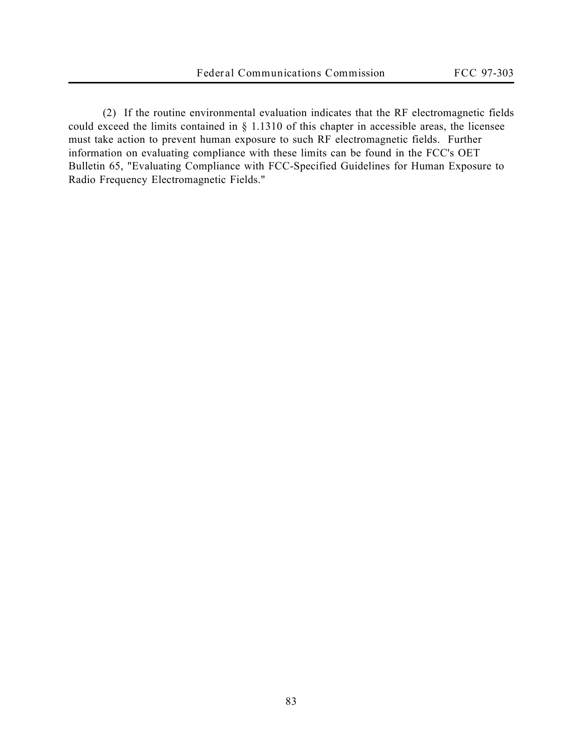(2) If the routine environmental evaluation indicates that the RF electromagnetic fields could exceed the limits contained in § 1.1310 of this chapter in accessible areas, the licensee must take action to prevent human exposure to such RF electromagnetic fields. Further information on evaluating compliance with these limits can be found in the FCC's OET Bulletin 65, "Evaluating Compliance with FCC-Specified Guidelines for Human Exposure to Radio Frequency Electromagnetic Fields."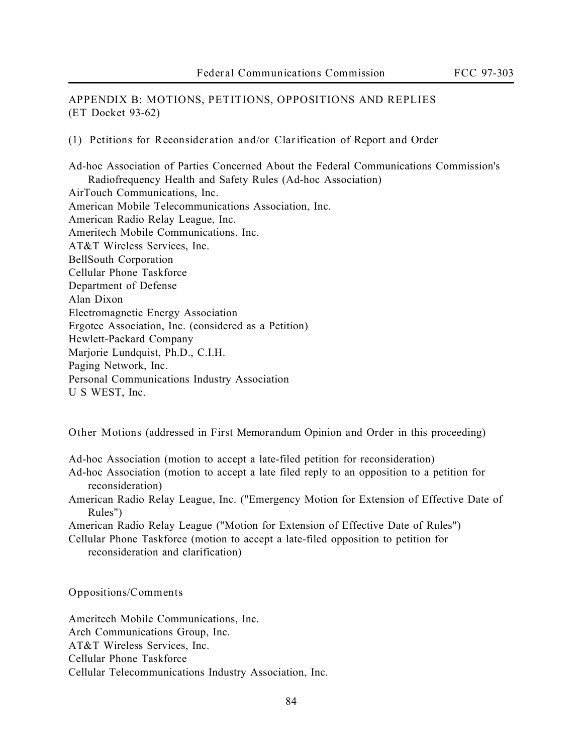**APPENDIX B: MOTIONS, PETITIONS, OPPOSITIONS AND REPLIES (ET Docket 93-62)**

**(1) Petitions for Reconsideration and/or Clarification of** *Report and Order*

Ad-hoc Association of Parties Concerned About the Federal Communications Commission's Radiofrequency Health and Safety Rules (Ad-hoc Association) AirTouch Communications, Inc. American Mobile Telecommunications Association, Inc. American Radio Relay League, Inc. Ameritech Mobile Communications, Inc. AT&T Wireless Services, Inc. BellSouth Corporation Cellular Phone Taskforce Department of Defense Alan Dixon Electromagnetic Energy Association Ergotec Association, Inc. (considered as a Petition) Hewlett-Packard Company Marjorie Lundquist, Ph.D., C.I.H. Paging Network, Inc. Personal Communications Industry Association U S WEST, Inc.

**Other Motions** (addressed in *First Memorandum Opinion and Order* in this proceeding)

Ad-hoc Association (motion to accept a late-filed petition for reconsideration)

- Ad-hoc Association (motion to accept a late filed reply to an opposition to a petition for reconsideration)
- American Radio Relay League, Inc. ("Emergency Motion for Extension of Effective Date of Rules")

American Radio Relay League ("Motion for Extension of Effective Date of Rules")

Cellular Phone Taskforce (motion to accept a late-filed opposition to petition for reconsideration and clarification)

**Oppositions/Comments**

Ameritech Mobile Communications, Inc. Arch Communications Group, Inc. AT&T Wireless Services, Inc. Cellular Phone Taskforce Cellular Telecommunications Industry Association, Inc.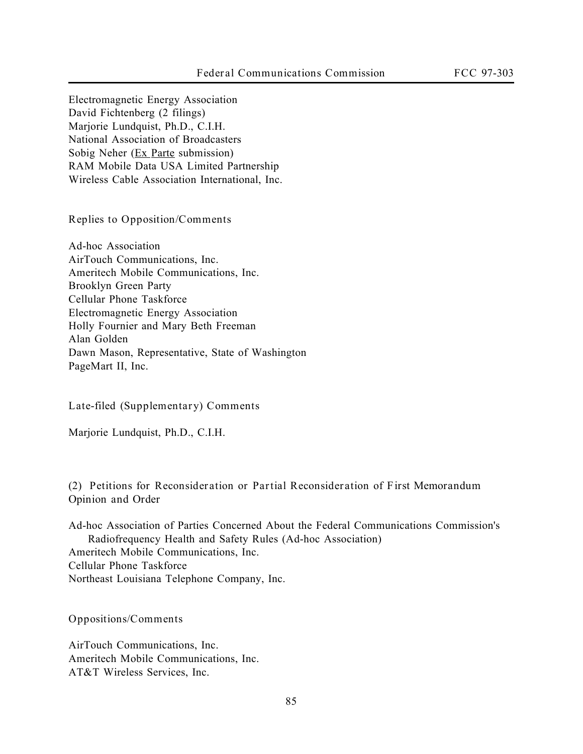Electromagnetic Energy Association David Fichtenberg (2 filings) Marjorie Lundquist, Ph.D., C.I.H. National Association of Broadcasters Sobig Neher (Ex Parte submission) RAM Mobile Data USA Limited Partnership Wireless Cable Association International, Inc.

**Replies to Opposition/Comments**

Ad-hoc Association AirTouch Communications, Inc. Ameritech Mobile Communications, Inc. Brooklyn Green Party Cellular Phone Taskforce Electromagnetic Energy Association Holly Fournier and Mary Beth Freeman Alan Golden Dawn Mason, Representative, State of Washington PageMart II, Inc.

**Late-filed (Supplementary) Comments**

Marjorie Lundquist, Ph.D., C.I.H.

**(2) Petitions for Reconsideration or Partial Reconsideration of** *First Memorandum Opinion and Order*

Ad-hoc Association of Parties Concerned About the Federal Communications Commission's Radiofrequency Health and Safety Rules (Ad-hoc Association) Ameritech Mobile Communications, Inc. Cellular Phone Taskforce Northeast Louisiana Telephone Company, Inc.

**Oppositions/Comments**

AirTouch Communications, Inc. Ameritech Mobile Communications, Inc. AT&T Wireless Services, Inc.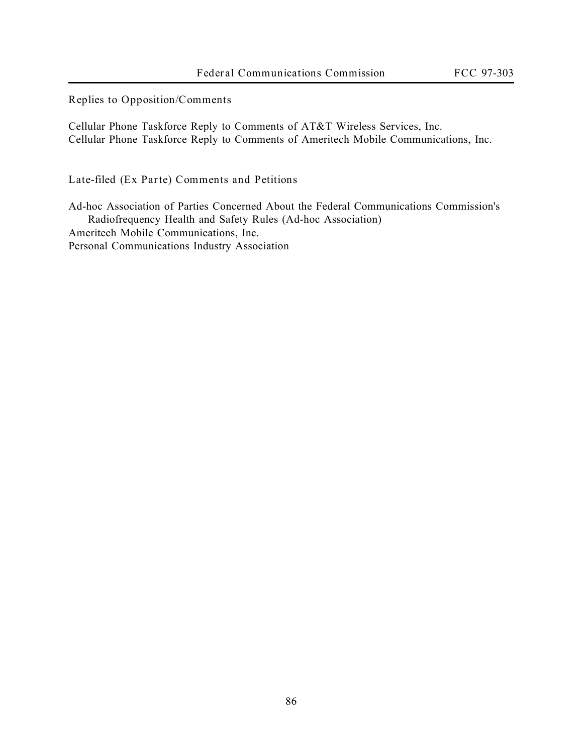**Replies to Opposition/Comments**

Cellular Phone Taskforce Reply to Comments of AT&T Wireless Services, Inc. Cellular Phone Taskforce Reply to Comments of Ameritech Mobile Communications, Inc.

**Late-filed (Ex Parte) Comments and Petitions**

Ad-hoc Association of Parties Concerned About the Federal Communications Commission's Radiofrequency Health and Safety Rules (Ad-hoc Association) Ameritech Mobile Communications, Inc. Personal Communications Industry Association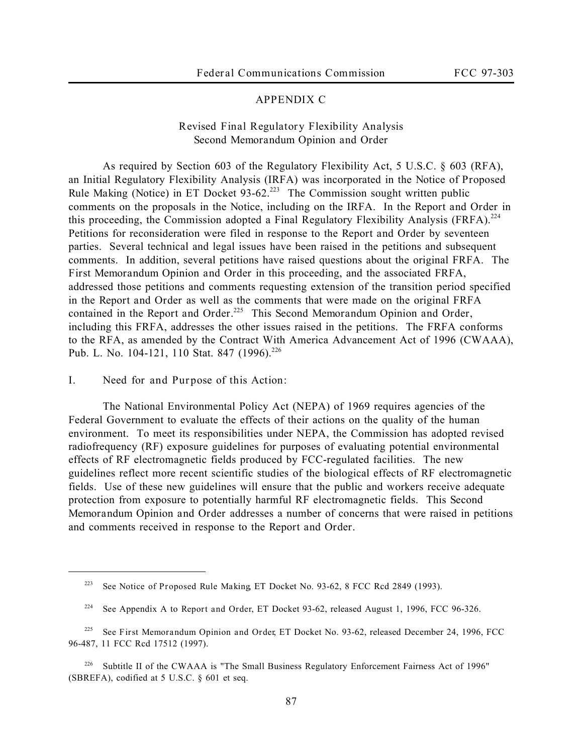# **APPENDIX C**

# **Revised Final Regulatory Flexibility Analysis** *Second Memorandum Opinion and Order*

As required by Section 603 of the Regulatory Flexibility Act, 5 U.S.C. § 603 (RFA), an Initial Regulatory Flexibility Analysis (IRFA) was incorporated in the *Notice of Proposed Rule Making* (*Notice*) in ET Docket 93-62.<sup>223</sup> The Commission sought written public comments on the proposals in the *Notice*, including on the IRFA. In the *Report and Order* in this proceeding, the Commission adopted a Final Regulatory Flexibility Analysis (FRFA).<sup>224</sup> Petitions for reconsideration were filed in response to the *Report and Order* by seventeen parties. Several technical and legal issues have been raised in the petitions and subsequent comments. In addition, several petitions have raised questions about the original FRFA. The *First Memorandum Opinion and Order* in this proceeding, and the associated FRFA, addressed those petitions and comments requesting extension of the transition period specified in the *Report and Order* as well as the comments that were made on the original FRFA contained in the *Report and Order*. <sup>225</sup> This *Second Memorandum Opinion and Order*, including this FRFA, addresses the other issues raised in the petitions. The FRFA conforms to the RFA, as amended by the Contract With America Advancement Act of 1996 (CWAAA), Pub. L. No. 104-121, 110 Stat. 847 (1996).<sup>226</sup>

**I. Need for and Purpose of this Action**:

 $\overline{a}$ 

The National Environmental Policy Act (NEPA) of 1969 requires agencies of the Federal Government to evaluate the effects of their actions on the quality of the human environment. To meet its responsibilities under NEPA, the Commission has adopted revised radiofrequency (RF) exposure guidelines for purposes of evaluating potential environmental effects of RF electromagnetic fields produced by FCC-regulated facilities. The new guidelines reflect more recent scientific studies of the biological effects of RF electromagnetic fields. Use of these new guidelines will ensure that the public and workers receive adequate protection from exposure to potentially harmful RF electromagnetic fields. This *Second Memorandum Opinion and Order* addresses a number of concerns that were raised in petitions and comments received in response to the *Report and Order*.

<sup>223</sup> *See Notice of Proposed Rule Making*, ET Docket No. 93-62, 8 FCC Rcd 2849 (1993).

<sup>224</sup> *See* Appendix A to *Report and Order*, ET Docket 93-62, released August 1, 1996, FCC 96-326.

<sup>225</sup> *See First Memorandum Opinion and Order*, ET Docket No. 93-62, released December 24, 1996, FCC 96-487, 11 FCC Rcd 17512 (1997).

<sup>&</sup>lt;sup>226</sup> Subtitle II of the CWAAA is "The Small Business Regulatory Enforcement Fairness Act of 1996" (SBREFA), codified at 5 U.S.C. § 601 et seq.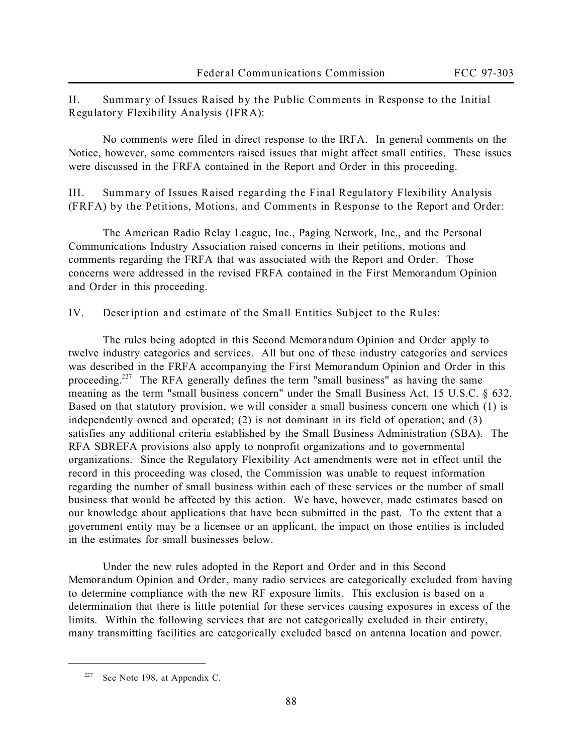**II. Summary of Issues Raised by the Public Comments in Response to the Initial Regulatory Flexibility Analysis (IFRA):**

No comments were filed in direct response to the IRFA. In general comments on the *Notice*, however, some commenters raised issues that might affect small entities. These issues were discussed in the FRFA contained in the *Report and Order* in this proceeding.

**III. Summary of Issues Raised regarding the Final Regulatory Flexibility Analysis (FRFA) by the Petitions, Motions, and Comments in Response to the** *Report and Order*:

The American Radio Relay League, Inc., Paging Network, Inc., and the Personal Communications Industry Association raised concerns in their petitions, motions and comments regarding the FRFA that was associated with the *Report and Order*. Those concerns were addressed in the revised FRFA contained in the *First Memorandum Opinion and Order* in this proceeding.

**IV. Description and estimate of the Small Entities Subject to the Rules:**

The rules being adopted in this *Second Memorandum Opinion and Order* apply to twelve industry categories and services. All but one of these industry categories and services was described in the FRFA accompanying the *First Memorandum Opinion and Order* in this proceeding.<sup>227</sup> The RFA generally defines the term "small business" as having the same meaning as the term "small business concern" under the Small Business Act, 15 U.S.C. § 632. Based on that statutory provision, we will consider a small business concern one which (1) is independently owned and operated; (2) is not dominant in its field of operation; and (3) satisfies any additional criteria established by the Small Business Administration (SBA). The RFA SBREFA provisions also apply to nonprofit organizations and to governmental organizations. Since the Regulatory Flexibility Act amendments were not in effect until the record in this proceeding was closed, the Commission was unable to request information regarding the number of small business within each of these services or the number of small business that would be affected by this action. We have, however, made estimates based on our knowledge about applications that have been submitted in the past. To the extent that a government entity may be a licensee or an applicant, the impact on those entities is included in the estimates for small businesses below.

Under the new rules adopted in the *Report and Order* and in this *Second Memorandum Opinion and Order*, many radio services are categorically excluded from having to determine compliance with the new RF exposure limits. This exclusion is based on a determination that there is little potential for these services causing exposures in excess of the limits. Within the following services that are not categorically excluded in their entirety, many transmitting facilities are categorically excluded based on antenna location and power.

<sup>227</sup> *See* Note 198, at Appendix C.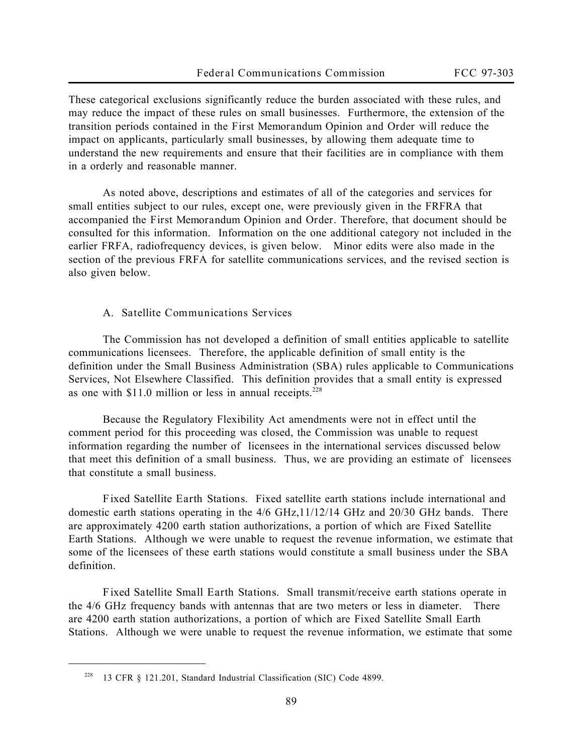These categorical exclusions significantly reduce the burden associated with these rules, and may reduce the impact of these rules on small businesses. Furthermore, the extension of the transition periods contained in the *First Memorandum Opinion and Order* will reduce the impact on applicants, particularly small businesses, by allowing them adequate time to understand the new requirements and ensure that their facilities are in compliance with them in a orderly and reasonable manner.

As noted above, descriptions and estimates of all of the categories and services for small entities subject to our rules, except one, were previously given in the FRFRA that accompanied the *First Memorandum Opinion and Order.* Therefore, that document should be consulted for this information. Information on the one additional category not included in the earlier FRFA, radiofrequency devices, is given below. Minor edits were also made in the section of the previous FRFA for satellite communications services, and the revised section is also given below.

#### **A. Satellite Communications Services**

The Commission has not developed a definition of small entities applicable to satellite communications licensees. Therefore, the applicable definition of small entity is the definition under the Small Business Administration (SBA) rules applicable to Communications Services, Not Elsewhere Classified. This definition provides that a small entity is expressed as one with \$11.0 million or less in annual receipts.<sup>228</sup>

Because the Regulatory Flexibility Act amendments were not in effect until the comment period for this proceeding was closed, the Commission was unable to request information regarding the number of licensees in the international services discussed below that meet this definition of a small business. Thus, we are providing an estimate of licensees that constitute a small business.

*Fixed Satellite Earth Stations*. Fixed satellite earth stations include international and domestic earth stations operating in the 4/6 GHz,11/12/14 GHz and 20/30 GHz bands. There are approximately 4200 earth station authorizations, a portion of which are Fixed Satellite Earth Stations. Although we were unable to request the revenue information, we estimate that some of the licensees of these earth stations would constitute a small business under the SBA definition.

*Fixed Satellite Small Earth Stations*. Small transmit/receive earth stations operate in the 4/6 GHz frequency bands with antennas that are two meters or less in diameter. There are 4200 earth station authorizations, a portion of which are Fixed Satellite Small Earth Stations. Although we were unable to request the revenue information, we estimate that some

<sup>228</sup> 13 CFR § 121.201, Standard Industrial Classification (SIC) Code 4899.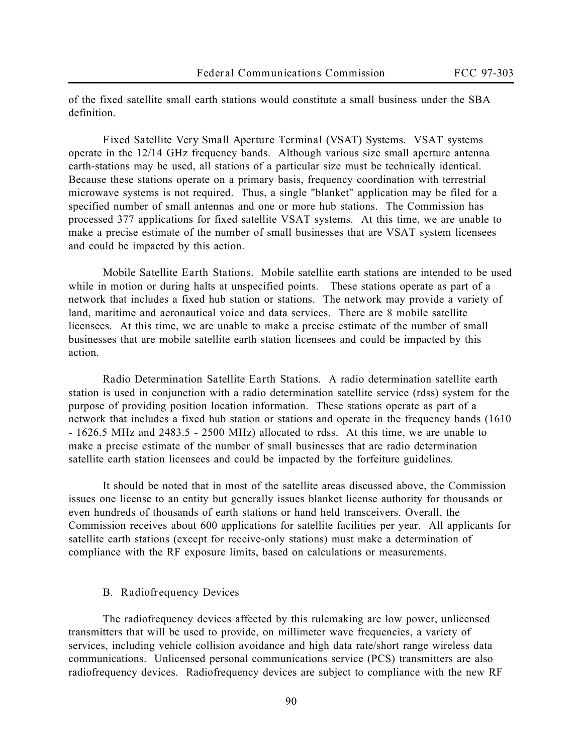of the fixed satellite small earth stations would constitute a small business under the SBA definition.

*Fixed Satellite Very Small Aperture Terminal (VSAT) Systems*. VSAT systems operate in the 12/14 GHz frequency bands. Although various size small aperture antenna earth-stations may be used, all stations of a particular size must be technically identical. Because these stations operate on a primary basis, frequency coordination with terrestrial microwave systems is not required. Thus, a single "blanket" application may be filed for a specified number of small antennas and one or more hub stations. The Commission has processed 377 applications for fixed satellite VSAT systems. At this time, we are unable to make a precise estimate of the number of small businesses that are VSAT system licensees and could be impacted by this action.

*Mobile Satellite Earth Stations*. Mobile satellite earth stations are intended to be used while in motion or during halts at unspecified points. These stations operate as part of a network that includes a fixed hub station or stations. The network may provide a variety of land, maritime and aeronautical voice and data services. There are 8 mobile satellite licensees. At this time, we are unable to make a precise estimate of the number of small businesses that are mobile satellite earth station licensees and could be impacted by this action.

*Radio Determination Satellite Earth Stations*. A radio determination satellite earth station is used in conjunction with a radio determination satellite service (rdss) system for the purpose of providing position location information. These stations operate as part of a network that includes a fixed hub station or stations and operate in the frequency bands (1610 - 1626.5 MHz and 2483.5 - 2500 MHz) allocated to rdss. At this time, we are unable to make a precise estimate of the number of small businesses that are radio determination satellite earth station licensees and could be impacted by the forfeiture guidelines.

It should be noted that in most of the satellite areas discussed above, the Commission issues one license to an entity but generally issues blanket license authority for thousands or even hundreds of thousands of earth stations or hand held transceivers. Overall, the Commission receives about 600 applications for satellite facilities per year. All applicants for satellite earth stations (except for receive-only stations) must make a determination of compliance with the RF exposure limits, based on calculations or measurements.

#### **B. Radiofrequency Devices**

The radiofrequency devices affected by this rulemaking are low power, unlicensed transmitters that will be used to provide, on millimeter wave frequencies, a variety of services, including vehicle collision avoidance and high data rate/short range wireless data communications. Unlicensed personal communications service (PCS) transmitters are also radiofrequency devices. Radiofrequency devices are subject to compliance with the new RF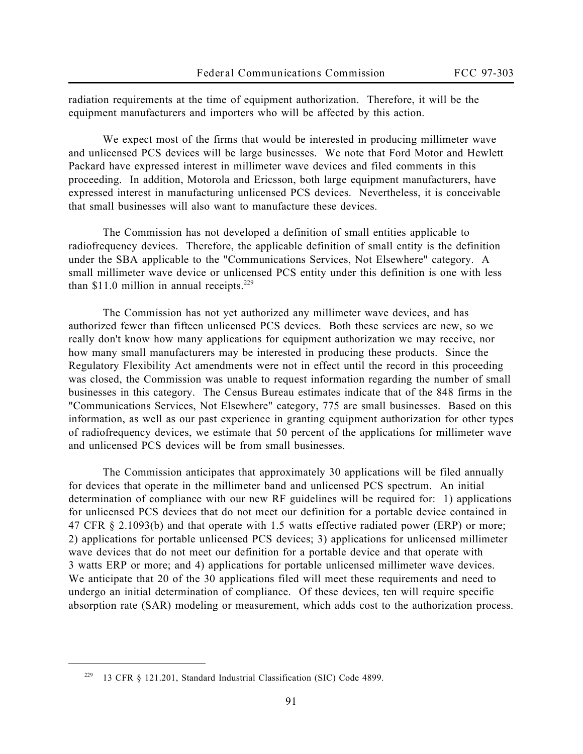radiation requirements at the time of equipment authorization. Therefore, it will be the equipment manufacturers and importers who will be affected by this action.

We expect most of the firms that would be interested in producing millimeter wave and unlicensed PCS devices will be large businesses. We note that Ford Motor and Hewlett Packard have expressed interest in millimeter wave devices and filed comments in this proceeding. In addition, Motorola and Ericsson, both large equipment manufacturers, have expressed interest in manufacturing unlicensed PCS devices. Nevertheless, it is conceivable that small businesses will also want to manufacture these devices.

The Commission has not developed a definition of small entities applicable to radiofrequency devices. Therefore, the applicable definition of small entity is the definition under the SBA applicable to the "Communications Services, Not Elsewhere" category. A small millimeter wave device or unlicensed PCS entity under this definition is one with less than  $$11.0$  million in annual receipts.<sup>229</sup>

The Commission has not yet authorized any millimeter wave devices, and has authorized fewer than fifteen unlicensed PCS devices. Both these services are new, so we really don't know how many applications for equipment authorization we may receive, nor how many small manufacturers may be interested in producing these products. Since the Regulatory Flexibility Act amendments were not in effect until the record in this proceeding was closed, the Commission was unable to request information regarding the number of small businesses in this category. The Census Bureau estimates indicate that of the 848 firms in the "Communications Services, Not Elsewhere" category, 775 are small businesses. Based on this information, as well as our past experience in granting equipment authorization for other types of radiofrequency devices, we estimate that 50 percent of the applications for millimeter wave and unlicensed PCS devices will be from small businesses.

The Commission anticipates that approximately 30 applications will be filed annually for devices that operate in the millimeter band and unlicensed PCS spectrum. An initial determination of compliance with our new RF guidelines will be required for: 1) applications for unlicensed PCS devices that do not meet our definition for a portable device contained in 47 CFR § 2.1093(b) and that operate with 1.5 watts effective radiated power (ERP) or more; 2) applications for portable unlicensed PCS devices; 3) applications for unlicensed millimeter wave devices that do not meet our definition for a portable device and that operate with 3 watts ERP or more; and 4) applications for portable unlicensed millimeter wave devices. We anticipate that 20 of the 30 applications filed will meet these requirements and need to undergo an initial determination of compliance. Of these devices, ten will require specific absorption rate (SAR) modeling or measurement, which adds cost to the authorization process.

<sup>229</sup> 13 CFR § 121.201, Standard Industrial Classification (SIC) Code 4899.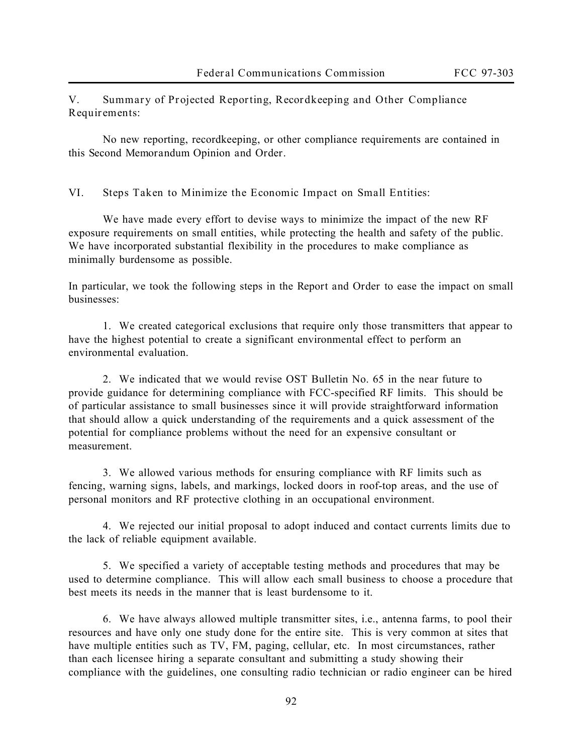**V. Summary of Projected Reporting, Recordkeeping and Other Compliance Requirements:**

No new reporting, recordkeeping, or other compliance requirements are contained in this *Second Memorandum Opinion and Order*.

**VI. Steps Taken to Minimize the Economic Impact on Small Entities:**

We have made every effort to devise ways to minimize the impact of the new RF exposure requirements on small entities, while protecting the health and safety of the public. We have incorporated substantial flexibility in the procedures to make compliance as minimally burdensome as possible.

In particular, we took the following steps in the *Report and Order* to ease the impact on small businesses:

1. We created categorical exclusions that require only those transmitters that appear to have the highest potential to create a significant environmental effect to perform an environmental evaluation.

2. We indicated that we would revise OST Bulletin No. 65 in the near future to provide guidance for determining compliance with FCC-specified RF limits. This should be of particular assistance to small businesses since it will provide straightforward information that should allow a quick understanding of the requirements and a quick assessment of the potential for compliance problems without the need for an expensive consultant or measurement.

3. We allowed various methods for ensuring compliance with RF limits such as fencing, warning signs, labels, and markings, locked doors in roof-top areas, and the use of personal monitors and RF protective clothing in an occupational environment.

4. We rejected our initial proposal to adopt induced and contact currents limits due to the lack of reliable equipment available.

5. We specified a variety of acceptable testing methods and procedures that may be used to determine compliance. This will allow each small business to choose a procedure that best meets its needs in the manner that is least burdensome to it.

6. We have always allowed multiple transmitter sites, i.e., antenna farms, to pool their resources and have only one study done for the entire site. This is very common at sites that have multiple entities such as TV, FM, paging, cellular, etc. In most circumstances, rather than each licensee hiring a separate consultant and submitting a study showing their compliance with the guidelines, one consulting radio technician or radio engineer can be hired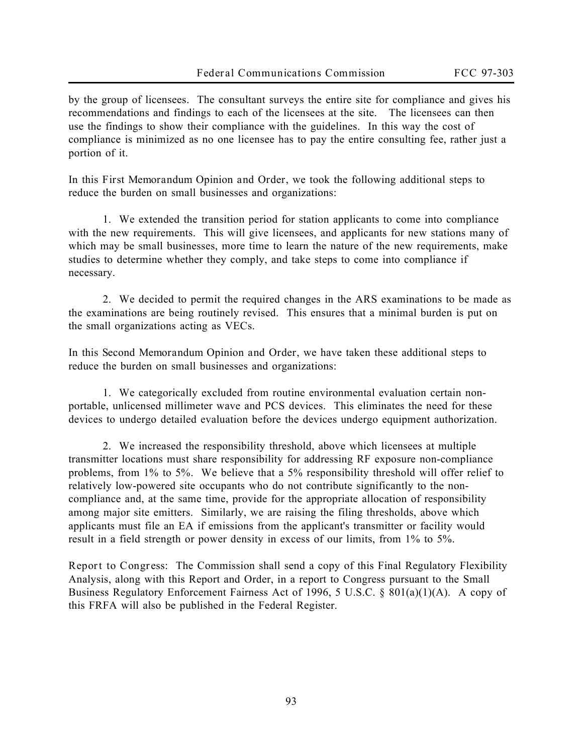by the group of licensees. The consultant surveys the entire site for compliance and gives his recommendations and findings to each of the licensees at the site. The licensees can then use the findings to show their compliance with the guidelines. In this way the cost of compliance is minimized as no one licensee has to pay the entire consulting fee, rather just a portion of it.

In this *First Memorandum Opinion and Order*, we took the following additional steps to reduce the burden on small businesses and organizations:

1. We extended the transition period for station applicants to come into compliance with the new requirements. This will give licensees, and applicants for new stations many of which may be small businesses, more time to learn the nature of the new requirements, make studies to determine whether they comply, and take steps to come into compliance if necessary.

2. We decided to permit the required changes in the ARS examinations to be made as the examinations are being routinely revised. This ensures that a minimal burden is put on the small organizations acting as VECs.

In this *Second Memorandum Opinion and Order*, we have taken these additional steps to reduce the burden on small businesses and organizations:

1. We categorically excluded from routine environmental evaluation certain nonportable, unlicensed millimeter wave and PCS devices. This eliminates the need for these devices to undergo detailed evaluation before the devices undergo equipment authorization.

2. We increased the responsibility threshold, above which licensees at multiple transmitter locations must share responsibility for addressing RF exposure non-compliance problems, from 1% to 5%. We believe that a 5% responsibility threshold will offer relief to relatively low-powered site occupants who do not contribute significantly to the noncompliance and, at the same time, provide for the appropriate allocation of responsibility among major site emitters. Similarly, we are raising the filing thresholds, above which applicants must file an EA if emissions from the applicant's transmitter or facility would result in a field strength or power density in excess of our limits, from 1% to 5%.

**Report to Congress**: The Commission shall send a copy of this Final Regulatory Flexibility Analysis, along with this Report and Order, in a report to Congress pursuant to the Small Business Regulatory Enforcement Fairness Act of 1996, 5 U.S.C. § 801(a)(1)(A). A copy of this FRFA will also be published in the Federal Register.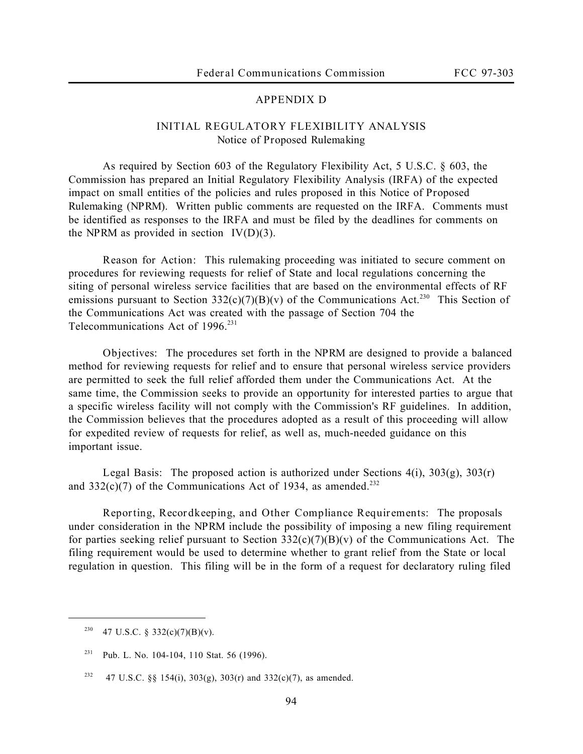# **APPENDIX D**

# **INITIAL REGULATORY FLEXIBILITY ANALYSIS** *Notice of Proposed Rulemaking*

As required by Section 603 of the Regulatory Flexibility Act, 5 U.S.C. § 603, the Commission has prepared an Initial Regulatory Flexibility Analysis (IRFA) of the expected impact on small entities of the policies and rules proposed in this *Notice of Proposed Rulemaking* (*NPRM*). Written public comments are requested on the IRFA. Comments must be identified as responses to the IRFA and must be filed by the deadlines for comments on the *NPRM* as provided in section IV(D)(3)*.*

**Reason for Action:** This rulemaking proceeding was initiated to secure comment on procedures for reviewing requests for relief of State and local regulations concerning the siting of personal wireless service facilities that are based on the environmental effects of RF emissions pursuant to Section 332(c)(7)(B)(v) of the Communications Act.<sup>230</sup> This Section of the Communications Act was created with the passage of Section 704 the Telecommunications Act of  $1996.<sup>231</sup>$ 

**Objectives:** The procedures set forth in the *NPRM* are designed to provide a balanced method for reviewing requests for relief and to ensure that personal wireless service providers are permitted to seek the full relief afforded them under the Communications Act. At the same time, the Commission seeks to provide an opportunity for interested parties to argue that a specific wireless facility will not comply with the Commission's RF guidelines. In addition, the Commission believes that the procedures adopted as a result of this proceeding will allow for expedited review of requests for relief, as well as, much-needed guidance on this important issue.

**Legal Basis:** The proposed action is authorized under Sections 4(i), 303(g), 303(r) and  $332(c)(7)$  of the Communications Act of 1934, as amended.<sup>232</sup>

**Reporting, Recordkeeping, and Other Compliance Requirements:** The proposals under consideration in the *NPRM* include the possibility of imposing a new filing requirement for parties seeking relief pursuant to Section  $332(c)(7)(B)(v)$  of the Communications Act. The filing requirement would be used to determine whether to grant relief from the State or local regulation in question. This filing will be in the form of a request for declaratory ruling filed

<sup>&</sup>lt;sup>230</sup> 47 U.S.C. § 332(c)(7)(B)(v).

<sup>&</sup>lt;sup>231</sup> Pub. L. No. 104-104, 110 Stat. 56 (1996).

<sup>&</sup>lt;sup>232</sup> 47 U.S.C. §§ 154(i), 303(g), 303(r) and 332(c)(7), as amended.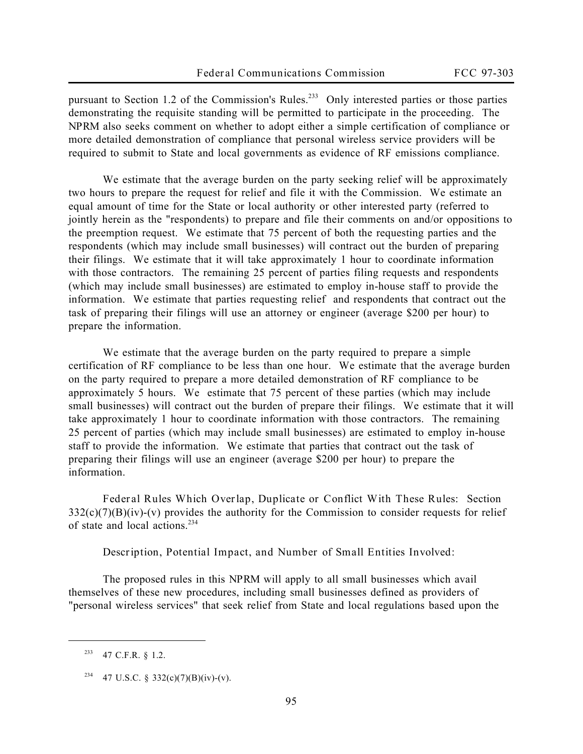pursuant to Section 1.2 of the Commission's Rules.<sup>233</sup> Only interested parties or those parties demonstrating the requisite standing will be permitted to participate in the proceeding. The *NPRM* also seeks comment on whether to adopt either a simple certification of compliance or more detailed demonstration of compliance that personal wireless service providers will be required to submit to State and local governments as evidence of RF emissions compliance.

We estimate that the average burden on the party seeking relief will be approximately two hours to prepare the request for relief and file it with the Commission. We estimate an equal amount of time for the State or local authority or other interested party (referred to jointly herein as the "respondents) to prepare and file their comments on and/or oppositions to the preemption request. We estimate that 75 percent of both the requesting parties and the respondents (which may include small businesses) will contract out the burden of preparing their filings. We estimate that it will take approximately 1 hour to coordinate information with those contractors. The remaining 25 percent of parties filing requests and respondents (which may include small businesses) are estimated to employ in-house staff to provide the information. We estimate that parties requesting relief and respondents that contract out the task of preparing their filings will use an attorney or engineer (average \$200 per hour) to prepare the information.

We estimate that the average burden on the party required to prepare a simple certification of RF compliance to be less than one hour. We estimate that the average burden on the party required to prepare a more detailed demonstration of RF compliance to be approximately 5 hours. We estimate that 75 percent of these parties (which may include small businesses) will contract out the burden of prepare their filings. We estimate that it will take approximately 1 hour to coordinate information with those contractors. The remaining 25 percent of parties (which may include small businesses) are estimated to employ in-house staff to provide the information. We estimate that parties that contract out the task of preparing their filings will use an engineer (average \$200 per hour) to prepare the information.

**Federal Rules Which Overlap, Duplicate or Conflict With These Rules:** Section  $332(c)(7)(B)(iv)-(v)$  provides the authority for the Commission to consider requests for relief of state and local actions.<sup>234</sup>

**Description, Potential Impact, and Number of Small Entities Involved:**

The proposed rules in this *NPRM* will apply to all small businesses which avail themselves of these new procedures, including small businesses defined as providers of "personal wireless services" that seek relief from State and local regulations based upon the

<sup>233</sup> 47 C.F.R. § 1.2.

<sup>&</sup>lt;sup>234</sup> 47 U.S.C. § 332(c)(7)(B)(iv)-(v).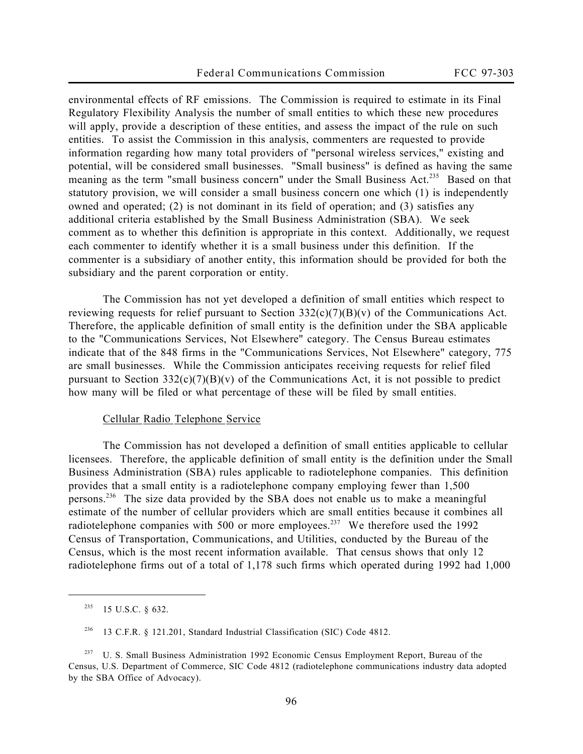environmental effects of RF emissions. The Commission is required to estimate in its Final Regulatory Flexibility Analysis the number of small entities to which these new procedures will apply, provide a description of these entities, and assess the impact of the rule on such entities. To assist the Commission in this analysis, commenters are requested to provide information regarding how many total providers of "personal wireless services," existing and potential, will be considered small businesses. "Small business" is defined as having the same meaning as the term "small business concern" under the Small Business Act.<sup>235</sup> Based on that statutory provision, we will consider a small business concern one which (1) is independently owned and operated; (2) is not dominant in its field of operation; and (3) satisfies any additional criteria established by the Small Business Administration (SBA). We seek comment as to whether this definition is appropriate in this context. Additionally, we request each commenter to identify whether it is a small business under this definition. If the commenter is a subsidiary of another entity, this information should be provided for both the subsidiary and the parent corporation or entity.

The Commission has not yet developed a definition of small entities which respect to reviewing requests for relief pursuant to Section  $332(c)(7)(B)(v)$  of the Communications Act. Therefore, the applicable definition of small entity is the definition under the SBA applicable to the "Communications Services, Not Elsewhere" category. The Census Bureau estimates indicate that of the 848 firms in the "Communications Services, Not Elsewhere" category, 775 are small businesses. While the Commission anticipates receiving requests for relief filed pursuant to Section  $332(c)(7)(B)(v)$  of the Communications Act, it is not possible to predict how many will be filed or what percentage of these will be filed by small entities.

#### Cellular Radio Telephone Service

The Commission has not developed a definition of small entities applicable to cellular licensees. Therefore, the applicable definition of small entity is the definition under the Small Business Administration (SBA) rules applicable to radiotelephone companies. This definition provides that a small entity is a radiotelephone company employing fewer than 1,500 persons.<sup>236</sup> The size data provided by the SBA does not enable us to make a meaningful estimate of the number of cellular providers which are small entities because it combines all radiotelephone companies with 500 or more employees.<sup>237</sup> We therefore used the 1992 Census of Transportation, Communications, and Utilities, conducted by the Bureau of the Census, which is the most recent information available. That census shows that only 12 radiotelephone firms out of a total of 1,178 such firms which operated during 1992 had 1,000

 $235$  15 U.S.C. § 632.

<sup>236</sup> 13 C.F.R. § 121.201, Standard Industrial Classification (SIC) Code 4812.

<sup>&</sup>lt;sup>237</sup> U. S. Small Business Administration 1992 Economic Census Employment Report, Bureau of the Census, U.S. Department of Commerce, SIC Code 4812 (radiotelephone communications industry data adopted by the SBA Office of Advocacy).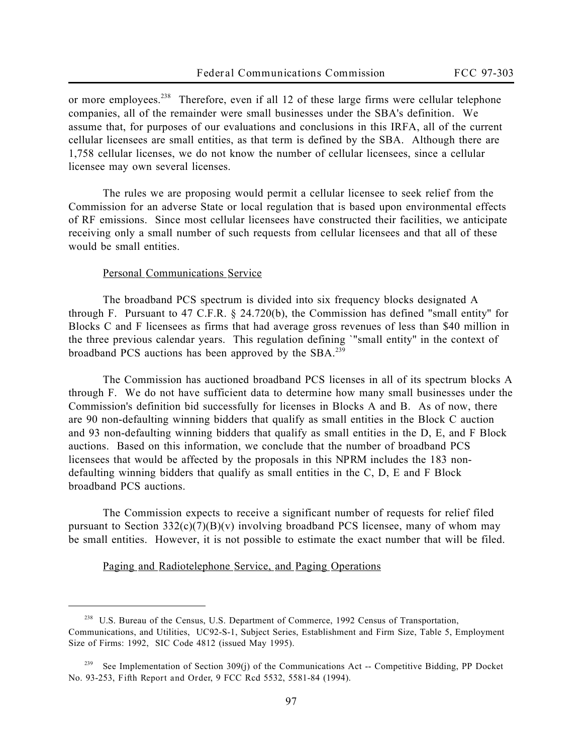or more employees.<sup>238</sup> Therefore, even if all 12 of these large firms were cellular telephone companies, all of the remainder were small businesses under the SBA's definition**.** We assume that, for purposes of our evaluations and conclusions in this IRFA, all of the current cellular licensees are small entities, as that term is defined by the SBA. Although there are 1,758 cellular licenses, we do not know the number of cellular licensees, since a cellular licensee may own several licenses.

The rules we are proposing would permit a cellular licensee to seek relief from the Commission for an adverse State or local regulation that is based upon environmental effects of RF emissions. Since most cellular licensees have constructed their facilities, we anticipate receiving only a small number of such requests from cellular licensees and that all of these would be small entities.

#### Personal Communications Service

 $\overline{a}$ 

The broadband PCS spectrum is divided into six frequency blocks designated A through F. Pursuant to 47 C.F.R.  $\S$  24.720(b), the Commission has defined "small entity" for Blocks C and F licensees as firms that had average gross revenues of less than \$40 million in the three previous calendar years. This regulation defining `"small entity'' in the context of broadband PCS auctions has been approved by the SBA.<sup>239</sup>

The Commission has auctioned broadband PCS licenses in all of its spectrum blocks A through F. We do not have sufficient data to determine how many small businesses under the Commission's definition bid successfully for licenses in Blocks A and B. As of now, there are 90 non-defaulting winning bidders that qualify as small entities in the Block C auction and 93 non-defaulting winning bidders that qualify as small entities in the D, E, and F Block auctions. Based on this information, we conclude that the number of broadband PCS licensees that would be affected by the proposals in this *NPRM* includes the 183 nondefaulting winning bidders that qualify as small entities in the C, D, E and F Block broadband PCS auctions.

The Commission expects to receive a significant number of requests for relief filed pursuant to Section  $332(c)(7)(B)(v)$  involving broadband PCS licensee, many of whom may be small entities. However, it is not possible to estimate the exact number that will be filed.

Paging and Radiotelephone Service, and Paging Operations

<sup>238</sup> U.S. Bureau of the Census, U.S. Department of Commerce, 1992 Census of Transportation, Communications, and Utilities, UC92-S-1, Subject Series, Establishment and Firm Size, Table 5, Employment Size of Firms: 1992, SIC Code 4812 (issued May 1995).

<sup>239</sup> *See* Implementation of Section 309(j) of the Communications Act -- Competitive Bidding, PP Docket No. 93-253, *Fifth Report and Order*, 9 FCC Rcd 5532, 5581-84 (1994).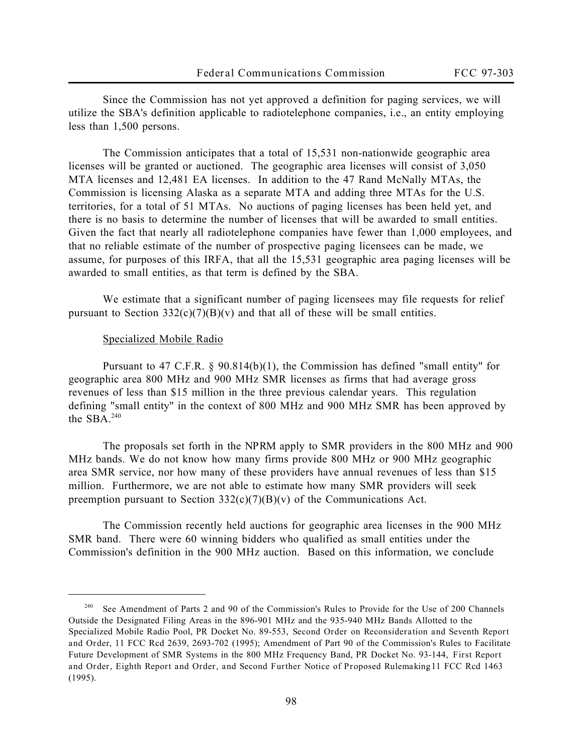Since the Commission has not yet approved a definition for paging services, we will utilize the SBA's definition applicable to radiotelephone companies, i.e., an entity employing less than 1,500 persons.

The Commission anticipates that a total of 15,531 non-nationwide geographic area licenses will be granted or auctioned. The geographic area licenses will consist of 3,050 MTA licenses and 12,481 EA licenses. In addition to the 47 Rand McNally MTAs, the Commission is licensing Alaska as a separate MTA and adding three MTAs for the U.S. territories, for a total of 51 MTAs. No auctions of paging licenses has been held yet, and there is no basis to determine the number of licenses that will be awarded to small entities. Given the fact that nearly all radiotelephone companies have fewer than 1,000 employees, and that no reliable estimate of the number of prospective paging licensees can be made, we assume, for purposes of this IRFA, that all the 15,531 geographic area paging licenses will be awarded to small entities, as that term is defined by the SBA.

We estimate that a significant number of paging licensees may file requests for relief pursuant to Section  $332(c)(7)(B)(v)$  and that all of these will be small entities.

#### Specialized Mobile Radio

 $\overline{a}$ 

Pursuant to 47 C.F.R. § 90.814(b)(1), the Commission has defined "small entity'' for geographic area 800 MHz and 900 MHz SMR licenses as firms that had average gross revenues of less than \$15 million in the three previous calendar years. This regulation defining "small entity'' in the context of 800 MHz and 900 MHz SMR has been approved by the SBA. $240$ 

The proposals set forth in the *NPRM* apply to SMR providers in the 800 MHz and 900 MHz bands. We do not know how many firms provide 800 MHz or 900 MHz geographic area SMR service, nor how many of these providers have annual revenues of less than \$15 million. Furthermore, we are not able to estimate how many SMR providers will seek preemption pursuant to Section  $332(c)(7)(B)(v)$  of the Communications Act.

The Commission recently held auctions for geographic area licenses in the 900 MHz SMR band. There were 60 winning bidders who qualified as small entities under the Commission's definition in the 900 MHz auction. Based on this information, we conclude

<sup>240</sup> *See* Amendment of Parts 2 and 90 of the Commission's Rules to Provide for the Use of 200 Channels Outside the Designated Filing Areas in the 896-901 MHz and the 935-940 MHz Bands Allotted to the Specialized Mobile Radio Pool, PR Docket No. 89-553, *Second Order on Reconsideration and Seventh Report and Order*, 11 FCC Rcd 2639, 2693-702 (1995); Amendment of Part 90 of the Commission's Rules to Facilitate Future Development of SMR Systems in the 800 MHz Frequency Band, PR Docket No. 93-144, *First Report* and Order, Eighth Report and Order, and Second Further Notice of Proposed Rulemaking<sup>11</sup> FCC Rcd 1463 (1995).